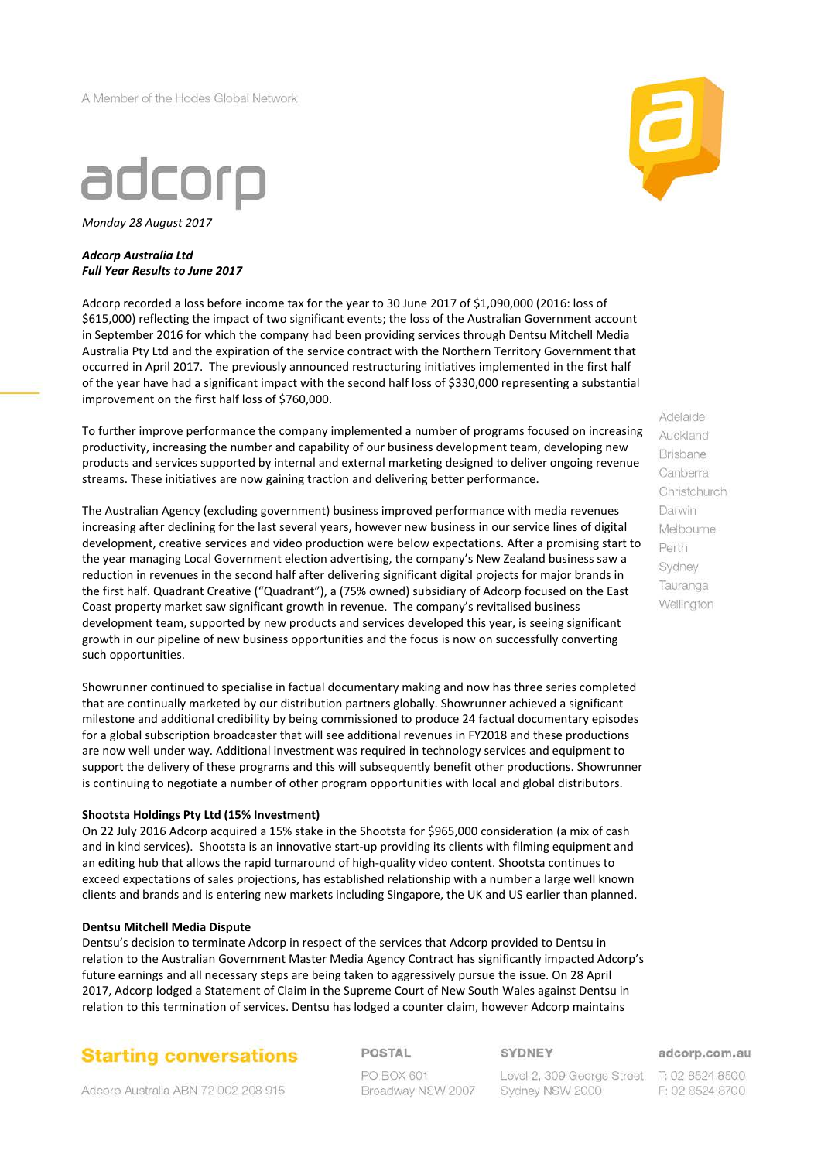A Member of the Hodes Global Network



*Monday 28 August 2017*

#### *Adcorp Australia Ltd Full Year Results to June 2017*

Adcorp recorded a loss before income tax for the year to 30 June 2017 of \$1,090,000 (2016: loss of \$615,000) reflecting the impact of two significant events; the loss of the Australian Government account in September 2016 for which the company had been providing services through Dentsu Mitchell Media Australia Pty Ltd and the expiration of the service contract with the Northern Territory Government that occurred in April 2017. The previously announced restructuring initiatives implemented in the first half of the year have had a significant impact with the second half loss of \$330,000 representing a substantial improvement on the first half loss of \$760,000.

To further improve performance the company implemented a number of programs focused on increasing productivity, increasing the number and capability of our business development team, developing new products and services supported by internal and external marketing designed to deliver ongoing revenue streams. These initiatives are now gaining traction and delivering better performance.

The Australian Agency (excluding government) business improved performance with media revenues increasing after declining for the last several years, however new business in our service lines of digital development, creative services and video production were below expectations. After a promising start to the year managing Local Government election advertising, the company's New Zealand business saw a reduction in revenues in the second half after delivering significant digital projects for major brands in the first half. Quadrant Creative ("Quadrant"), a (75% owned) subsidiary of Adcorp focused on the East Coast property market saw significant growth in revenue. The company's revitalised business development team, supported by new products and services developed this year, is seeing significant growth in our pipeline of new business opportunities and the focus is now on successfully converting such opportunities.

Showrunner continued to specialise in factual documentary making and now has three series completed that are continually marketed by our distribution partners globally. Showrunner achieved a significant milestone and additional credibility by being commissioned to produce 24 factual documentary episodes for a global subscription broadcaster that will see additional revenues in FY2018 and these productions are now well under way. Additional investment was required in technology services and equipment to support the delivery of these programs and this will subsequently benefit other productions. Showrunner is continuing to negotiate a number of other program opportunities with local and global distributors.

#### **Shootsta Holdings Pty Ltd (15% Investment)**

On 22 July 2016 Adcorp acquired a 15% stake in the Shootsta for \$965,000 consideration (a mix of cash and in kind services). Shootsta is an innovative start-up providing its clients with filming equipment and an editing hub that allows the rapid turnaround of high-quality video content. Shootsta continues to exceed expectations of sales projections, has established relationship with a number a large well known clients and brands and is entering new markets including Singapore, the UK and US earlier than planned.

#### **Dentsu Mitchell Media Dispute**

Dentsu's decision to terminate Adcorp in respect of the services that Adcorp provided to Dentsu in relation to the Australian Government Master Media Agency Contract has significantly impacted Adcorp's future earnings and all necessary steps are being taken to aggressively pursue the issue. On 28 April 2017, Adcorp lodged a Statement of Claim in the Supreme Court of New South Wales against Dentsu in relation to this termination of services. Dentsu has lodged a counter claim, however Adcorp maintains

# **Starting conversations**

**POSTAL** 

#### **SYDNEY**

PO BOX 601 Broadway NSW 2007

Level 2, 309 George Street Sydney NSW 2000

adcorp.com.au

T: 02 8524 8500 F: 02 8524 8700

Adelaide Auckland **Brisbane** Canberra Christchurch Darwin Melbourne Perth Sydney Tauranga Wellington



Adcorp Australia ABN 72 002 208 915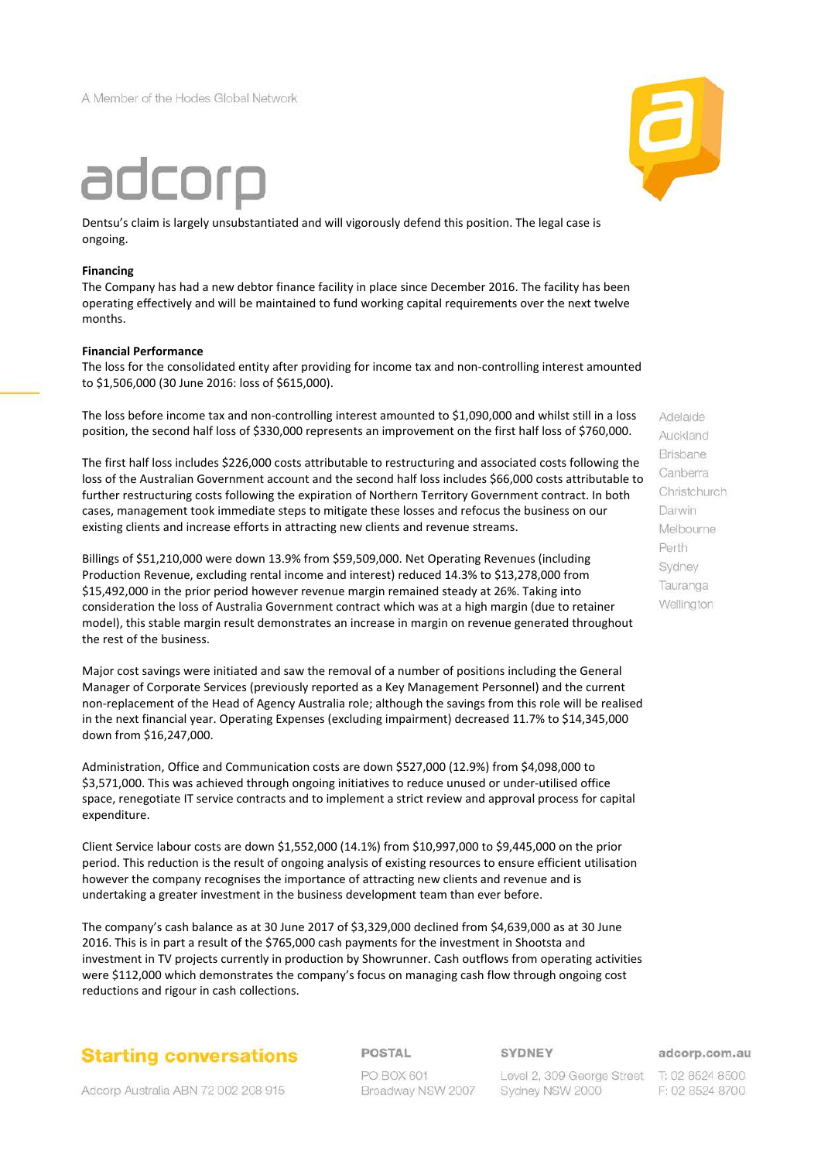A Member of the Hodes Global Network



Dentsu's claim is largely unsubstantiated and will vigorously defend this position. The legal case is ongoing.

#### **Financing**

The Company has had a new debtor finance facility in place since December 2016. The facility has been operating effectively and will be maintained to fund working capital requirements over the next twelve months.

#### **Financial Performance**

The loss for the consolidated entity after providing for income tax and non-controlling interest amounted to \$1,506,000 (30 June 2016: loss of \$615,000).

The loss before income tax and non-controlling interest amounted to \$1,090,000 and whilst still in a loss position, the second half loss of \$330,000 represents an improvement on the first half loss of \$760,000.

The first half loss includes \$226,000 costs attributable to restructuring and associated costs following the loss of the Australian Government account and the second half loss includes \$66,000 costs attributable to further restructuring costs following the expiration of Northern Territory Government contract. In both cases, management took immediate steps to mitigate these losses and refocus the business on our existing clients and increase efforts in attracting new clients and revenue streams.

Billings of \$51,210,000 were down 13.9% from \$59,509,000. Net Operating Revenues (including Production Revenue, excluding rental income and interest) reduced 14.3% to \$13,278,000 from \$15,492,000 in the prior period however revenue margin remained steady at 26%. Taking into consideration the loss of Australia Government contract which was at a high margin (due to retainer model), this stable margin result demonstrates an increase in margin on revenue generated throughout the rest of the business.

Major cost savings were initiated and saw the removal of a number of positions including the General Manager of Corporate Services (previously reported as a Key Management Personnel) and the current non-replacement of the Head of Agency Australia role; although the savings from this role will be realised in the next financial year. Operating Expenses (excluding impairment) decreased 11.7% to \$14,345,000 down from \$16,247,000.

Administration, Office and Communication costs are down \$527,000 (12.9%) from \$4,098,000 to \$3,571,000. This was achieved through ongoing initiatives to reduce unused or under-utilised office space, renegotiate IT service contracts and to implement a strict review and approval process for capital expenditure.

Client Service labour costs are down \$1,552,000 (14.1%) from \$10,997,000 to \$9,445,000 on the prior period. This reduction is the result of ongoing analysis of existing resources to ensure efficient utilisation however the company recognises the importance of attracting new clients and revenue and is undertaking a greater investment in the business development team than ever before.

The company's cash balance as at 30 June 2017 of \$3,329,000 declined from \$4,639,000 as at 30 June 2016. This is in part a result of the \$765,000 cash payments for the investment in Shootsta and investment in TV projects currently in production by Showrunner. Cash outflows from operating activities were \$112,000 which demonstrates the company's focus on managing cash flow through ongoing cost reductions and rigour in cash collections.

# **Starting conversations**

Adcorp Australia ABN 72 002 208 915

POSTAL

PO BOX 601 Broadway NSW 2007 **SYDNEY** 

Level 2, 309 George Street T: 02 8524 8500 Sydney NSW 2000

adcorp.com.au

F: 02 8524 8700



Adelaide Auckland **Brisbane** Canberra Christchurch Darwin Melbourne Perth Sydney Tauranga Wellington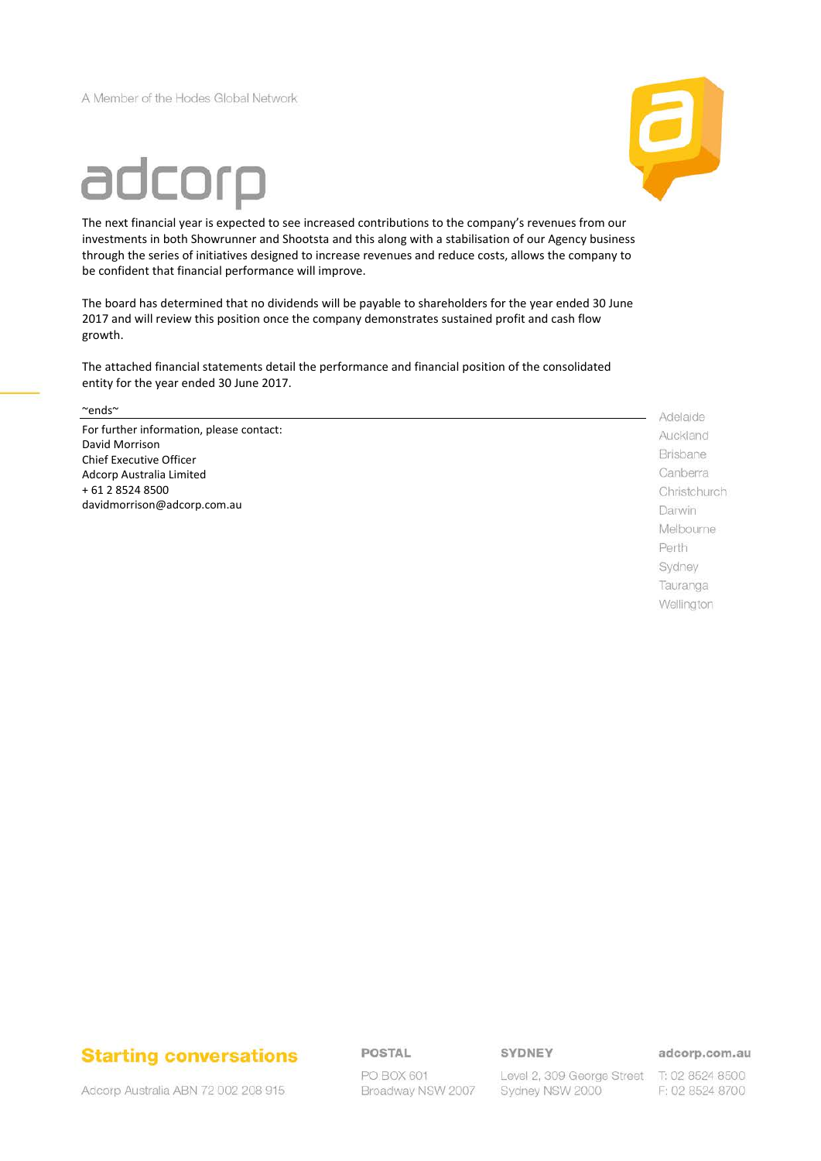A Member of the Hodes Global Network



# adcorp

The next financial year is expected to see increased contributions to the company's revenues from our investments in both Showrunner and Shootsta and this along with a stabilisation of our Agency business through the series of initiatives designed to increase revenues and reduce costs, allows the company to be confident that financial performance will improve.

The board has determined that no dividends will be payable to shareholders for the year ended 30 June 2017 and will review this position once the company demonstrates sustained profit and cash flow growth.

The attached financial statements detail the performance and financial position of the consolidated entity for the year ended 30 June 2017.

~ends~

For further information, please contact: David Morrison Chief Executive Officer Adcorp Australia Limited + 61 2 8524 8500 davidmorrison@adcorp.com.au

Adelaide Auckland **Brisbane** Canberra Christchurch Darwin Melbourne Perth Sydney Tauranga Wellington

# **Starting conversations**

Adcorp Australia ABN 72 002 208 915

**POSTAL** 

PO BOX 601 Broadway NSW 2007 SYDNEY

Level 2, 309 George Street T: 02 8524 8500 Sydney NSW 2000

adcorp.com.au

F: 02 8524 8700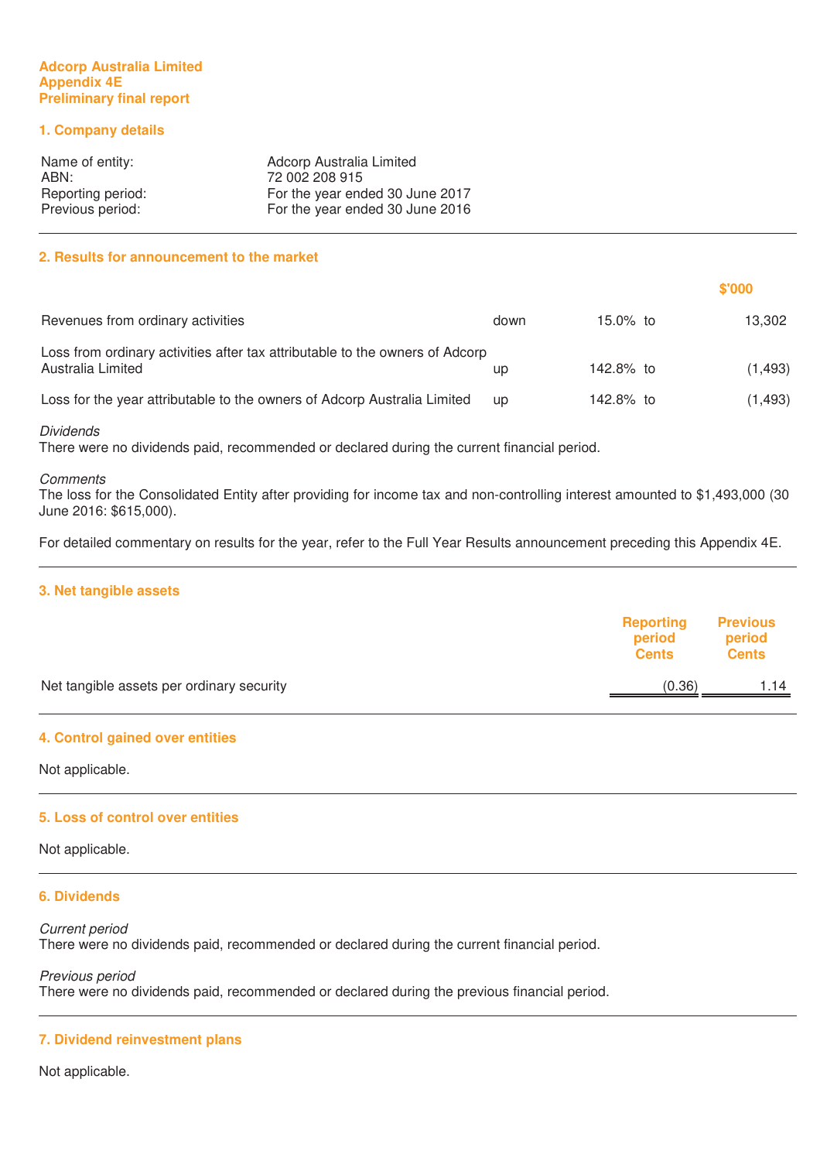#### **Adcorp Australia Limited Appendix 4E Preliminary final report**

# **1. Company details**

| Name of entity:   | Adcorp Australia Limited        |
|-------------------|---------------------------------|
| ABN:              | 72 002 208 915                  |
| Reporting period: | For the year ended 30 June 2017 |
| Previous period:  | For the year ended 30 June 2016 |

# **2. Results for announcement to the market**

|                                                                                                   |           |           | \$'000   |
|---------------------------------------------------------------------------------------------------|-----------|-----------|----------|
| Revenues from ordinary activities                                                                 | down      | 15.0% to  | 13.302   |
| Loss from ordinary activities after tax attributable to the owners of Adcorp<br>Australia Limited | up        | 142.8% to | (1, 493) |
| Loss for the year attributable to the owners of Adcorp Australia Limited                          | <b>up</b> | 142.8% to | (1, 493) |

#### Dividends

There were no dividends paid, recommended or declared during the current financial period.

#### **Comments**

The loss for the Consolidated Entity after providing for income tax and non-controlling interest amounted to \$1,493,000 (30 June 2016: \$615,000).

For detailed commentary on results for the year, refer to the Full Year Results announcement preceding this Appendix 4E.

#### **3. Net tangible assets**

|                                           | <b>Reporting</b><br>period<br><b>Cents</b> | <b>Previous</b><br>period<br><b>Cents</b> |
|-------------------------------------------|--------------------------------------------|-------------------------------------------|
| Net tangible assets per ordinary security | (0.36)                                     | 1.14                                      |
|                                           |                                            |                                           |

#### **4. Control gained over entities**

Not applicable.

#### **5. Loss of control over entities**

Not applicable.

#### **6. Dividends**

Current period There were no dividends paid, recommended or declared during the current financial period.

Previous period There were no dividends paid, recommended or declared during the previous financial period.

#### **7. Dividend reinvestment plans**

Not applicable.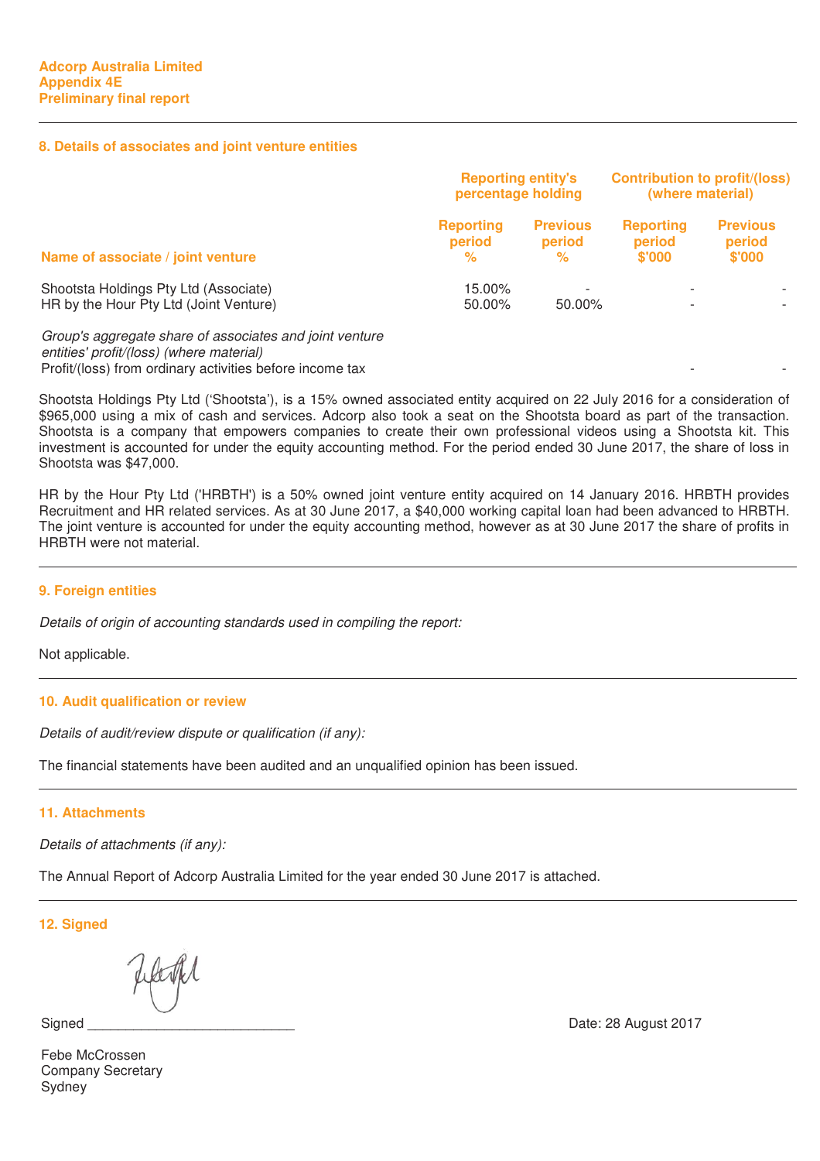## **8. Details of associates and joint venture entities**

|                                                                                                                                                                 | <b>Reporting entity's</b><br>percentage holding |                                    | <b>Contribution to profit/(loss)</b><br>(where material) |                                     |
|-----------------------------------------------------------------------------------------------------------------------------------------------------------------|-------------------------------------------------|------------------------------------|----------------------------------------------------------|-------------------------------------|
| Name of associate / joint venture                                                                                                                               | <b>Reporting</b><br>period<br>℅                 | <b>Previous</b><br>period<br>%     | <b>Reporting</b><br>period<br>\$'000                     | <b>Previous</b><br>period<br>\$'000 |
| Shootsta Holdings Pty Ltd (Associate)<br>HR by the Hour Pty Ltd (Joint Venture)                                                                                 | 15.00%<br>50.00%                                | $\overline{\phantom{a}}$<br>50.00% |                                                          |                                     |
| Group's aggregate share of associates and joint venture<br>entities' profit/(loss) (where material)<br>Profit/(loss) from ordinary activities before income tax |                                                 |                                    |                                                          |                                     |

Shootsta Holdings Pty Ltd ('Shootsta'), is a 15% owned associated entity acquired on 22 July 2016 for a consideration of \$965,000 using a mix of cash and services. Adcorp also took a seat on the Shootsta board as part of the transaction. Shootsta is a company that empowers companies to create their own professional videos using a Shootsta kit. This investment is accounted for under the equity accounting method. For the period ended 30 June 2017, the share of loss in Shootsta was \$47,000.

HR by the Hour Pty Ltd ('HRBTH') is a 50% owned joint venture entity acquired on 14 January 2016. HRBTH provides Recruitment and HR related services. As at 30 June 2017, a \$40,000 working capital loan had been advanced to HRBTH. The joint venture is accounted for under the equity accounting method, however as at 30 June 2017 the share of profits in HRBTH were not material.

# **9. Foreign entities**

Details of origin of accounting standards used in compiling the report:

Not applicable.

# **10. Audit qualification or review**

Details of audit/review dispute or qualification (if any):

The financial statements have been audited and an unqualified opinion has been issued.

# **11. Attachments**

Details of attachments (if any):

The Annual Report of Adcorp Australia Limited for the year ended 30 June 2017 is attached.

**12. Signed**

Febe McCrossen Company Secretary **Sydney** 

Signed **States** 28 August 2017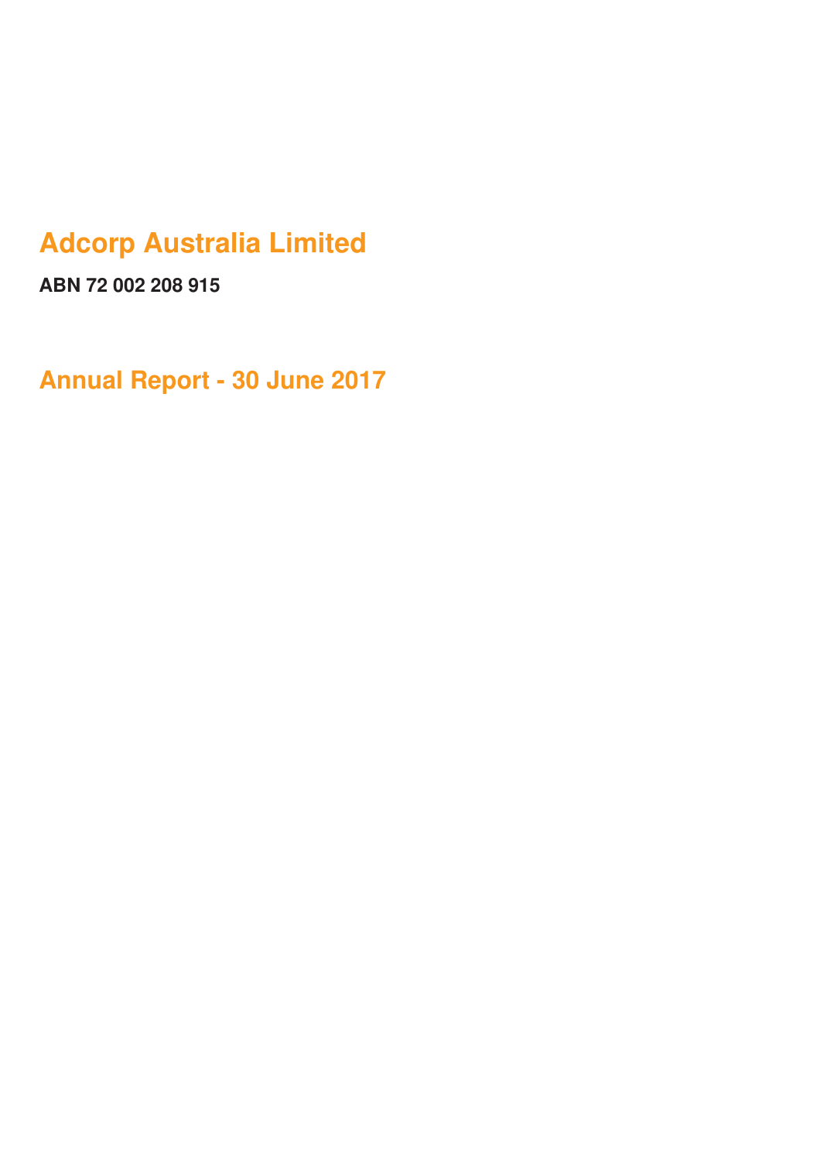# **Adcorp Australia Limited**

**ABN 72 002 208 915**

**Annual Report - 30 June 2017**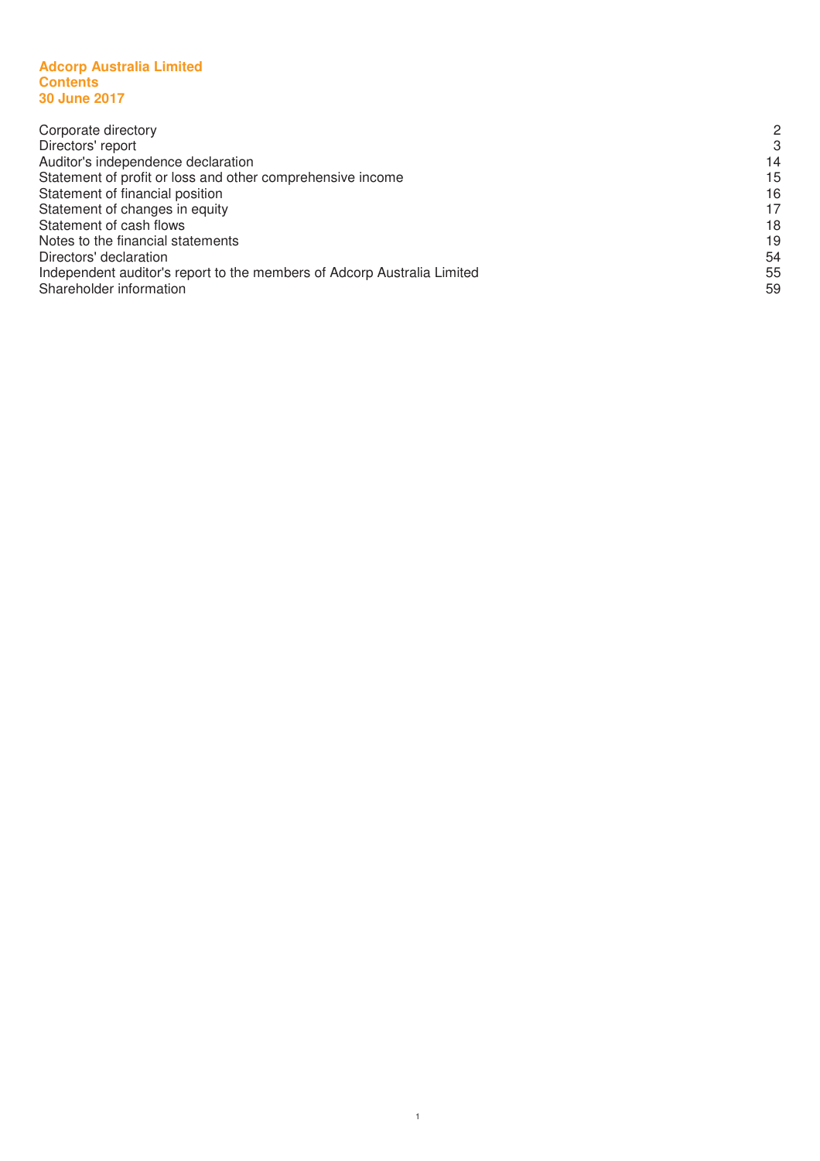#### **Adcorp Australia Limited Contents 30 June 2017**

| Corporate directory                                                     | $\mathcal{P}$ |
|-------------------------------------------------------------------------|---------------|
| Directors' report                                                       | 3             |
| Auditor's independence declaration                                      | 14            |
| Statement of profit or loss and other comprehensive income              | 15            |
| Statement of financial position                                         | 16            |
| Statement of changes in equity                                          | 17            |
| Statement of cash flows                                                 | 18            |
| Notes to the financial statements                                       | 19            |
| Directors' declaration                                                  | 54            |
| Independent auditor's report to the members of Adcorp Australia Limited | 55            |
| Shareholder information                                                 | 59            |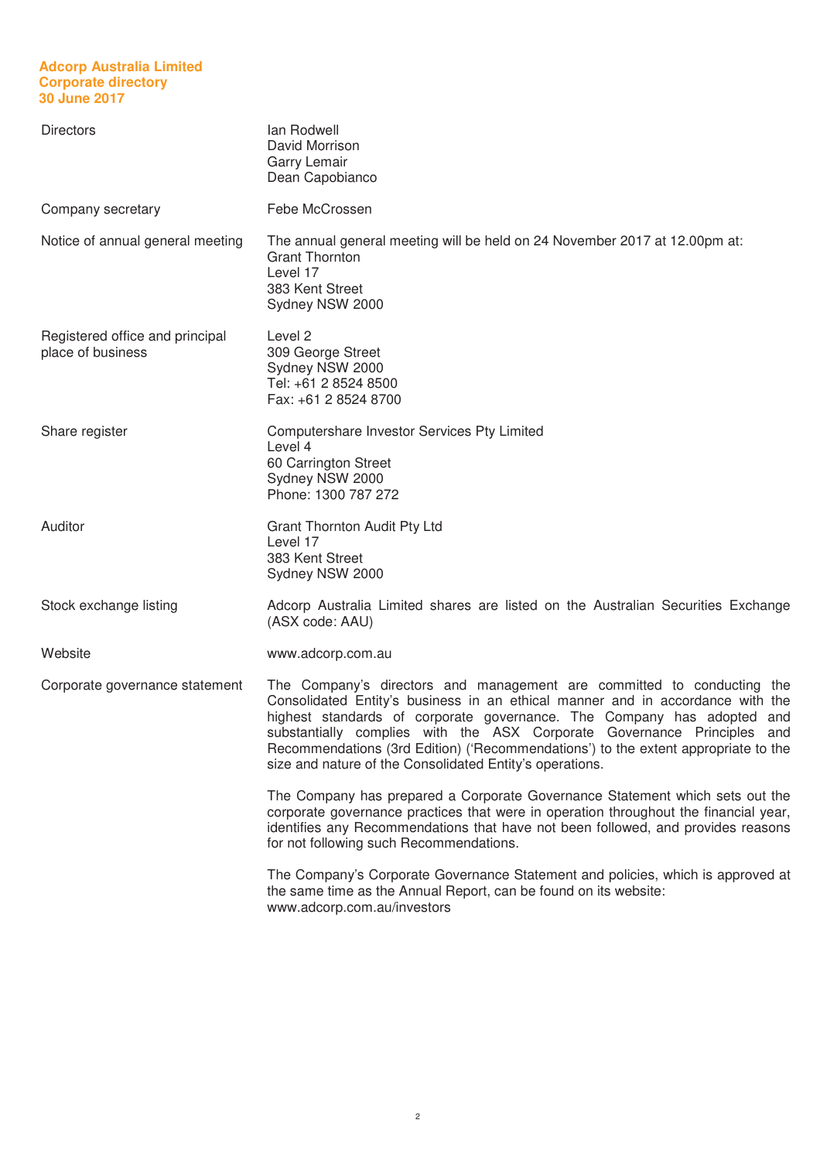# **Adcorp Australia Limited Corporate directory 30 June 2017**

| <b>Directors</b>                                     | lan Rodwell<br>David Morrison<br>Garry Lemair<br>Dean Capobianco                                                                                                                                                                                                                                                                                                                                                                                                |
|------------------------------------------------------|-----------------------------------------------------------------------------------------------------------------------------------------------------------------------------------------------------------------------------------------------------------------------------------------------------------------------------------------------------------------------------------------------------------------------------------------------------------------|
| Company secretary                                    | Febe McCrossen                                                                                                                                                                                                                                                                                                                                                                                                                                                  |
| Notice of annual general meeting                     | The annual general meeting will be held on 24 November 2017 at 12.00pm at:<br><b>Grant Thornton</b><br>Level 17<br>383 Kent Street<br>Sydney NSW 2000                                                                                                                                                                                                                                                                                                           |
| Registered office and principal<br>place of business | Level 2<br>309 George Street<br>Sydney NSW 2000<br>Tel: +61 2 8524 8500<br>Fax: +61 2 8524 8700                                                                                                                                                                                                                                                                                                                                                                 |
| Share register                                       | Computershare Investor Services Pty Limited<br>Level 4<br>60 Carrington Street<br>Sydney NSW 2000<br>Phone: 1300 787 272                                                                                                                                                                                                                                                                                                                                        |
| Auditor                                              | <b>Grant Thornton Audit Pty Ltd</b><br>Level 17<br>383 Kent Street<br>Sydney NSW 2000                                                                                                                                                                                                                                                                                                                                                                           |
| Stock exchange listing                               | Adcorp Australia Limited shares are listed on the Australian Securities Exchange<br>(ASX code: AAU)                                                                                                                                                                                                                                                                                                                                                             |
| Website                                              | www.adcorp.com.au                                                                                                                                                                                                                                                                                                                                                                                                                                               |
| Corporate governance statement                       | The Company's directors and management are committed to conducting the<br>Consolidated Entity's business in an ethical manner and in accordance with the<br>highest standards of corporate governance. The Company has adopted and<br>substantially complies with the ASX Corporate Governance Principles and<br>Recommendations (3rd Edition) ('Recommendations') to the extent appropriate to the<br>size and nature of the Consolidated Entity's operations. |
|                                                      | The Company has prepared a Corporate Governance Statement which sets out the<br>corporate governance practices that were in operation throughout the financial year,<br>identifies any Recommendations that have not been followed, and provides reasons<br>for not following such Recommendations.                                                                                                                                                             |
|                                                      | The Company's Corporate Governance Statement and policies, which is approved at<br>the same time as the Annual Report, can be found on its website:<br>www.adcorp.com.au/investors                                                                                                                                                                                                                                                                              |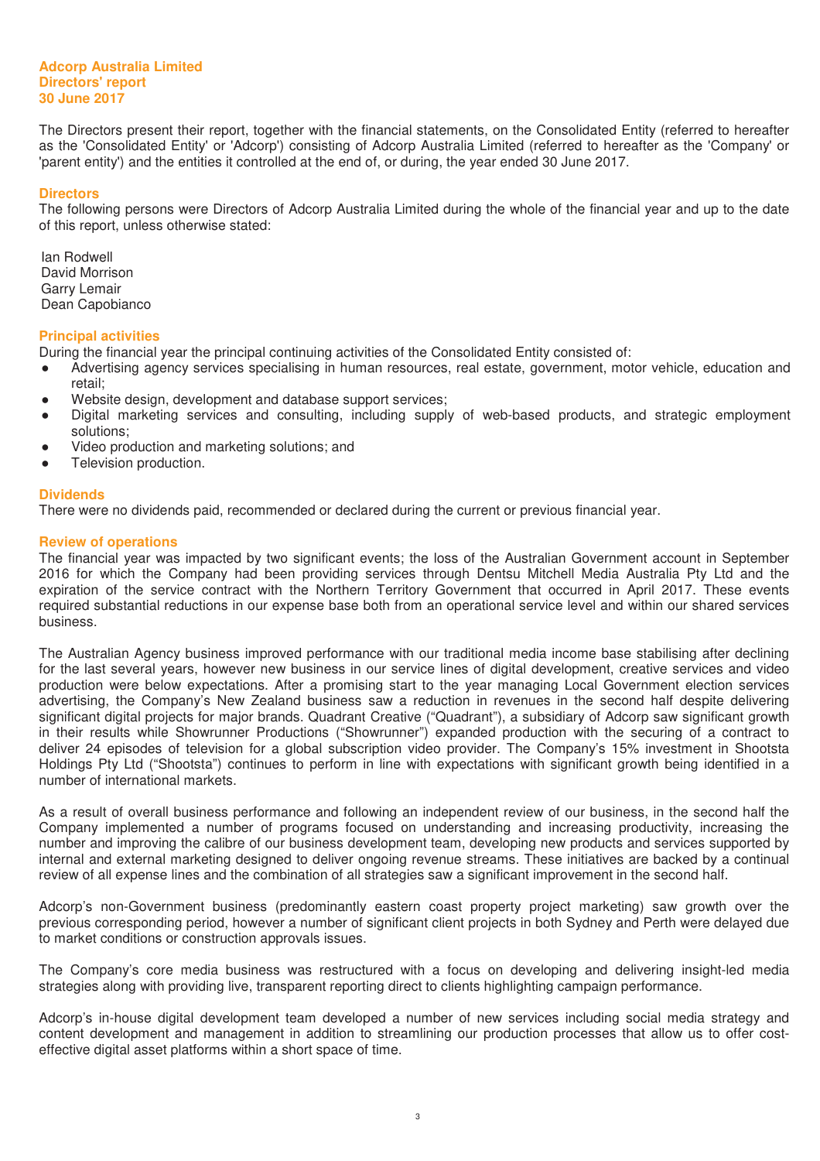The Directors present their report, together with the financial statements, on the Consolidated Entity (referred to hereafter as the 'Consolidated Entity' or 'Adcorp') consisting of Adcorp Australia Limited (referred to hereafter as the 'Company' or 'parent entity') and the entities it controlled at the end of, or during, the year ended 30 June 2017.

#### **Directors**

The following persons were Directors of Adcorp Australia Limited during the whole of the financial year and up to the date of this report, unless otherwise stated:

Ian Rodwell David Morrison Garry Lemair Dean Capobianco

#### **Principal activities**

During the financial year the principal continuing activities of the Consolidated Entity consisted of:

- Advertising agency services specialising in human resources, real estate, government, motor vehicle, education and retail;
- Ɣ Website design, development and database support services;
- Digital marketing services and consulting, including supply of web-based products, and strategic employment solutions;
- Ɣ Video production and marketing solutions; and
- Television production.

#### **Dividends**

There were no dividends paid, recommended or declared during the current or previous financial year.

#### **Review of operations**

The financial year was impacted by two significant events; the loss of the Australian Government account in September 2016 for which the Company had been providing services through Dentsu Mitchell Media Australia Pty Ltd and the expiration of the service contract with the Northern Territory Government that occurred in April 2017. These events required substantial reductions in our expense base both from an operational service level and within our shared services business.

The Australian Agency business improved performance with our traditional media income base stabilising after declining for the last several years, however new business in our service lines of digital development, creative services and video production were below expectations. After a promising start to the year managing Local Government election services advertising, the Company's New Zealand business saw a reduction in revenues in the second half despite delivering significant digital projects for major brands. Quadrant Creative ("Quadrant"), a subsidiary of Adcorp saw significant growth in their results while Showrunner Productions ("Showrunner") expanded production with the securing of a contract to deliver 24 episodes of television for a global subscription video provider. The Company's 15% investment in Shootsta Holdings Pty Ltd ("Shootsta") continues to perform in line with expectations with significant growth being identified in a number of international markets.

As a result of overall business performance and following an independent review of our business, in the second half the Company implemented a number of programs focused on understanding and increasing productivity, increasing the number and improving the calibre of our business development team, developing new products and services supported by internal and external marketing designed to deliver ongoing revenue streams. These initiatives are backed by a continual review of all expense lines and the combination of all strategies saw a significant improvement in the second half.

Adcorp's non-Government business (predominantly eastern coast property project marketing) saw growth over the previous corresponding period, however a number of significant client projects in both Sydney and Perth were delayed due to market conditions or construction approvals issues.

The Company's core media business was restructured with a focus on developing and delivering insight-led media strategies along with providing live, transparent reporting direct to clients highlighting campaign performance.

Adcorp's in-house digital development team developed a number of new services including social media strategy and content development and management in addition to streamlining our production processes that allow us to offer costeffective digital asset platforms within a short space of time.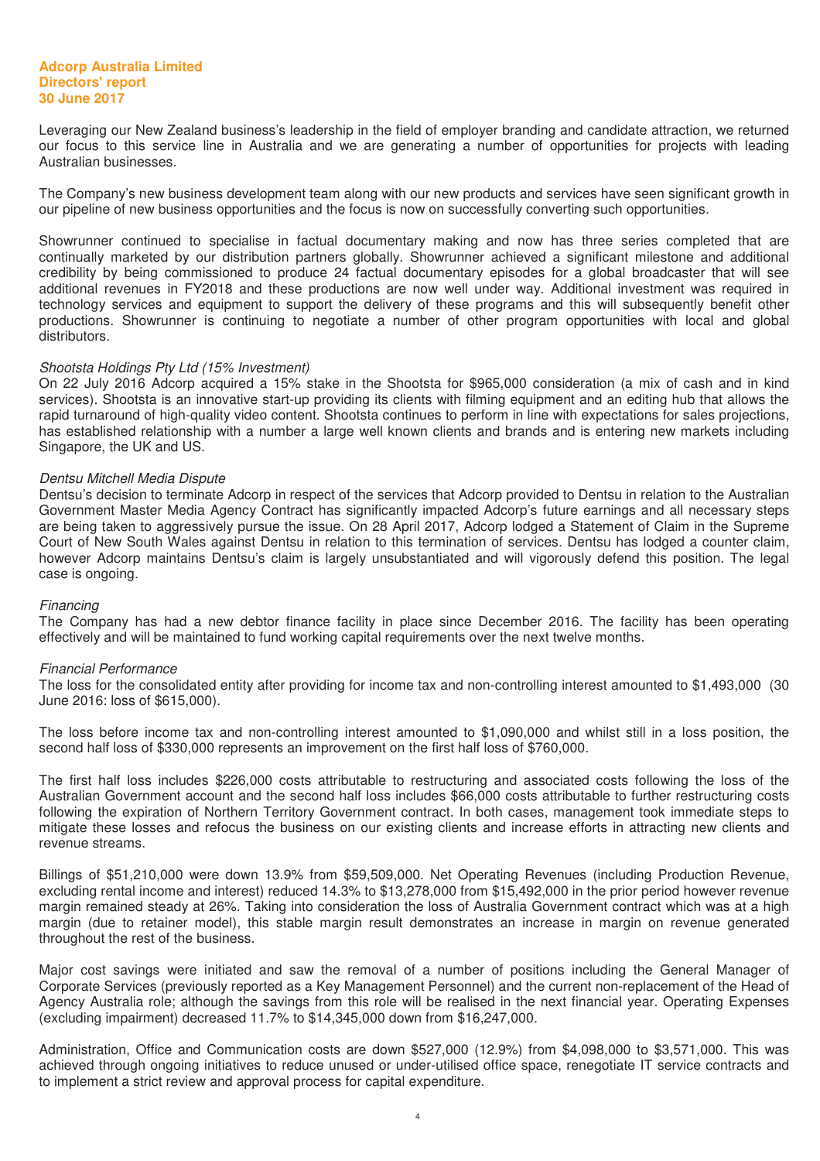Leveraging our New Zealand business's leadership in the field of employer branding and candidate attraction, we returned our focus to this service line in Australia and we are generating a number of opportunities for projects with leading Australian businesses.

The Company's new business development team along with our new products and services have seen significant growth in our pipeline of new business opportunities and the focus is now on successfully converting such opportunities.

Showrunner continued to specialise in factual documentary making and now has three series completed that are continually marketed by our distribution partners globally. Showrunner achieved a significant milestone and additional credibility by being commissioned to produce 24 factual documentary episodes for a global broadcaster that will see additional revenues in FY2018 and these productions are now well under way. Additional investment was required in technology services and equipment to support the delivery of these programs and this will subsequently benefit other productions. Showrunner is continuing to negotiate a number of other program opportunities with local and global distributors.

#### Shootsta Holdings Pty Ltd (15% Investment)

On 22 July 2016 Adcorp acquired a 15% stake in the Shootsta for \$965,000 consideration (a mix of cash and in kind services). Shootsta is an innovative start-up providing its clients with filming equipment and an editing hub that allows the rapid turnaround of high-quality video content. Shootsta continues to perform in line with expectations for sales projections, has established relationship with a number a large well known clients and brands and is entering new markets including Singapore, the UK and US.

#### Dentsu Mitchell Media Dispute

Dentsu's decision to terminate Adcorp in respect of the services that Adcorp provided to Dentsu in relation to the Australian Government Master Media Agency Contract has significantly impacted Adcorp's future earnings and all necessary steps are being taken to aggressively pursue the issue. On 28 April 2017, Adcorp lodged a Statement of Claim in the Supreme Court of New South Wales against Dentsu in relation to this termination of services. Dentsu has lodged a counter claim, however Adcorp maintains Dentsu's claim is largely unsubstantiated and will vigorously defend this position. The legal case is ongoing.

#### Financing

The Company has had a new debtor finance facility in place since December 2016. The facility has been operating effectively and will be maintained to fund working capital requirements over the next twelve months.

#### Financial Performance

The loss for the consolidated entity after providing for income tax and non-controlling interest amounted to \$1,493,000 (30 June 2016: loss of \$615,000).

The loss before income tax and non-controlling interest amounted to \$1,090,000 and whilst still in a loss position, the second half loss of \$330,000 represents an improvement on the first half loss of \$760,000.

The first half loss includes \$226,000 costs attributable to restructuring and associated costs following the loss of the Australian Government account and the second half loss includes \$66,000 costs attributable to further restructuring costs following the expiration of Northern Territory Government contract. In both cases, management took immediate steps to mitigate these losses and refocus the business on our existing clients and increase efforts in attracting new clients and revenue streams.

Billings of \$51,210,000 were down 13.9% from \$59,509,000. Net Operating Revenues (including Production Revenue, excluding rental income and interest) reduced 14.3% to \$13,278,000 from \$15,492,000 in the prior period however revenue margin remained steady at 26%. Taking into consideration the loss of Australia Government contract which was at a high margin (due to retainer model), this stable margin result demonstrates an increase in margin on revenue generated throughout the rest of the business.

Major cost savings were initiated and saw the removal of a number of positions including the General Manager of Corporate Services (previously reported as a Key Management Personnel) and the current non-replacement of the Head of Agency Australia role; although the savings from this role will be realised in the next financial year. Operating Expenses (excluding impairment) decreased 11.7% to \$14,345,000 down from \$16,247,000.

Administration, Office and Communication costs are down \$527,000 (12.9%) from \$4,098,000 to \$3,571,000. This was achieved through ongoing initiatives to reduce unused or under-utilised office space, renegotiate IT service contracts and to implement a strict review and approval process for capital expenditure.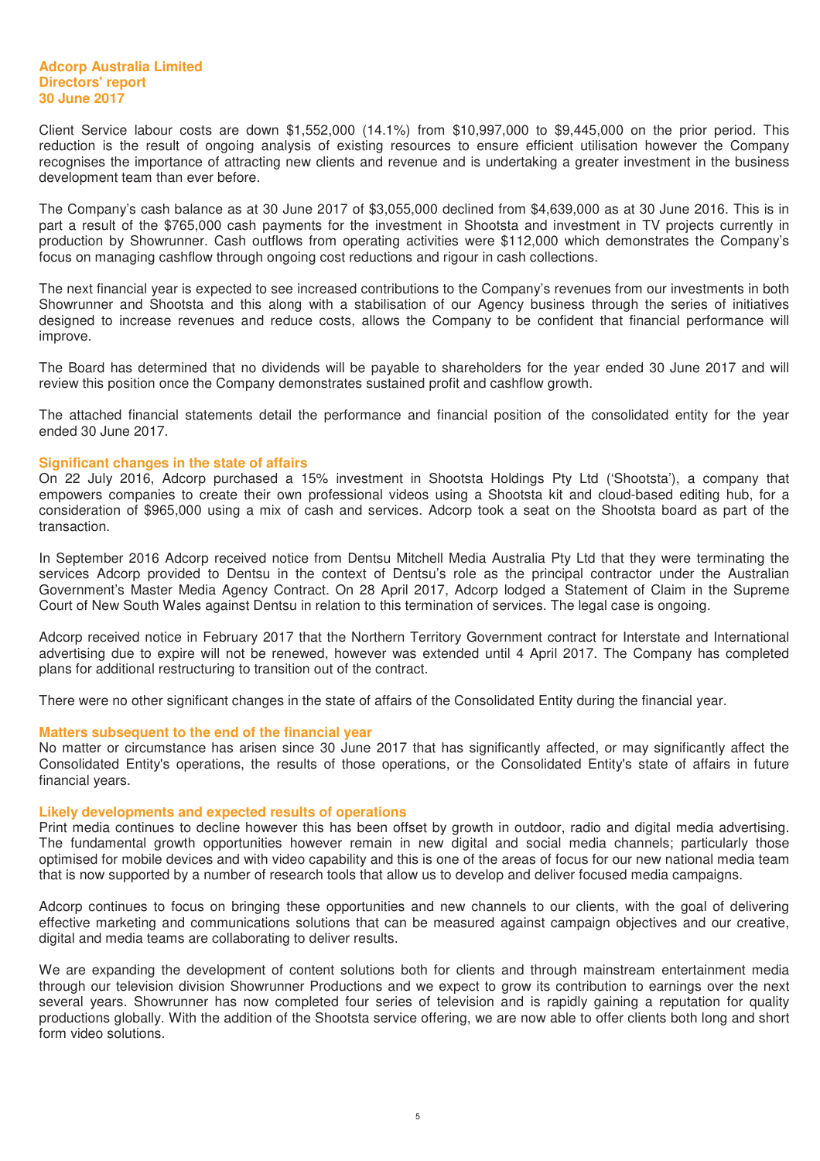Client Service labour costs are down \$1,552,000 (14.1%) from \$10,997,000 to \$9,445,000 on the prior period. This reduction is the result of ongoing analysis of existing resources to ensure efficient utilisation however the Company recognises the importance of attracting new clients and revenue and is undertaking a greater investment in the business development team than ever before.

The Company's cash balance as at 30 June 2017 of \$3,055,000 declined from \$4,639,000 as at 30 June 2016. This is in part a result of the \$765,000 cash payments for the investment in Shootsta and investment in TV projects currently in production by Showrunner. Cash outflows from operating activities were \$112,000 which demonstrates the Company's focus on managing cashflow through ongoing cost reductions and rigour in cash collections.

The next financial year is expected to see increased contributions to the Company's revenues from our investments in both Showrunner and Shootsta and this along with a stabilisation of our Agency business through the series of initiatives designed to increase revenues and reduce costs, allows the Company to be confident that financial performance will improve.

The Board has determined that no dividends will be payable to shareholders for the year ended 30 June 2017 and will review this position once the Company demonstrates sustained profit and cashflow growth.

The attached financial statements detail the performance and financial position of the consolidated entity for the year ended 30 June 2017.

#### **Significant changes in the state of affairs**

On 22 July 2016, Adcorp purchased a 15% investment in Shootsta Holdings Pty Ltd ('Shootsta'), a company that empowers companies to create their own professional videos using a Shootsta kit and cloud-based editing hub, for a consideration of \$965,000 using a mix of cash and services. Adcorp took a seat on the Shootsta board as part of the transaction.

In September 2016 Adcorp received notice from Dentsu Mitchell Media Australia Pty Ltd that they were terminating the services Adcorp provided to Dentsu in the context of Dentsu's role as the principal contractor under the Australian Government's Master Media Agency Contract. On 28 April 2017, Adcorp lodged a Statement of Claim in the Supreme Court of New South Wales against Dentsu in relation to this termination of services. The legal case is ongoing.

Adcorp received notice in February 2017 that the Northern Territory Government contract for Interstate and International advertising due to expire will not be renewed, however was extended until 4 April 2017. The Company has completed plans for additional restructuring to transition out of the contract.

There were no other significant changes in the state of affairs of the Consolidated Entity during the financial year.

#### **Matters subsequent to the end of the financial year**

No matter or circumstance has arisen since 30 June 2017 that has significantly affected, or may significantly affect the Consolidated Entity's operations, the results of those operations, or the Consolidated Entity's state of affairs in future financial years.

#### **Likely developments and expected results of operations**

Print media continues to decline however this has been offset by growth in outdoor, radio and digital media advertising. The fundamental growth opportunities however remain in new digital and social media channels; particularly those optimised for mobile devices and with video capability and this is one of the areas of focus for our new national media team that is now supported by a number of research tools that allow us to develop and deliver focused media campaigns.

Adcorp continues to focus on bringing these opportunities and new channels to our clients, with the goal of delivering effective marketing and communications solutions that can be measured against campaign objectives and our creative, digital and media teams are collaborating to deliver results.

We are expanding the development of content solutions both for clients and through mainstream entertainment media through our television division Showrunner Productions and we expect to grow its contribution to earnings over the next several years. Showrunner has now completed four series of television and is rapidly gaining a reputation for quality productions globally. With the addition of the Shootsta service offering, we are now able to offer clients both long and short form video solutions.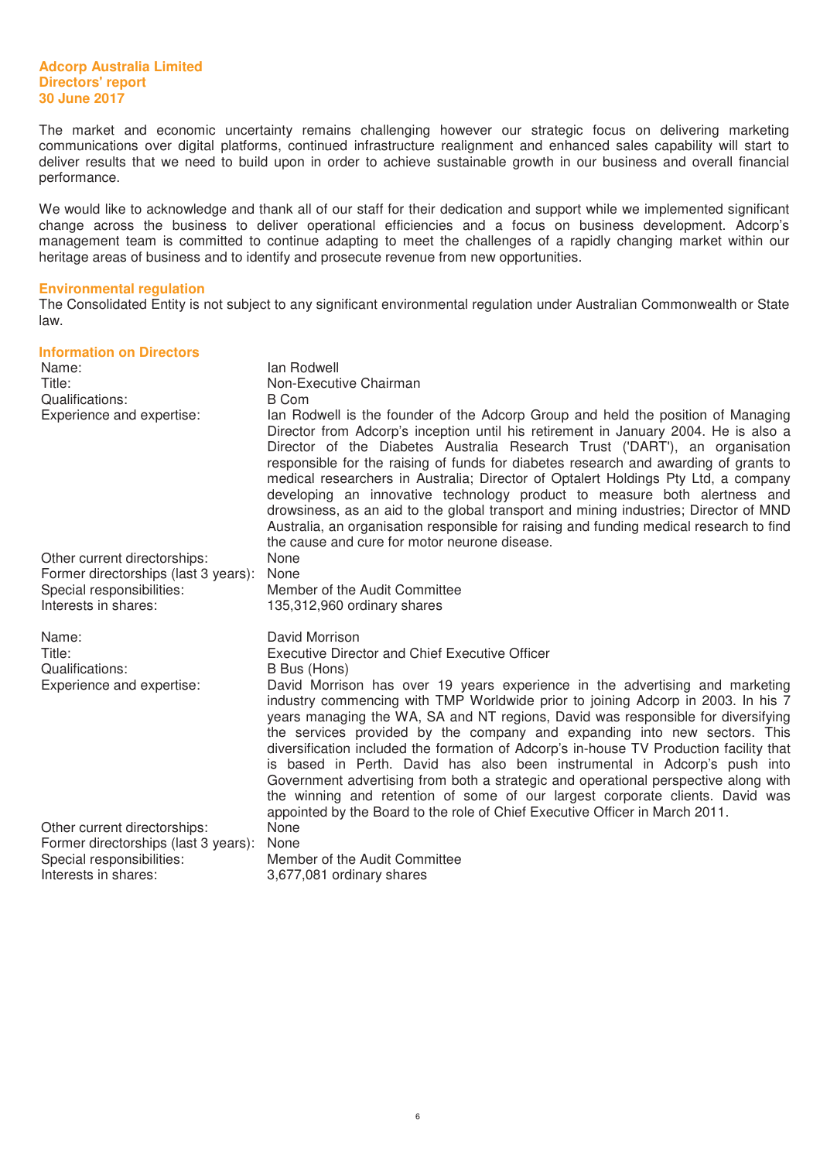The market and economic uncertainty remains challenging however our strategic focus on delivering marketing communications over digital platforms, continued infrastructure realignment and enhanced sales capability will start to deliver results that we need to build upon in order to achieve sustainable growth in our business and overall financial performance.

We would like to acknowledge and thank all of our staff for their dedication and support while we implemented significant change across the business to deliver operational efficiencies and a focus on business development. Adcorp's management team is committed to continue adapting to meet the challenges of a rapidly changing market within our heritage areas of business and to identify and prosecute revenue from new opportunities.

#### **Environmental regulation**

The Consolidated Entity is not subject to any significant environmental regulation under Australian Commonwealth or State law.

| <b>Information on Directors</b><br>Name:<br>Title:<br>Qualifications:<br>Experience and expertise: | lan Rodwell<br>Non-Executive Chairman<br><b>B</b> Com<br>lan Rodwell is the founder of the Adcorp Group and held the position of Managing<br>Director from Adcorp's inception until his retirement in January 2004. He is also a<br>Director of the Diabetes Australia Research Trust ('DART'), an organisation<br>responsible for the raising of funds for diabetes research and awarding of grants to<br>medical researchers in Australia; Director of Optalert Holdings Pty Ltd, a company<br>developing an innovative technology product to measure both alertness and<br>drowsiness, as an aid to the global transport and mining industries; Director of MND<br>Australia, an organisation responsible for raising and funding medical research to find<br>the cause and cure for motor neurone disease.                                               |
|----------------------------------------------------------------------------------------------------|--------------------------------------------------------------------------------------------------------------------------------------------------------------------------------------------------------------------------------------------------------------------------------------------------------------------------------------------------------------------------------------------------------------------------------------------------------------------------------------------------------------------------------------------------------------------------------------------------------------------------------------------------------------------------------------------------------------------------------------------------------------------------------------------------------------------------------------------------------------|
| Other current directorships:                                                                       | None                                                                                                                                                                                                                                                                                                                                                                                                                                                                                                                                                                                                                                                                                                                                                                                                                                                         |
| Former directorships (last 3 years):                                                               | None                                                                                                                                                                                                                                                                                                                                                                                                                                                                                                                                                                                                                                                                                                                                                                                                                                                         |
| Special responsibilities:                                                                          | Member of the Audit Committee                                                                                                                                                                                                                                                                                                                                                                                                                                                                                                                                                                                                                                                                                                                                                                                                                                |
| Interests in shares:                                                                               | 135,312,960 ordinary shares                                                                                                                                                                                                                                                                                                                                                                                                                                                                                                                                                                                                                                                                                                                                                                                                                                  |
| Name:<br>Title:<br>Qualifications:<br>Experience and expertise:                                    | David Morrison<br><b>Executive Director and Chief Executive Officer</b><br>B Bus (Hons)<br>David Morrison has over 19 years experience in the advertising and marketing<br>industry commencing with TMP Worldwide prior to joining Adcorp in 2003. In his 7<br>years managing the WA, SA and NT regions, David was responsible for diversifying<br>the services provided by the company and expanding into new sectors. This<br>diversification included the formation of Adcorp's in-house TV Production facility that<br>is based in Perth. David has also been instrumental in Adcorp's push into<br>Government advertising from both a strategic and operational perspective along with<br>the winning and retention of some of our largest corporate clients. David was<br>appointed by the Board to the role of Chief Executive Officer in March 2011. |
| Other current directorships:                                                                       | None                                                                                                                                                                                                                                                                                                                                                                                                                                                                                                                                                                                                                                                                                                                                                                                                                                                         |
| Former directorships (last 3 years):                                                               | None                                                                                                                                                                                                                                                                                                                                                                                                                                                                                                                                                                                                                                                                                                                                                                                                                                                         |
| Special responsibilities:                                                                          | Member of the Audit Committee                                                                                                                                                                                                                                                                                                                                                                                                                                                                                                                                                                                                                                                                                                                                                                                                                                |
| Interests in shares:                                                                               | 3,677,081 ordinary shares                                                                                                                                                                                                                                                                                                                                                                                                                                                                                                                                                                                                                                                                                                                                                                                                                                    |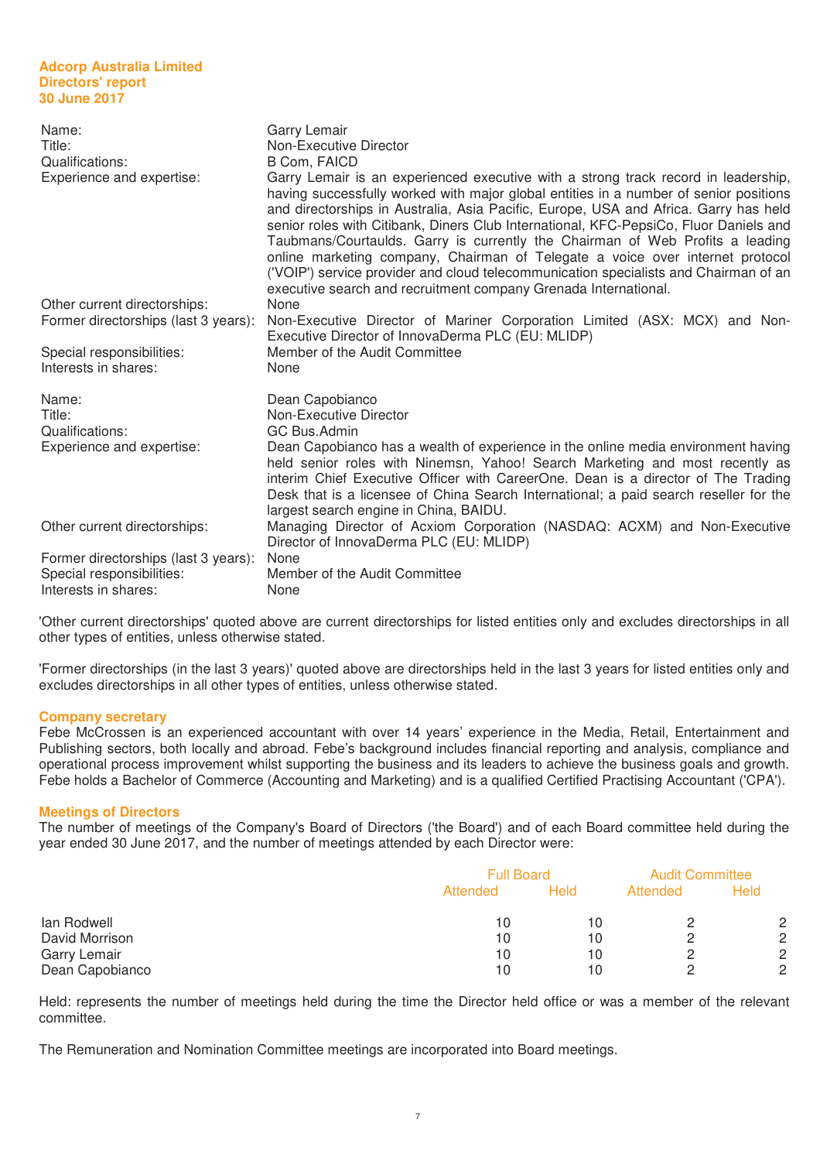| Name:<br>Title:<br>Qualifications:<br>Experience and expertise:      | Garry Lemair<br>Non-Executive Director<br><b>B Com, FAICD</b><br>Garry Lemair is an experienced executive with a strong track record in leadership,<br>having successfully worked with major global entities in a number of senior positions<br>and directorships in Australia, Asia Pacific, Europe, USA and Africa. Garry has held<br>senior roles with Citibank, Diners Club International, KFC-PepsiCo, Fluor Daniels and<br>Taubmans/Courtaulds. Garry is currently the Chairman of Web Profits a leading<br>online marketing company, Chairman of Telegate a voice over internet protocol<br>('VOIP') service provider and cloud telecommunication specialists and Chairman of an<br>executive search and recruitment company Grenada International. |
|----------------------------------------------------------------------|------------------------------------------------------------------------------------------------------------------------------------------------------------------------------------------------------------------------------------------------------------------------------------------------------------------------------------------------------------------------------------------------------------------------------------------------------------------------------------------------------------------------------------------------------------------------------------------------------------------------------------------------------------------------------------------------------------------------------------------------------------|
| Other current directorships:<br>Former directorships (last 3 years): | None<br>Non-Executive Director of Mariner Corporation Limited (ASX: MCX) and Non-<br>Executive Director of InnovaDerma PLC (EU: MLIDP)                                                                                                                                                                                                                                                                                                                                                                                                                                                                                                                                                                                                                     |
| Special responsibilities:<br>Interests in shares:                    | Member of the Audit Committee<br>None                                                                                                                                                                                                                                                                                                                                                                                                                                                                                                                                                                                                                                                                                                                      |
| Name:<br>Title:<br>Qualifications:                                   | Dean Capobianco<br>Non-Executive Director<br>GC Bus.Admin                                                                                                                                                                                                                                                                                                                                                                                                                                                                                                                                                                                                                                                                                                  |
| Experience and expertise:                                            | Dean Capobianco has a wealth of experience in the online media environment having<br>held senior roles with Ninemsn, Yahoo! Search Marketing and most recently as<br>interim Chief Executive Officer with CareerOne. Dean is a director of The Trading<br>Desk that is a licensee of China Search International; a paid search reseller for the<br>largest search engine in China, BAIDU.                                                                                                                                                                                                                                                                                                                                                                  |
| Other current directorships:                                         | Managing Director of Acxiom Corporation (NASDAQ: ACXM) and Non-Executive<br>Director of InnovaDerma PLC (EU: MLIDP)                                                                                                                                                                                                                                                                                                                                                                                                                                                                                                                                                                                                                                        |
| Former directorships (last 3 years):                                 | None                                                                                                                                                                                                                                                                                                                                                                                                                                                                                                                                                                                                                                                                                                                                                       |
| Special responsibilities:                                            | Member of the Audit Committee                                                                                                                                                                                                                                                                                                                                                                                                                                                                                                                                                                                                                                                                                                                              |
| Interests in shares:                                                 | None                                                                                                                                                                                                                                                                                                                                                                                                                                                                                                                                                                                                                                                                                                                                                       |

'Other current directorships' quoted above are current directorships for listed entities only and excludes directorships in all other types of entities, unless otherwise stated.

'Former directorships (in the last 3 years)' quoted above are directorships held in the last 3 years for listed entities only and excludes directorships in all other types of entities, unless otherwise stated.

#### **Company secretary**

Febe McCrossen is an experienced accountant with over 14 years' experience in the Media, Retail, Entertainment and Publishing sectors, both locally and abroad. Febe's background includes financial reporting and analysis, compliance and operational process improvement whilst supporting the business and its leaders to achieve the business goals and growth. Febe holds a Bachelor of Commerce (Accounting and Marketing) and is a qualified Certified Practising Accountant ('CPA').

#### **Meetings of Directors**

The number of meetings of the Company's Board of Directors ('the Board') and of each Board committee held during the year ended 30 June 2017, and the number of meetings attended by each Director were:

|                 | <b>Full Board</b> |             |          | <b>Audit Committee</b> |
|-----------------|-------------------|-------------|----------|------------------------|
|                 | Attended          | <b>Held</b> | Attended | <b>Held</b>            |
| lan Rodwell     | 10                | 10          |          | 2                      |
| David Morrison  | 10                | 10          |          | $\mathbf{2}^{\circ}$   |
| Garry Lemair    | 10                | 10          |          | $\overline{2}$         |
| Dean Capobianco | 10                | 10          |          | 2                      |

Held: represents the number of meetings held during the time the Director held office or was a member of the relevant committee.

The Remuneration and Nomination Committee meetings are incorporated into Board meetings.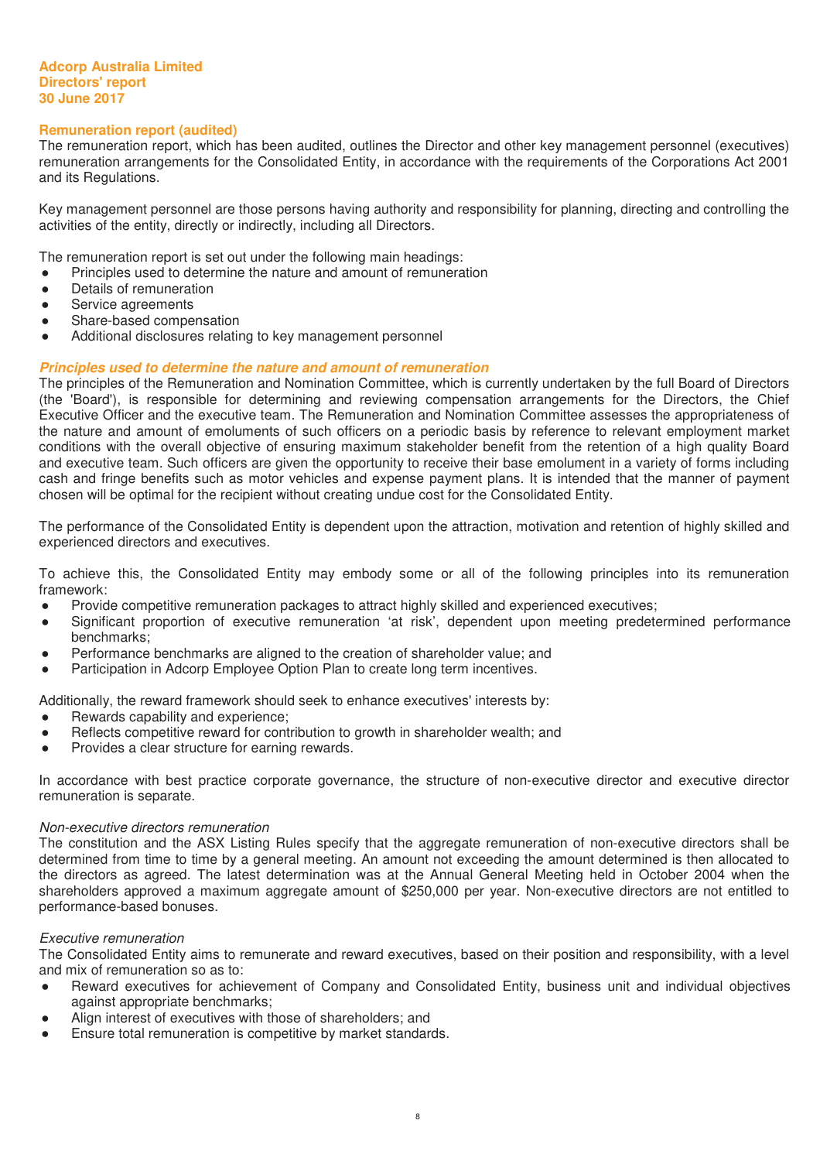# **Remuneration report (audited)**

The remuneration report, which has been audited, outlines the Director and other key management personnel (executives) remuneration arrangements for the Consolidated Entity, in accordance with the requirements of the Corporations Act 2001 and its Regulations.

Key management personnel are those persons having authority and responsibility for planning, directing and controlling the activities of the entity, directly or indirectly, including all Directors.

The remuneration report is set out under the following main headings:

- Principles used to determine the nature and amount of remuneration
- Details of remuneration
- Service agreements
- Share-based compensation
- Additional disclosures relating to key management personnel

# *Principles used to determine the nature and amount of remuneration*

The principles of the Remuneration and Nomination Committee, which is currently undertaken by the full Board of Directors (the 'Board'), is responsible for determining and reviewing compensation arrangements for the Directors, the Chief Executive Officer and the executive team. The Remuneration and Nomination Committee assesses the appropriateness of the nature and amount of emoluments of such officers on a periodic basis by reference to relevant employment market conditions with the overall objective of ensuring maximum stakeholder benefit from the retention of a high quality Board and executive team. Such officers are given the opportunity to receive their base emolument in a variety of forms including cash and fringe benefits such as motor vehicles and expense payment plans. It is intended that the manner of payment chosen will be optimal for the recipient without creating undue cost for the Consolidated Entity.

The performance of the Consolidated Entity is dependent upon the attraction, motivation and retention of highly skilled and experienced directors and executives.

To achieve this, the Consolidated Entity may embody some or all of the following principles into its remuneration framework:

- Ɣ Provide competitive remuneration packages to attract highly skilled and experienced executives;
- Significant proportion of executive remuneration 'at risk', dependent upon meeting predetermined performance benchmarks;
- Ɣ Performance benchmarks are aligned to the creation of shareholder value; and
- Participation in Adcorp Employee Option Plan to create long term incentives.

Additionally, the reward framework should seek to enhance executives' interests by:

- Rewards capability and experience;
- Reflects competitive reward for contribution to growth in shareholder wealth; and
- Provides a clear structure for earning rewards.

In accordance with best practice corporate governance, the structure of non-executive director and executive director remuneration is separate.

#### Non-executive directors remuneration

The constitution and the ASX Listing Rules specify that the aggregate remuneration of non-executive directors shall be determined from time to time by a general meeting. An amount not exceeding the amount determined is then allocated to the directors as agreed. The latest determination was at the Annual General Meeting held in October 2004 when the shareholders approved a maximum aggregate amount of \$250,000 per year. Non-executive directors are not entitled to performance-based bonuses.

# Executive remuneration

The Consolidated Entity aims to remunerate and reward executives, based on their position and responsibility, with a level and mix of remuneration so as to:

- Reward executives for achievement of Company and Consolidated Entity, business unit and individual objectives against appropriate benchmarks;
- Align interest of executives with those of shareholders; and
- Ensure total remuneration is competitive by market standards.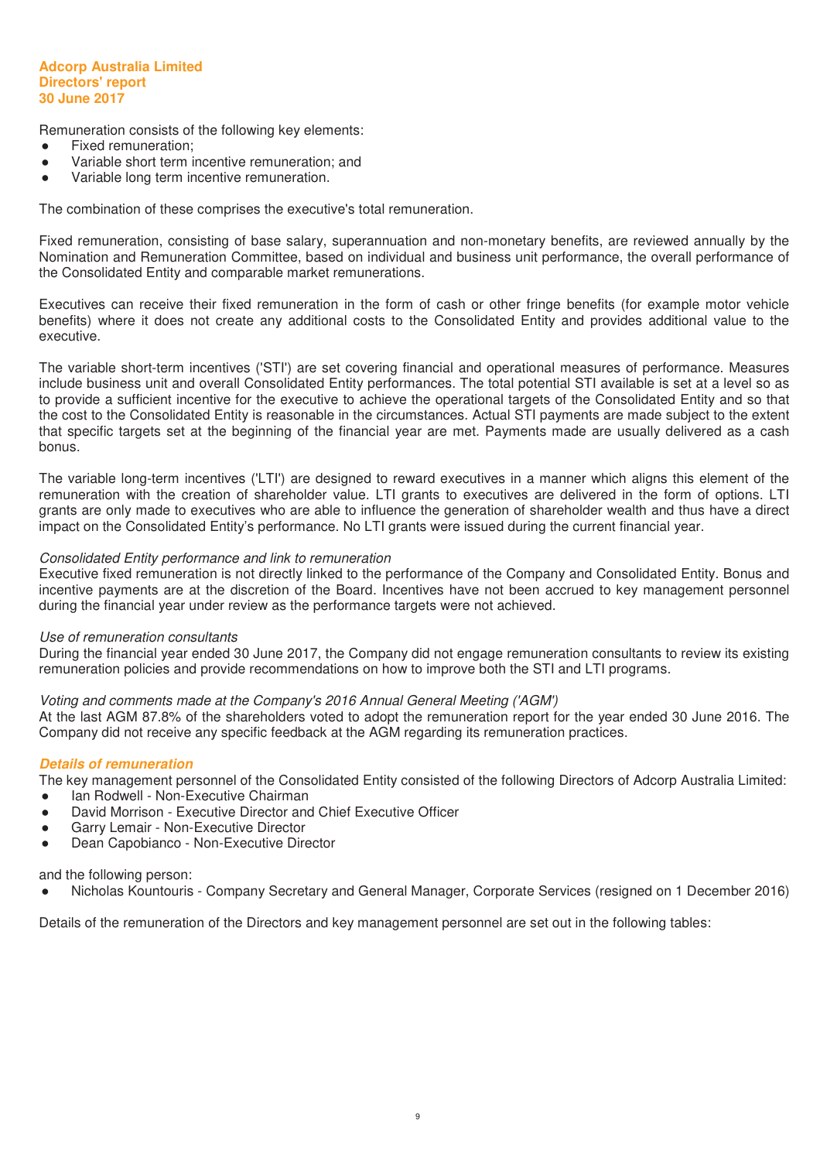Remuneration consists of the following key elements:

- Fixed remuneration:
- Variable short term incentive remuneration: and
- Variable long term incentive remuneration.

The combination of these comprises the executive's total remuneration.

Fixed remuneration, consisting of base salary, superannuation and non-monetary benefits, are reviewed annually by the Nomination and Remuneration Committee, based on individual and business unit performance, the overall performance of the Consolidated Entity and comparable market remunerations.

Executives can receive their fixed remuneration in the form of cash or other fringe benefits (for example motor vehicle benefits) where it does not create any additional costs to the Consolidated Entity and provides additional value to the executive.

The variable short-term incentives ('STI') are set covering financial and operational measures of performance. Measures include business unit and overall Consolidated Entity performances. The total potential STI available is set at a level so as to provide a sufficient incentive for the executive to achieve the operational targets of the Consolidated Entity and so that the cost to the Consolidated Entity is reasonable in the circumstances. Actual STI payments are made subject to the extent that specific targets set at the beginning of the financial year are met. Payments made are usually delivered as a cash bonus.

The variable long-term incentives ('LTI') are designed to reward executives in a manner which aligns this element of the remuneration with the creation of shareholder value. LTI grants to executives are delivered in the form of options. LTI grants are only made to executives who are able to influence the generation of shareholder wealth and thus have a direct impact on the Consolidated Entity's performance. No LTI grants were issued during the current financial year.

#### Consolidated Entity performance and link to remuneration

Executive fixed remuneration is not directly linked to the performance of the Company and Consolidated Entity. Bonus and incentive payments are at the discretion of the Board. Incentives have not been accrued to key management personnel during the financial year under review as the performance targets were not achieved.

#### Use of remuneration consultants

During the financial year ended 30 June 2017, the Company did not engage remuneration consultants to review its existing remuneration policies and provide recommendations on how to improve both the STI and LTI programs.

# Voting and comments made at the Company's 2016 Annual General Meeting ('AGM')

At the last AGM 87.8% of the shareholders voted to adopt the remuneration report for the year ended 30 June 2016. The Company did not receive any specific feedback at the AGM regarding its remuneration practices.

#### *Details of remuneration*

The key management personnel of the Consolidated Entity consisted of the following Directors of Adcorp Australia Limited:

- Ian Rodwell Non-Executive Chairman
- David Morrison Executive Director and Chief Executive Officer
- Garry Lemair Non-Executive Director
- Dean Capobianco Non-Executive Director

and the following person:

Ɣ Nicholas Kountouris - Company Secretary and General Manager, Corporate Services (resigned on 1 December 2016)

Details of the remuneration of the Directors and key management personnel are set out in the following tables: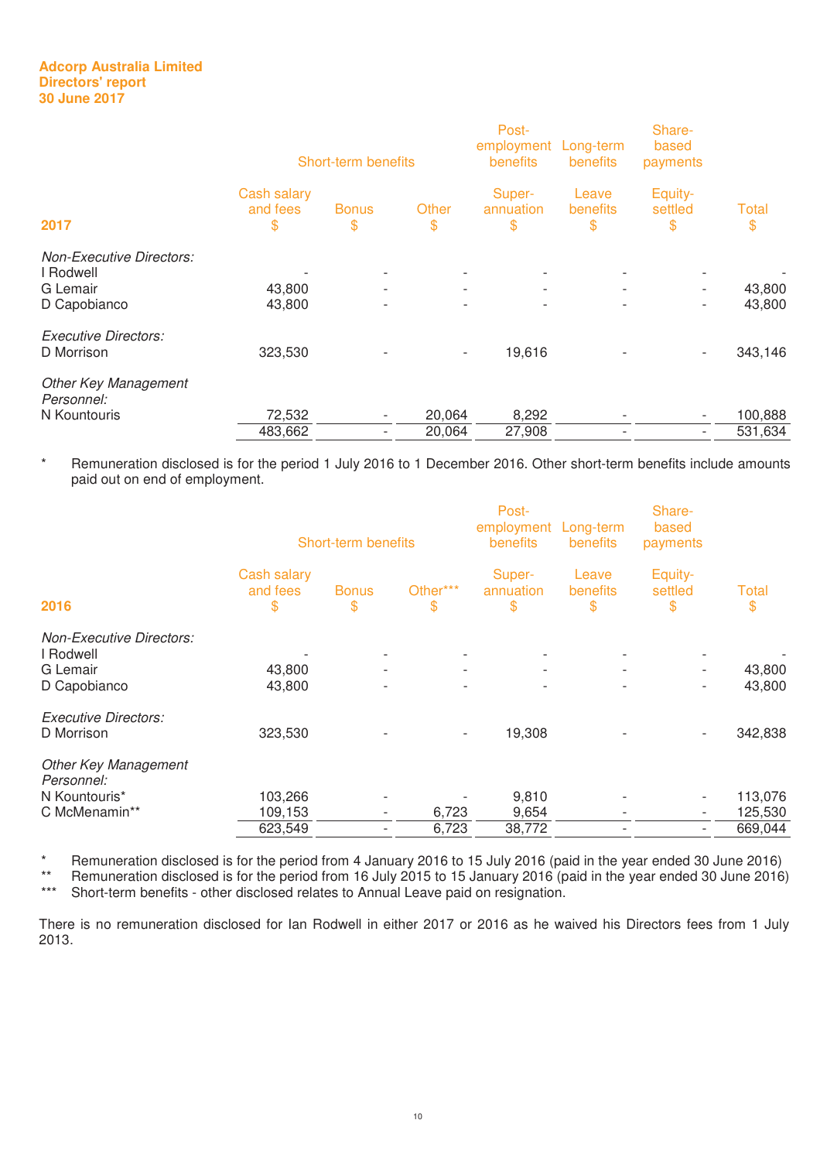|                                              |                               | Short-term benefits      |                          | Post-<br>employment Long-term<br>benefits | <b>benefits</b>          | Share-<br>based<br>payments |             |
|----------------------------------------------|-------------------------------|--------------------------|--------------------------|-------------------------------------------|--------------------------|-----------------------------|-------------|
| 2017                                         | Cash salary<br>and fees<br>\$ | <b>Bonus</b><br>\$       | Other<br>\$              | Super-<br>annuation<br>\$                 | Leave<br>benefits<br>\$  | Equity-<br>settled<br>\$    | Total<br>\$ |
| <b>Non-Executive Directors:</b><br>I Rodwell |                               | $\overline{\phantom{a}}$ |                          |                                           |                          |                             |             |
| G Lemair                                     | 43,800                        | $\overline{\phantom{a}}$ | $\overline{\phantom{a}}$ | $\overline{\phantom{a}}$                  | $\overline{\phantom{a}}$ | $\overline{\phantom{a}}$    | 43,800      |
| D Capobianco                                 | 43,800                        | $\overline{\phantom{0}}$ |                          |                                           |                          | $\overline{\phantom{a}}$    | 43,800      |
| <b>Executive Directors:</b><br>D Morrison    | 323,530                       | ٠                        | $\overline{\phantom{a}}$ | 19,616                                    |                          | $\overline{\phantom{0}}$    | 343,146     |
| <b>Other Key Management</b><br>Personnel:    |                               |                          |                          |                                           |                          |                             |             |
| N Kountouris                                 | 72,532                        | $\overline{\phantom{a}}$ | 20,064                   | 8,292                                     |                          | $\overline{\phantom{a}}$    | 100,888     |
|                                              | 483,662                       | $\overline{\phantom{a}}$ | 20,064                   | 27,908                                    |                          | $\overline{\phantom{a}}$    | 531,634     |

\* Remuneration disclosed is for the period 1 July 2016 to 1 December 2016. Other short-term benefits include amounts paid out on end of employment.

|                                              |                               | Short-term benefits      |                          | Post-<br>employment Long-term<br>benefits | <b>benefits</b>          | Share-<br>based<br>payments |             |
|----------------------------------------------|-------------------------------|--------------------------|--------------------------|-------------------------------------------|--------------------------|-----------------------------|-------------|
| 2016                                         | Cash salary<br>and fees<br>\$ | <b>Bonus</b><br>\$       | Other***<br>$\mathbf s$  | Super-<br>annuation<br>$\$\$              | Leave<br>benefits<br>\$  | Equity-<br>settled<br>\$    | Total<br>\$ |
| <b>Non-Executive Directors:</b><br>I Rodwell |                               |                          |                          |                                           |                          |                             |             |
| G Lemair                                     | 43,800                        | $\overline{\phantom{0}}$ | $\overline{\phantom{a}}$ | $\overline{\phantom{a}}$                  | $\overline{\phantom{a}}$ | $\overline{\phantom{a}}$    | 43,800      |
| D Capobianco                                 | 43,800                        | $\overline{\phantom{0}}$ | -                        | $\overline{\phantom{a}}$                  | $\overline{\phantom{a}}$ | $\overline{\phantom{0}}$    | 43,800      |
| <b>Executive Directors:</b>                  |                               |                          |                          |                                           |                          |                             |             |
| D Morrison                                   | 323,530                       |                          | $\overline{\phantom{a}}$ | 19,308                                    |                          |                             | 342,838     |
| <b>Other Key Management</b><br>Personnel:    |                               |                          |                          |                                           |                          |                             |             |
| N Kountouris*                                | 103,266                       |                          |                          | 9,810                                     |                          | $\overline{\phantom{a}}$    | 113,076     |
| C McMenamin**                                | 109,153                       | $\overline{\phantom{a}}$ | 6,723                    | 9,654                                     | $\overline{\phantom{a}}$ | $\overline{\phantom{a}}$    | 125,530     |
|                                              | 623,549                       | $\overline{a}$           | 6,723                    | 38,772                                    |                          | $\overline{\phantom{a}}$    | 669,044     |
|                                              |                               |                          |                          |                                           |                          |                             |             |

\* Remuneration disclosed is for the period from 4 January 2016 to 15 July 2016 (paid in the year ended 30 June 2016)

\*\* Remuneration disclosed is for the period from 16 July 2015 to 15 January 2016 (paid in the year ended 30 June 2016)<br>\*\*\* Short-term benefits - other disclosed relates to Annual Leave paid on resignation

Short-term benefits - other disclosed relates to Annual Leave paid on resignation.

There is no remuneration disclosed for Ian Rodwell in either 2017 or 2016 as he waived his Directors fees from 1 July 2013.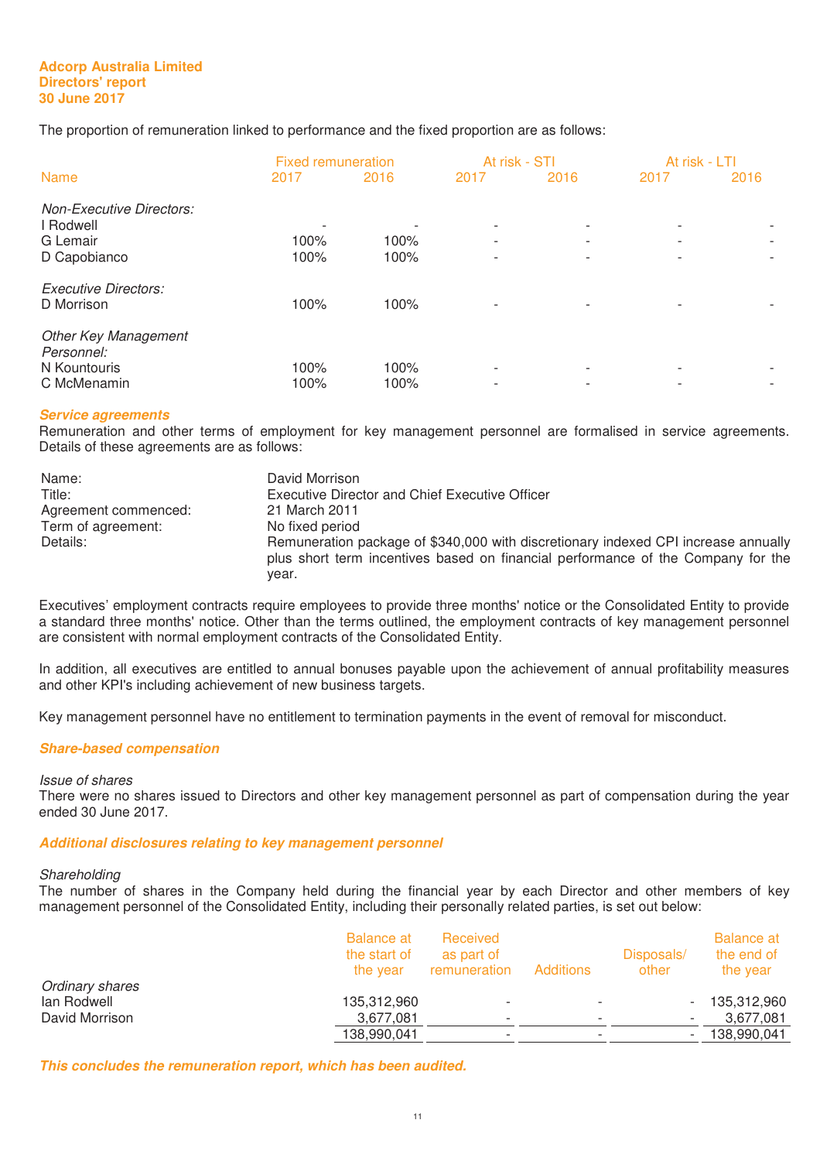The proportion of remuneration linked to performance and the fixed proportion are as follows:

|                                                          |      | <b>Fixed remuneration</b> |                                                      | At risk - STI            | At risk - LTI |      |
|----------------------------------------------------------|------|---------------------------|------------------------------------------------------|--------------------------|---------------|------|
| <b>Name</b>                                              | 2017 | 2016                      | 2017                                                 | 2016                     | 2017          | 2016 |
| <b>Non-Executive Directors:</b><br>I Rodwell<br>G Lemair | 100% | 100%                      | $\overline{\phantom{a}}$<br>$\overline{\phantom{a}}$ | $\overline{\phantom{0}}$ |               |      |
| D Capobianco                                             | 100% | 100%                      | $\overline{\phantom{a}}$                             |                          |               |      |
| <b>Executive Directors:</b><br>D Morrison                | 100% | 100%                      | $\overline{\phantom{0}}$                             |                          |               |      |
| <b>Other Key Management</b><br>Personnel:                |      |                           |                                                      |                          |               |      |
| N Kountouris                                             | 100% | 100%                      | $\overline{\phantom{a}}$                             |                          |               |      |
| C McMenamin                                              | 100% | 100%                      | $\overline{\phantom{0}}$                             |                          |               | -    |

# *Service agreements*

Remuneration and other terms of employment for key management personnel are formalised in service agreements. Details of these agreements are as follows:

| Name:                | David Morrison                                                                                                                                                         |
|----------------------|------------------------------------------------------------------------------------------------------------------------------------------------------------------------|
| Title:               | Executive Director and Chief Executive Officer                                                                                                                         |
| Agreement commenced: | 21 March 2011                                                                                                                                                          |
| Term of agreement:   | No fixed period                                                                                                                                                        |
| Details:             | Remuneration package of \$340,000 with discretionary indexed CPI increase annually<br>plus short term incentives based on financial performance of the Company for the |
|                      | vear.                                                                                                                                                                  |

Executives' employment contracts require employees to provide three months' notice or the Consolidated Entity to provide a standard three months' notice. Other than the terms outlined, the employment contracts of key management personnel are consistent with normal employment contracts of the Consolidated Entity.

In addition, all executives are entitled to annual bonuses payable upon the achievement of annual profitability measures and other KPI's including achievement of new business targets.

Key management personnel have no entitlement to termination payments in the event of removal for misconduct.

# *Share-based compensation*

#### Issue of shares

There were no shares issued to Directors and other key management personnel as part of compensation during the year ended 30 June 2017.

#### *Additional disclosures relating to key management personnel*

# Shareholding

The number of shares in the Company held during the financial year by each Director and other members of key management personnel of the Consolidated Entity, including their personally related parties, is set out below:

|                 | <b>Balance at</b><br>the start of<br>the year | Received<br>as part of<br>remuneration | <b>Additions</b> | Disposals/<br>other | <b>Balance at</b><br>the end of<br>the year |
|-----------------|-----------------------------------------------|----------------------------------------|------------------|---------------------|---------------------------------------------|
| Ordinary shares |                                               |                                        |                  |                     |                                             |
| lan Rodwell     | 135,312,960                                   | $\overline{\phantom{a}}$               |                  |                     | 135,312,960                                 |
| David Morrison  | 3,677,081                                     | $\overline{\phantom{a}}$               |                  |                     | 3.677.081                                   |
|                 | 138,990,041                                   | $\overline{\phantom{a}}$               |                  |                     | 138,990,041                                 |

*This concludes the remuneration report, which has been audited.*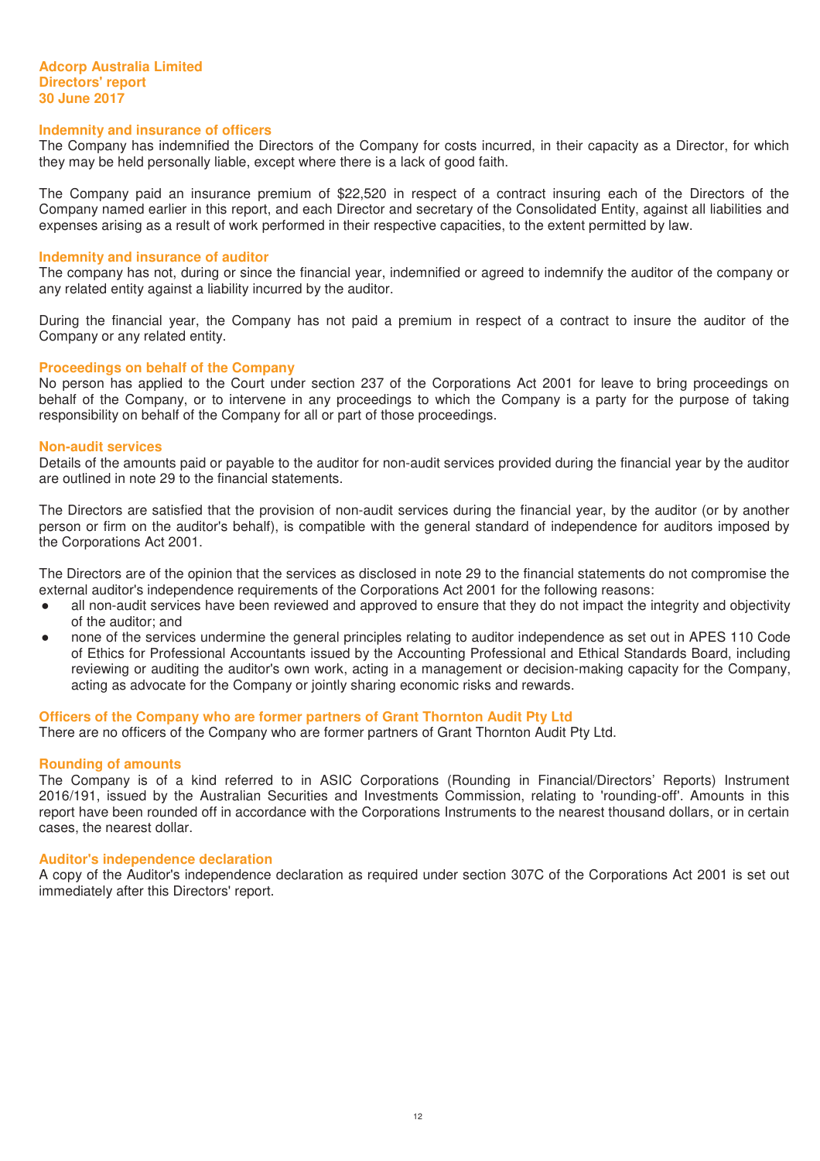#### **Indemnity and insurance of officers**

The Company has indemnified the Directors of the Company for costs incurred, in their capacity as a Director, for which they may be held personally liable, except where there is a lack of good faith.

The Company paid an insurance premium of \$22,520 in respect of a contract insuring each of the Directors of the Company named earlier in this report, and each Director and secretary of the Consolidated Entity, against all liabilities and expenses arising as a result of work performed in their respective capacities, to the extent permitted by law.

#### **Indemnity and insurance of auditor**

The company has not, during or since the financial year, indemnified or agreed to indemnify the auditor of the company or any related entity against a liability incurred by the auditor.

During the financial year, the Company has not paid a premium in respect of a contract to insure the auditor of the Company or any related entity.

#### **Proceedings on behalf of the Company**

No person has applied to the Court under section 237 of the Corporations Act 2001 for leave to bring proceedings on behalf of the Company, or to intervene in any proceedings to which the Company is a party for the purpose of taking responsibility on behalf of the Company for all or part of those proceedings.

#### **Non-audit services**

Details of the amounts paid or payable to the auditor for non-audit services provided during the financial year by the auditor are outlined in note 29 to the financial statements.

The Directors are satisfied that the provision of non-audit services during the financial year, by the auditor (or by another person or firm on the auditor's behalf), is compatible with the general standard of independence for auditors imposed by the Corporations Act 2001.

The Directors are of the opinion that the services as disclosed in note 29 to the financial statements do not compromise the external auditor's independence requirements of the Corporations Act 2001 for the following reasons:

- all non-audit services have been reviewed and approved to ensure that they do not impact the integrity and objectivity of the auditor; and
- none of the services undermine the general principles relating to auditor independence as set out in APES 110 Code of Ethics for Professional Accountants issued by the Accounting Professional and Ethical Standards Board, including reviewing or auditing the auditor's own work, acting in a management or decision-making capacity for the Company, acting as advocate for the Company or jointly sharing economic risks and rewards.

# **Officers of the Company who are former partners of Grant Thornton Audit Pty Ltd**

There are no officers of the Company who are former partners of Grant Thornton Audit Pty Ltd.

#### **Rounding of amounts**

The Company is of a kind referred to in ASIC Corporations (Rounding in Financial/Directors' Reports) Instrument 2016/191, issued by the Australian Securities and Investments Commission, relating to 'rounding-off'. Amounts in this report have been rounded off in accordance with the Corporations Instruments to the nearest thousand dollars, or in certain cases, the nearest dollar.

#### **Auditor's independence declaration**

A copy of the Auditor's independence declaration as required under section 307C of the Corporations Act 2001 is set out immediately after this Directors' report.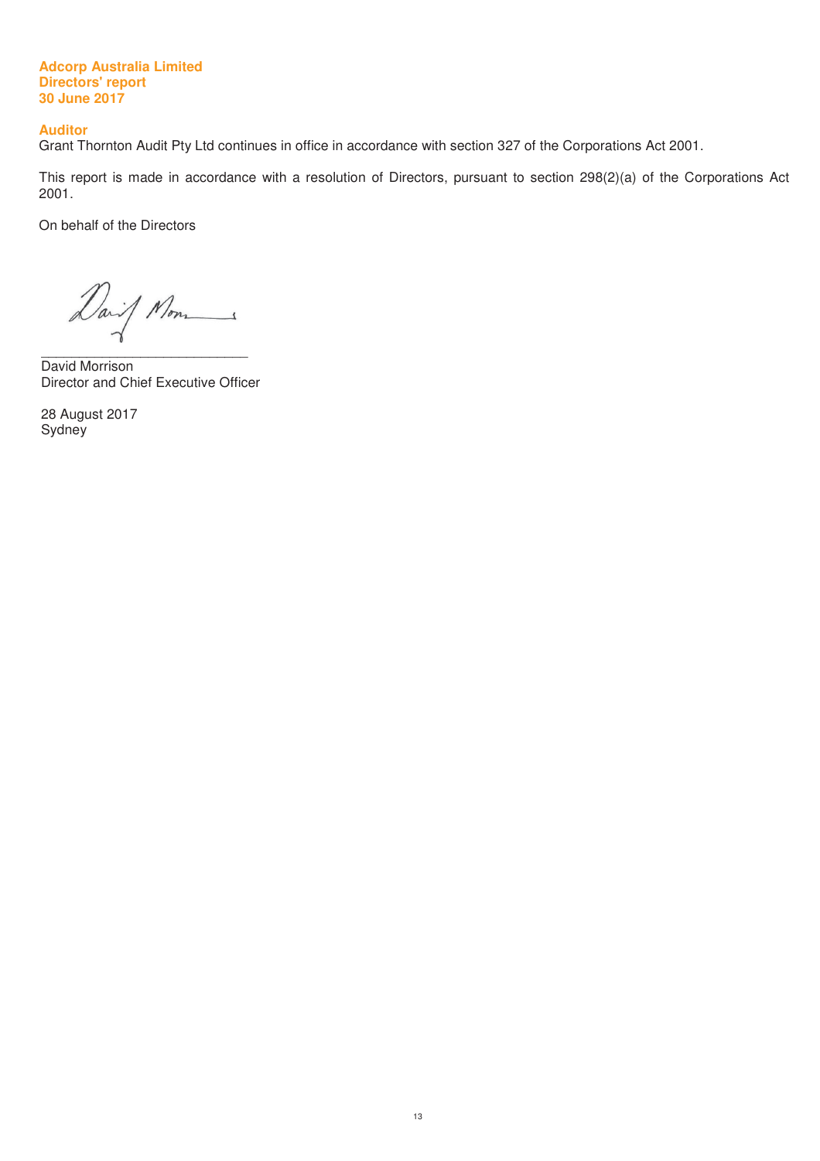#### **Auditor**

Grant Thornton Audit Pty Ltd continues in office in accordance with section 327 of the Corporations Act 2001.

This report is made in accordance with a resolution of Directors, pursuant to section 298(2)(a) of the Corporations Act 2001.

On behalf of the Directors

 $\overline{\phantom{a}}$  , and the set of the set of the set of the set of the set of the set of the set of the set of the set of the set of the set of the set of the set of the set of the set of the set of the set of the set of the s David Morrison Director and Chief Executive Officer

28 August 2017 **Sydney**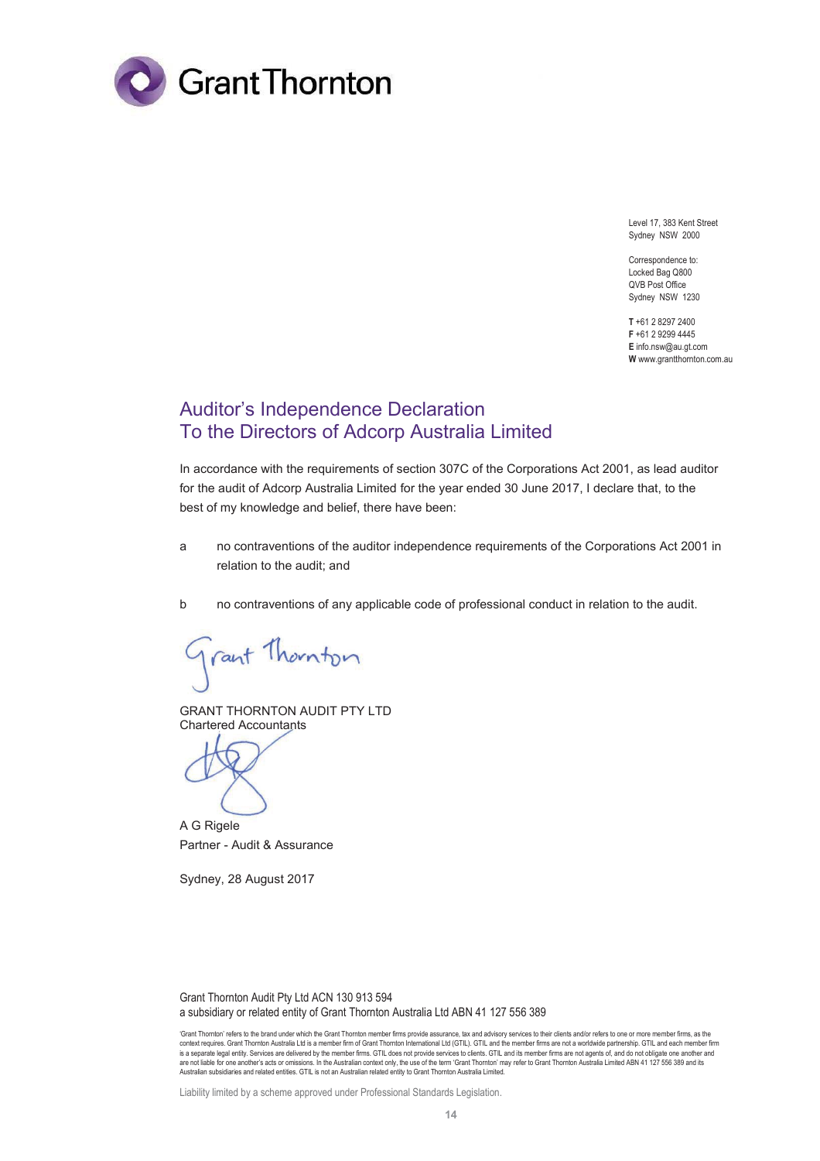

Level 17, 383 Kent Street Sydney NSW 2000

Correspondence to: Locked Bag Q800 QVB Post Office Sydney NSW 1230

**T** +61 2 8297 2400 **F** +61 2 9299 4445 **E** info.nsw@au.gt.com **W** www.grantthornton.com.au

# Auditor's Independence Declaration To the Directors of Adcorp Australia Limited

In accordance with the requirements of section 307C of the Corporations Act 2001, as lead auditor for the audit of Adcorp Australia Limited for the year ended 30 June 2017, I declare that, to the best of my knowledge and belief, there have been:

- a no contraventions of the auditor independence requirements of the Corporations Act 2001 in relation to the audit; and
- b no contraventions of any applicable code of professional conduct in relation to the audit.

Trant Thornton

GRANT THORNTON AUDIT PTY LTD Chartered Accountants

A G Rigele Partner - Audit & Assurance

Sydney, 28 August 2017

Grant Thornton Audit Pty Ltd ACN 130 913 594 a subsidiary or related entity of Grant Thornton Australia Ltd ABN 41 127 556 389

Liability limited by a scheme approved under Professional Standards Legislation.

<sup>&#</sup>x27;Grant Thornton' refers to the brand under which the Grant Thornton member firms provide assurance, tax and advisory services to their clients and/or refers to one or more member firms, as the context requires. Grant Thomton Australia Ltd is a member firm of Grant Thomton International Ltd (GTIL). GTIL and the member firms are not a worldwide partnership. GTIL and each member firm<br>is a separate legal entity. Ser are not liable for one another's acts or omissions. In the Australian context only, the use of the term 'Grant Thornton' may refer to Grant Thornton Australia Limited ABN 41 127 556 389 and its<br>Australian subsidiaries and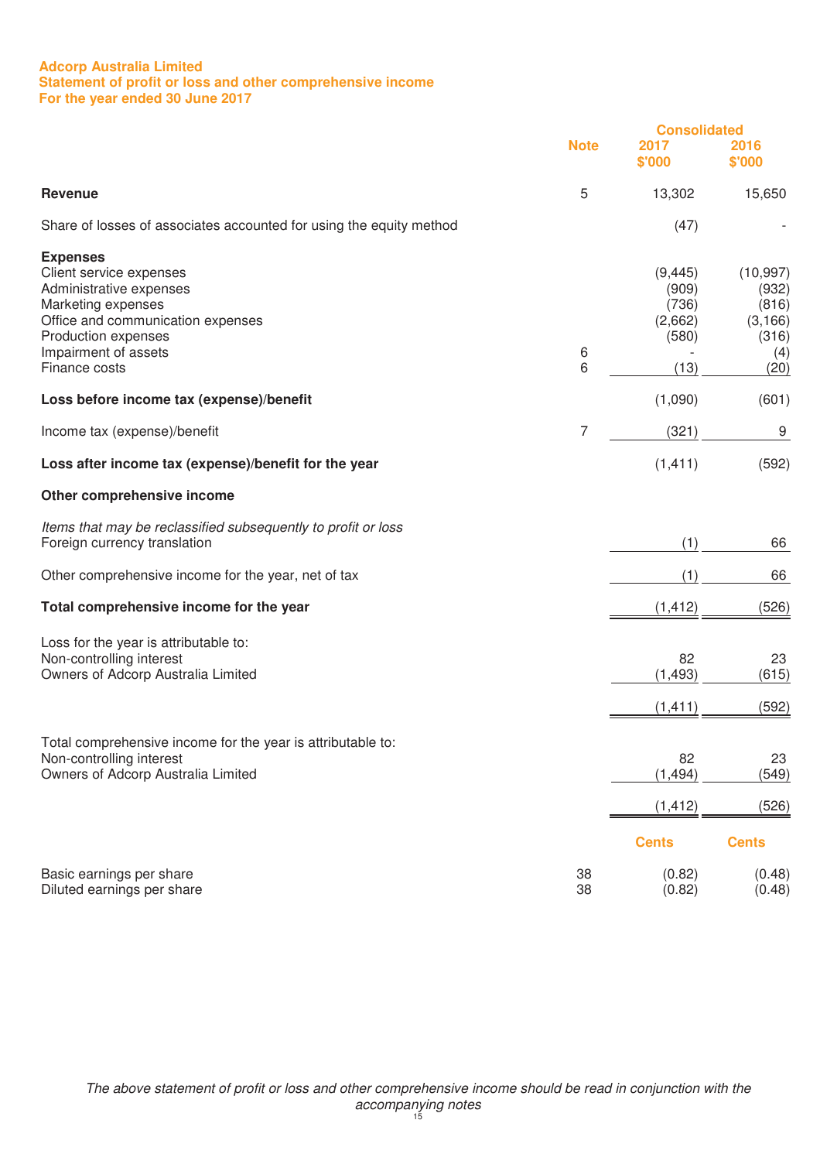# **Adcorp Australia Limited Statement of profit or loss and other comprehensive income For the year ended 30 June 2017**

|                                                                                                                                                                                                  |             | <b>Consolidated</b>                                    |                                                                 |
|--------------------------------------------------------------------------------------------------------------------------------------------------------------------------------------------------|-------------|--------------------------------------------------------|-----------------------------------------------------------------|
|                                                                                                                                                                                                  | <b>Note</b> | 2017<br>\$'000                                         | 2016<br>\$'000                                                  |
| <b>Revenue</b>                                                                                                                                                                                   | 5           | 13,302                                                 | 15,650                                                          |
| Share of losses of associates accounted for using the equity method                                                                                                                              |             | (47)                                                   |                                                                 |
| <b>Expenses</b><br>Client service expenses<br>Administrative expenses<br>Marketing expenses<br>Office and communication expenses<br>Production expenses<br>Impairment of assets<br>Finance costs | 6<br>6      | (9, 445)<br>(909)<br>(736)<br>(2,662)<br>(580)<br>(13) | (10, 997)<br>(932)<br>(816)<br>(3, 166)<br>(316)<br>(4)<br>(20) |
| Loss before income tax (expense)/benefit                                                                                                                                                         |             | (1,090)                                                | (601)                                                           |
| Income tax (expense)/benefit                                                                                                                                                                     | 7           | (321)                                                  | 9                                                               |
| Loss after income tax (expense)/benefit for the year                                                                                                                                             |             | (1, 411)                                               | (592)                                                           |
| Other comprehensive income                                                                                                                                                                       |             |                                                        |                                                                 |
| Items that may be reclassified subsequently to profit or loss<br>Foreign currency translation                                                                                                    |             | (1)                                                    | 66                                                              |
| Other comprehensive income for the year, net of tax                                                                                                                                              |             | (1)                                                    | 66                                                              |
| Total comprehensive income for the year                                                                                                                                                          |             | (1, 412)                                               | (526)                                                           |
| Loss for the year is attributable to:<br>Non-controlling interest<br>Owners of Adcorp Australia Limited                                                                                          |             | 82<br>(1, 493)<br>(1, 411)                             | 23<br>(615)<br>(592)                                            |
| Total comprehensive income for the year is attributable to:<br>Non-controlling interest<br>Owners of Adcorp Australia Limited                                                                    |             | 82<br>(1, 494)<br>(1, 412)                             | 23<br>(549)<br>(526)                                            |
|                                                                                                                                                                                                  |             | <b>Cents</b>                                           | <b>Cents</b>                                                    |
| Basic earnings per share<br>Diluted earnings per share                                                                                                                                           | 38<br>38    | (0.82)<br>(0.82)                                       | (0.48)<br>(0.48)                                                |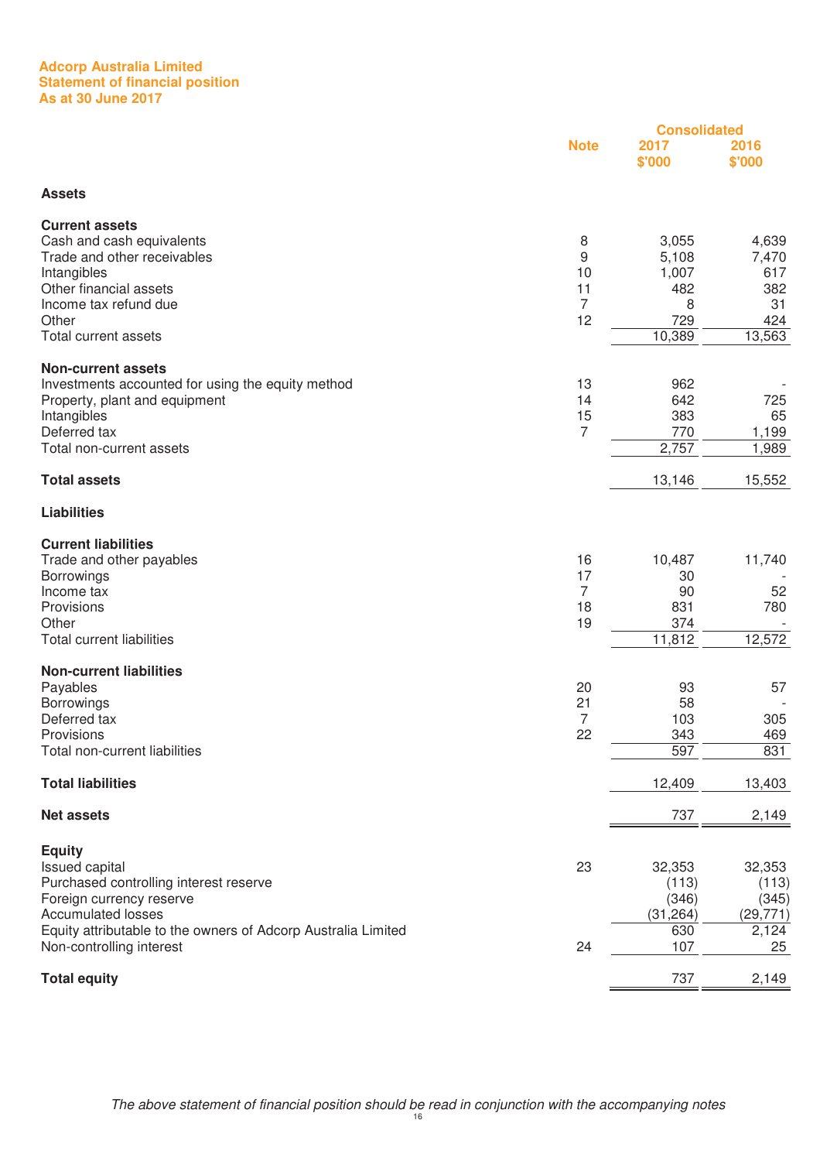#### **Adcorp Australia Limited Statement of financial position As at 30 June 2017**

|                                                                                                                                                                                                                                        |                                            | <b>Consolidated</b>                                 |                                                      |
|----------------------------------------------------------------------------------------------------------------------------------------------------------------------------------------------------------------------------------------|--------------------------------------------|-----------------------------------------------------|------------------------------------------------------|
|                                                                                                                                                                                                                                        | <b>Note</b>                                | 2017<br>\$'000                                      | 2016<br>\$'000                                       |
| <b>Assets</b>                                                                                                                                                                                                                          |                                            |                                                     |                                                      |
| <b>Current assets</b><br>Cash and cash equivalents<br>Trade and other receivables<br>Intangibles<br>Other financial assets<br>Income tax refund due<br>Other                                                                           | 8<br>9<br>10<br>11<br>$\overline{7}$<br>12 | 3,055<br>5,108<br>1,007<br>482<br>8<br>729          | 4,639<br>7,470<br>617<br>382<br>31<br>424            |
| <b>Total current assets</b>                                                                                                                                                                                                            |                                            | 10,389                                              | 13,563                                               |
| <b>Non-current assets</b><br>Investments accounted for using the equity method<br>Property, plant and equipment<br>Intangibles<br>Deferred tax<br>Total non-current assets                                                             | 13<br>14<br>15<br>$\overline{7}$           | 962<br>642<br>383<br>770<br>2,757                   | 725<br>65<br>1,199<br>1,989                          |
| <b>Total assets</b>                                                                                                                                                                                                                    |                                            | 13,146                                              | 15,552                                               |
| <b>Liabilities</b>                                                                                                                                                                                                                     |                                            |                                                     |                                                      |
| <b>Current liabilities</b><br>Trade and other payables<br><b>Borrowings</b><br>Income tax<br>Provisions<br>Other<br><b>Total current liabilities</b>                                                                                   | 16<br>17<br>$\overline{7}$<br>18<br>19     | 10,487<br>30<br>90<br>831<br>374<br>11,812          | 11,740<br>52<br>780<br>12,572                        |
| <b>Non-current liabilities</b><br>Payables<br>Borrowings<br>Deferred tax<br>Provisions<br>Total non-current liabilities                                                                                                                | 20<br>21<br>7<br>22                        | 93<br>58<br>103<br>343<br>597                       | 57<br>305<br>469<br>831                              |
| <b>Total liabilities</b>                                                                                                                                                                                                               |                                            | 12,409                                              | 13,403                                               |
| <b>Net assets</b>                                                                                                                                                                                                                      |                                            | 737                                                 | 2,149                                                |
| <b>Equity</b><br><b>Issued capital</b><br>Purchased controlling interest reserve<br>Foreign currency reserve<br><b>Accumulated losses</b><br>Equity attributable to the owners of Adcorp Australia Limited<br>Non-controlling interest | 23<br>24                                   | 32,353<br>(113)<br>(346)<br>(31, 264)<br>630<br>107 | 32,353<br>(113)<br>(345)<br>(29, 771)<br>2,124<br>25 |
|                                                                                                                                                                                                                                        |                                            |                                                     |                                                      |
| <b>Total equity</b>                                                                                                                                                                                                                    |                                            | 737                                                 | 2,149                                                |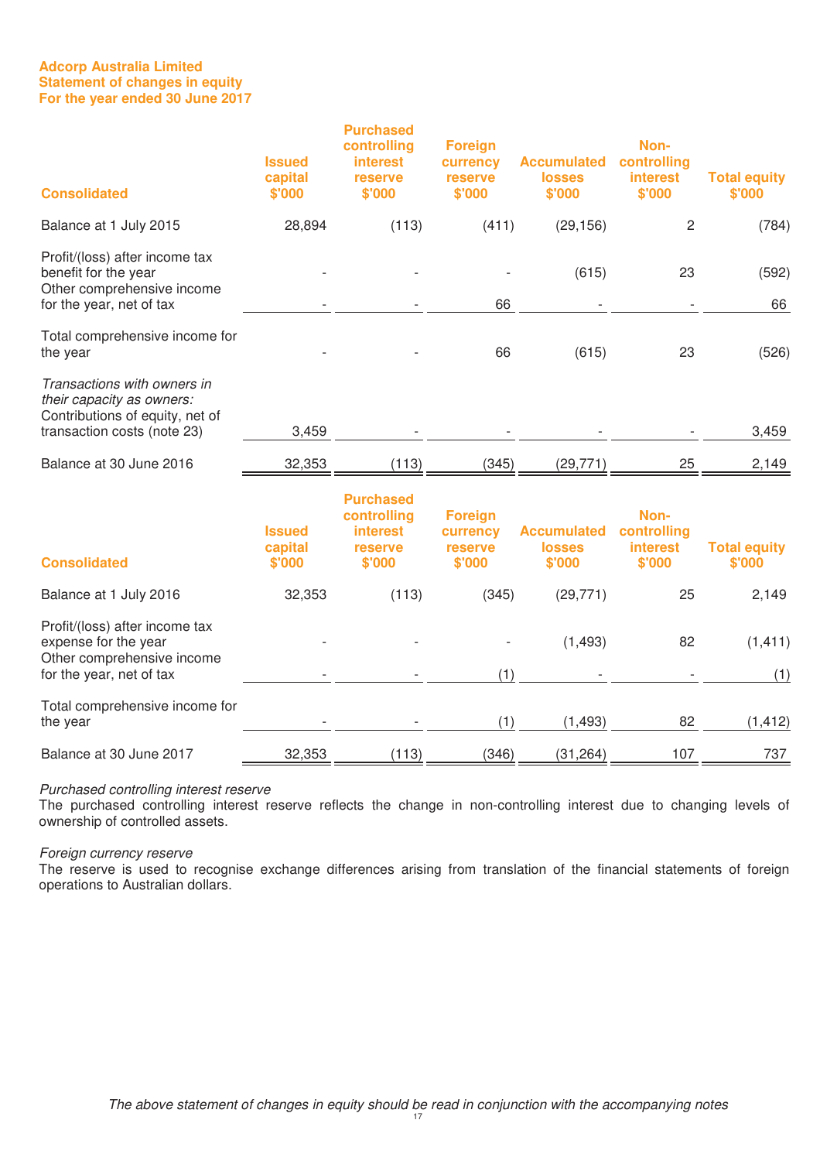# **Adcorp Australia Limited Statement of changes in equity For the year ended 30 June 2017**

| <b>Consolidated</b>                                                                                                        | <b>Issued</b><br>capital<br>\$'000 | <b>Purchased</b><br>controlling<br><b>interest</b><br>reserve<br>\$'000 | <b>Foreign</b><br>currency<br>reserve<br>\$'000 | <b>Accumulated</b><br><b>losses</b><br>\$'000 | Non-<br>controlling<br><b>interest</b><br>\$'000 | <b>Total equity</b><br>\$'000 |
|----------------------------------------------------------------------------------------------------------------------------|------------------------------------|-------------------------------------------------------------------------|-------------------------------------------------|-----------------------------------------------|--------------------------------------------------|-------------------------------|
| Balance at 1 July 2015                                                                                                     | 28,894                             | (113)                                                                   | (411)                                           | (29, 156)                                     | $\overline{c}$                                   | (784)                         |
| Profit/(loss) after income tax<br>benefit for the year<br>Other comprehensive income<br>for the year, net of tax           |                                    |                                                                         | 66                                              | (615)                                         | 23                                               | (592)<br>66                   |
| Total comprehensive income for<br>the year                                                                                 |                                    |                                                                         | 66                                              | (615)                                         | 23                                               | (526)                         |
| Transactions with owners in<br>their capacity as owners.<br>Contributions of equity, net of<br>transaction costs (note 23) | 3,459                              |                                                                         |                                                 |                                               |                                                  | 3,459                         |
| Balance at 30 June 2016                                                                                                    | 32,353                             | (113)                                                                   | (345)                                           | (29, 771)                                     | 25                                               | 2,149                         |
| <b>Consolidated</b>                                                                                                        | <b>Issued</b><br>capital<br>\$'000 | <b>Purchased</b><br>controlling<br><b>interest</b><br>reserve<br>\$'000 | <b>Foreign</b><br>currency<br>reserve<br>\$'000 | <b>Accumulated</b><br><b>losses</b><br>\$'000 | Non-<br>controlling<br><b>interest</b><br>\$'000 | <b>Total equity</b><br>\$'000 |
| Balance at 1 July 2016                                                                                                     | 32,353                             | (113)                                                                   | (345)                                           | (29, 771)                                     | 25                                               | 2,149                         |
| Profit/(loss) after income tax<br>expense for the year<br>Other comprehensive income                                       |                                    |                                                                         |                                                 | (1,493)                                       | 82                                               | (1, 411)                      |

| for the year, net of tax       | $\overline{\phantom{a}}$ | $\overline{\phantom{a}}$ |       | $\overline{\phantom{a}}$ | $\overline{\phantom{0}}$ |        |
|--------------------------------|--------------------------|--------------------------|-------|--------------------------|--------------------------|--------|
| Total comprehensive income for |                          |                          |       |                          |                          |        |
| the year                       | $\overline{\phantom{a}}$ | $\overline{\phantom{0}}$ |       | 1.493)                   | 82                       | . 412) |
| Balance at 30 June 2017        | 32,353                   | (113)                    | (346) | (31,264)                 | 107                      | 737    |

Purchased controlling interest reserve

The purchased controlling interest reserve reflects the change in non-controlling interest due to changing levels of ownership of controlled assets.

# Foreign currency reserve

The reserve is used to recognise exchange differences arising from translation of the financial statements of foreign operations to Australian dollars.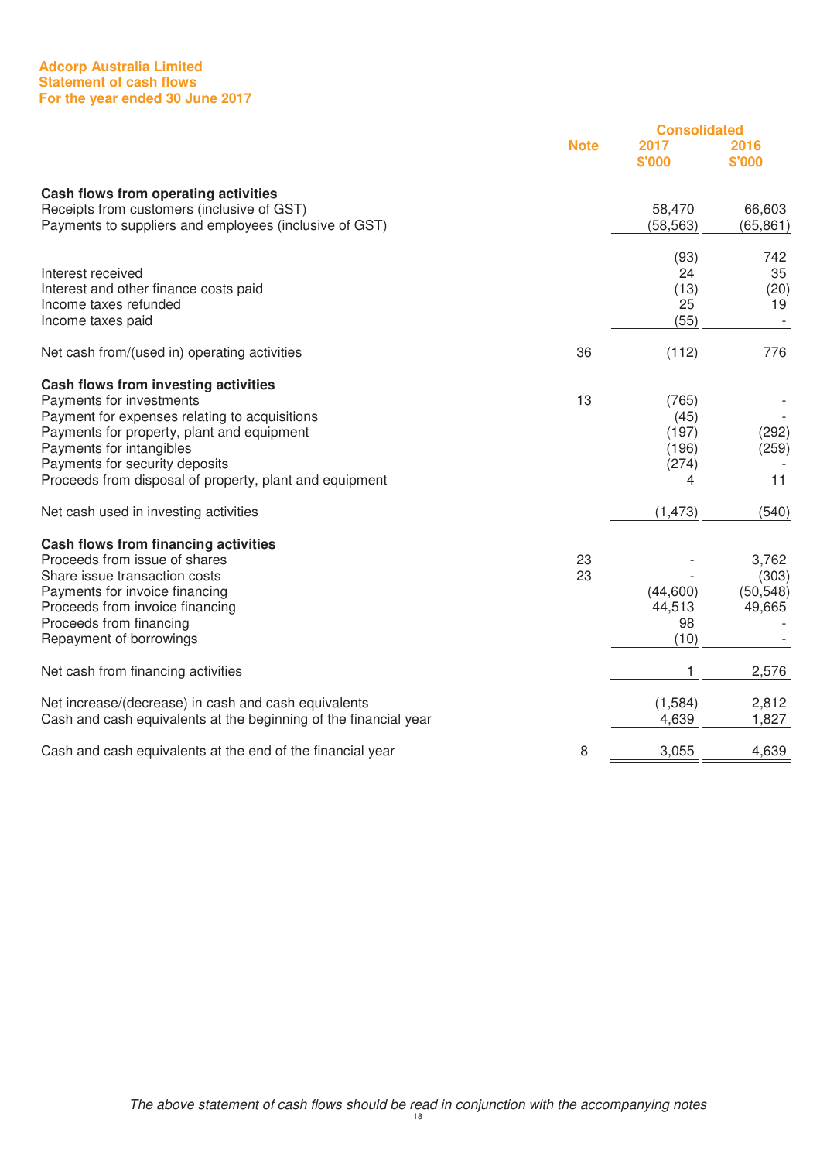#### **Adcorp Australia Limited Statement of cash flows For the year ended 30 June 2017**

|                                                                                                                                                                                                                                                                                          |             | <b>Consolidated</b>                           |                                       |
|------------------------------------------------------------------------------------------------------------------------------------------------------------------------------------------------------------------------------------------------------------------------------------------|-------------|-----------------------------------------------|---------------------------------------|
|                                                                                                                                                                                                                                                                                          | <b>Note</b> | 2017<br>\$'000                                | 2016<br>\$'000                        |
| Cash flows from operating activities<br>Receipts from customers (inclusive of GST)<br>Payments to suppliers and employees (inclusive of GST)                                                                                                                                             |             | 58,470<br>(58, 563)                           | 66,603<br>(65, 861)                   |
| Interest received<br>Interest and other finance costs paid<br>Income taxes refunded<br>Income taxes paid                                                                                                                                                                                 |             | (93)<br>24<br>(13)<br>25<br>(55)              | 742<br>35<br>(20)<br>19               |
| Net cash from/(used in) operating activities                                                                                                                                                                                                                                             | 36          | (112)                                         | 776                                   |
| Cash flows from investing activities<br>Payments for investments<br>Payment for expenses relating to acquisitions<br>Payments for property, plant and equipment<br>Payments for intangibles<br>Payments for security deposits<br>Proceeds from disposal of property, plant and equipment | 13          | (765)<br>(45)<br>(197)<br>(196)<br>(274)<br>4 | (292)<br>(259)<br>11                  |
| Net cash used in investing activities                                                                                                                                                                                                                                                    |             | (1, 473)                                      | (540)                                 |
| Cash flows from financing activities<br>Proceeds from issue of shares<br>Share issue transaction costs<br>Payments for invoice financing<br>Proceeds from invoice financing<br>Proceeds from financing<br>Repayment of borrowings                                                        | 23<br>23    | (44,600)<br>44,513<br>98<br>(10)              | 3,762<br>(303)<br>(50, 548)<br>49,665 |
| Net cash from financing activities                                                                                                                                                                                                                                                       |             | 1                                             | 2,576                                 |
| Net increase/(decrease) in cash and cash equivalents<br>Cash and cash equivalents at the beginning of the financial year                                                                                                                                                                 |             | (1,584)<br>4,639                              | 2,812<br>1,827                        |
| Cash and cash equivalents at the end of the financial year                                                                                                                                                                                                                               | 8           | 3,055                                         | 4,639                                 |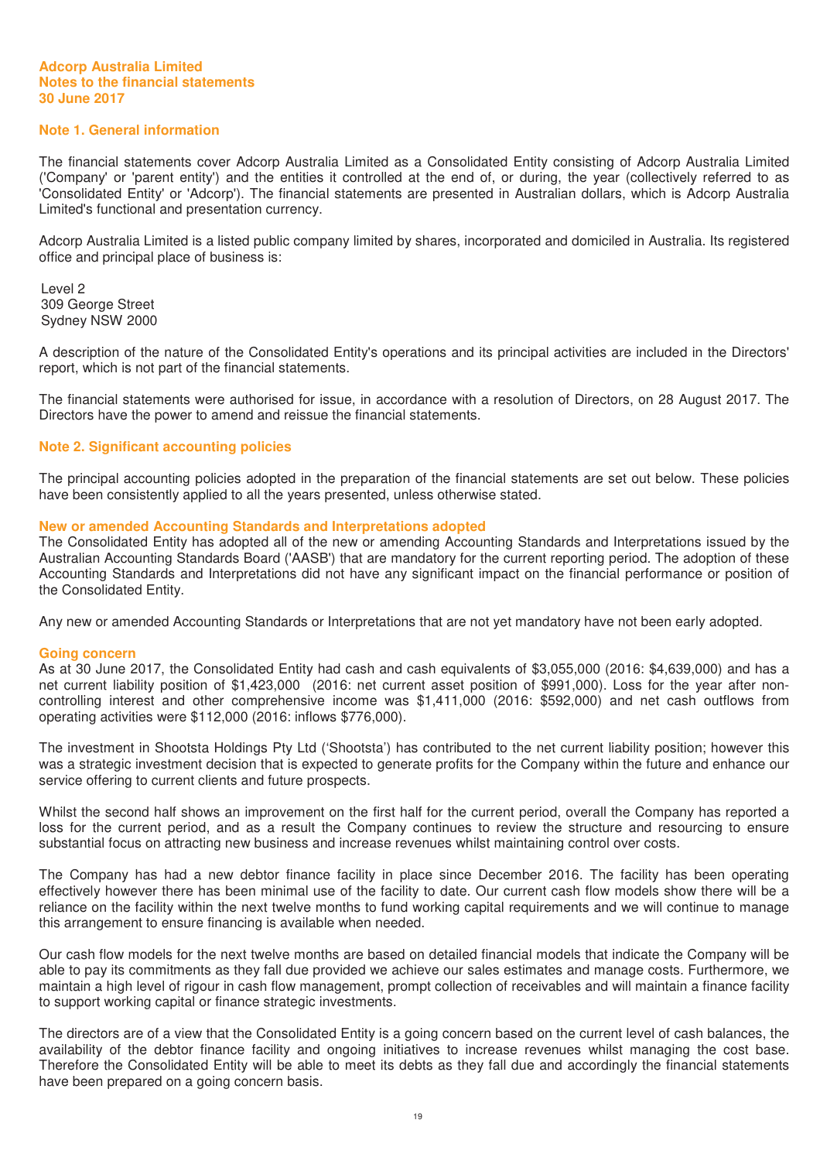# **Note 1. General information**

The financial statements cover Adcorp Australia Limited as a Consolidated Entity consisting of Adcorp Australia Limited ('Company' or 'parent entity') and the entities it controlled at the end of, or during, the year (collectively referred to as 'Consolidated Entity' or 'Adcorp'). The financial statements are presented in Australian dollars, which is Adcorp Australia Limited's functional and presentation currency.

Adcorp Australia Limited is a listed public company limited by shares, incorporated and domiciled in Australia. Its registered office and principal place of business is:

Level 2 309 George Street Sydney NSW 2000

A description of the nature of the Consolidated Entity's operations and its principal activities are included in the Directors' report, which is not part of the financial statements.

The financial statements were authorised for issue, in accordance with a resolution of Directors, on 28 August 2017. The Directors have the power to amend and reissue the financial statements.

#### **Note 2. Significant accounting policies**

The principal accounting policies adopted in the preparation of the financial statements are set out below. These policies have been consistently applied to all the years presented, unless otherwise stated.

#### **New or amended Accounting Standards and Interpretations adopted**

The Consolidated Entity has adopted all of the new or amending Accounting Standards and Interpretations issued by the Australian Accounting Standards Board ('AASB') that are mandatory for the current reporting period. The adoption of these Accounting Standards and Interpretations did not have any significant impact on the financial performance or position of the Consolidated Entity.

Any new or amended Accounting Standards or Interpretations that are not yet mandatory have not been early adopted.

#### **Going concern**

As at 30 June 2017, the Consolidated Entity had cash and cash equivalents of \$3,055,000 (2016: \$4,639,000) and has a net current liability position of \$1,423,000 (2016: net current asset position of \$991,000). Loss for the year after noncontrolling interest and other comprehensive income was \$1,411,000 (2016: \$592,000) and net cash outflows from operating activities were \$112,000 (2016: inflows \$776,000).

The investment in Shootsta Holdings Pty Ltd ('Shootsta') has contributed to the net current liability position; however this was a strategic investment decision that is expected to generate profits for the Company within the future and enhance our service offering to current clients and future prospects.

Whilst the second half shows an improvement on the first half for the current period, overall the Company has reported a loss for the current period, and as a result the Company continues to review the structure and resourcing to ensure substantial focus on attracting new business and increase revenues whilst maintaining control over costs.

The Company has had a new debtor finance facility in place since December 2016. The facility has been operating effectively however there has been minimal use of the facility to date. Our current cash flow models show there will be a reliance on the facility within the next twelve months to fund working capital requirements and we will continue to manage this arrangement to ensure financing is available when needed.

Our cash flow models for the next twelve months are based on detailed financial models that indicate the Company will be able to pay its commitments as they fall due provided we achieve our sales estimates and manage costs. Furthermore, we maintain a high level of rigour in cash flow management, prompt collection of receivables and will maintain a finance facility to support working capital or finance strategic investments.

The directors are of a view that the Consolidated Entity is a going concern based on the current level of cash balances, the availability of the debtor finance facility and ongoing initiatives to increase revenues whilst managing the cost base. Therefore the Consolidated Entity will be able to meet its debts as they fall due and accordingly the financial statements have been prepared on a going concern basis.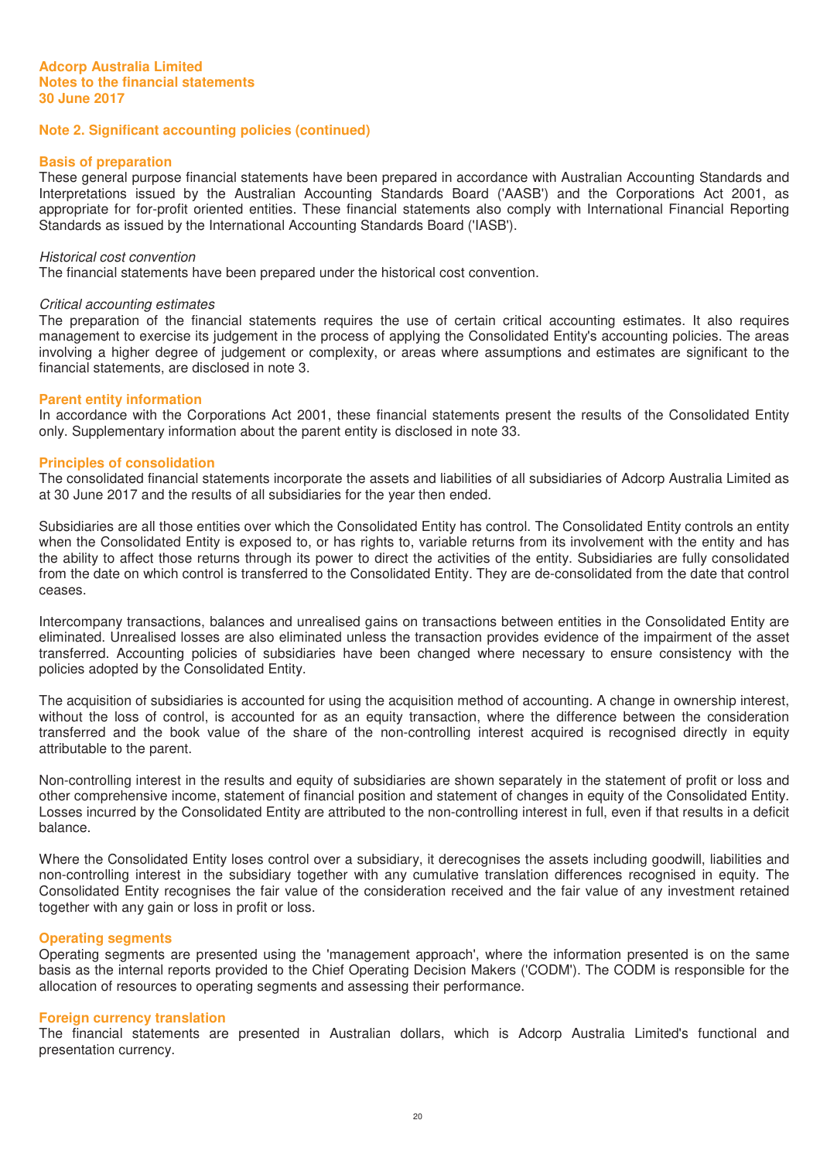#### **Basis of preparation**

These general purpose financial statements have been prepared in accordance with Australian Accounting Standards and Interpretations issued by the Australian Accounting Standards Board ('AASB') and the Corporations Act 2001, as appropriate for for-profit oriented entities. These financial statements also comply with International Financial Reporting Standards as issued by the International Accounting Standards Board ('IASB').

#### Historical cost convention

The financial statements have been prepared under the historical cost convention.

#### Critical accounting estimates

The preparation of the financial statements requires the use of certain critical accounting estimates. It also requires management to exercise its judgement in the process of applying the Consolidated Entity's accounting policies. The areas involving a higher degree of judgement or complexity, or areas where assumptions and estimates are significant to the financial statements, are disclosed in note 3.

#### **Parent entity information**

In accordance with the Corporations Act 2001, these financial statements present the results of the Consolidated Entity only. Supplementary information about the parent entity is disclosed in note 33.

#### **Principles of consolidation**

The consolidated financial statements incorporate the assets and liabilities of all subsidiaries of Adcorp Australia Limited as at 30 June 2017 and the results of all subsidiaries for the year then ended.

Subsidiaries are all those entities over which the Consolidated Entity has control. The Consolidated Entity controls an entity when the Consolidated Entity is exposed to, or has rights to, variable returns from its involvement with the entity and has the ability to affect those returns through its power to direct the activities of the entity. Subsidiaries are fully consolidated from the date on which control is transferred to the Consolidated Entity. They are de-consolidated from the date that control ceases.

Intercompany transactions, balances and unrealised gains on transactions between entities in the Consolidated Entity are eliminated. Unrealised losses are also eliminated unless the transaction provides evidence of the impairment of the asset transferred. Accounting policies of subsidiaries have been changed where necessary to ensure consistency with the policies adopted by the Consolidated Entity.

The acquisition of subsidiaries is accounted for using the acquisition method of accounting. A change in ownership interest, without the loss of control, is accounted for as an equity transaction, where the difference between the consideration transferred and the book value of the share of the non-controlling interest acquired is recognised directly in equity attributable to the parent.

Non-controlling interest in the results and equity of subsidiaries are shown separately in the statement of profit or loss and other comprehensive income, statement of financial position and statement of changes in equity of the Consolidated Entity. Losses incurred by the Consolidated Entity are attributed to the non-controlling interest in full, even if that results in a deficit balance.

Where the Consolidated Entity loses control over a subsidiary, it derecognises the assets including goodwill, liabilities and non-controlling interest in the subsidiary together with any cumulative translation differences recognised in equity. The Consolidated Entity recognises the fair value of the consideration received and the fair value of any investment retained together with any gain or loss in profit or loss.

#### **Operating segments**

Operating segments are presented using the 'management approach', where the information presented is on the same basis as the internal reports provided to the Chief Operating Decision Makers ('CODM'). The CODM is responsible for the allocation of resources to operating segments and assessing their performance.

#### **Foreign currency translation**

The financial statements are presented in Australian dollars, which is Adcorp Australia Limited's functional and presentation currency.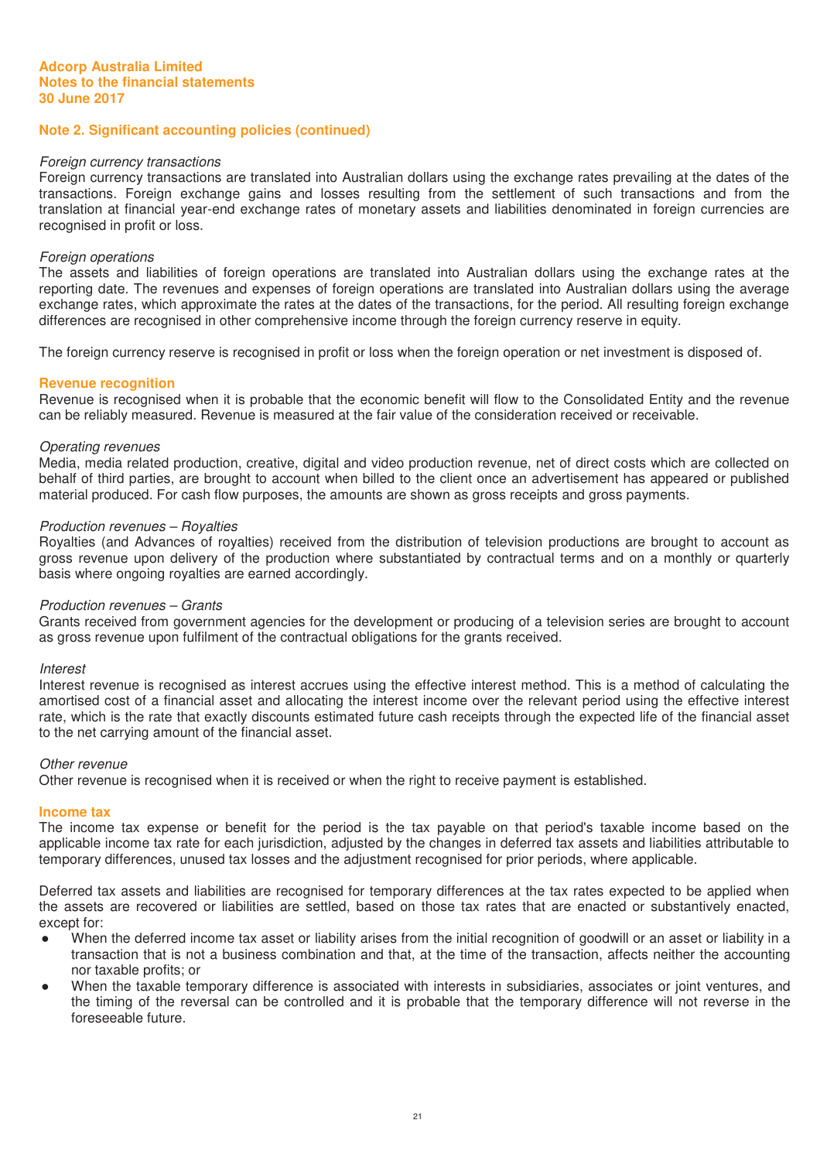#### Foreign currency transactions

Foreign currency transactions are translated into Australian dollars using the exchange rates prevailing at the dates of the transactions. Foreign exchange gains and losses resulting from the settlement of such transactions and from the translation at financial year-end exchange rates of monetary assets and liabilities denominated in foreign currencies are recognised in profit or loss.

#### Foreign operations

The assets and liabilities of foreign operations are translated into Australian dollars using the exchange rates at the reporting date. The revenues and expenses of foreign operations are translated into Australian dollars using the average exchange rates, which approximate the rates at the dates of the transactions, for the period. All resulting foreign exchange differences are recognised in other comprehensive income through the foreign currency reserve in equity.

The foreign currency reserve is recognised in profit or loss when the foreign operation or net investment is disposed of.

#### **Revenue recognition**

Revenue is recognised when it is probable that the economic benefit will flow to the Consolidated Entity and the revenue can be reliably measured. Revenue is measured at the fair value of the consideration received or receivable.

#### Operating revenues

Media, media related production, creative, digital and video production revenue, net of direct costs which are collected on behalf of third parties, are brought to account when billed to the client once an advertisement has appeared or published material produced. For cash flow purposes, the amounts are shown as gross receipts and gross payments.

#### Production revenues – Royalties

Royalties (and Advances of royalties) received from the distribution of television productions are brought to account as gross revenue upon delivery of the production where substantiated by contractual terms and on a monthly or quarterly basis where ongoing royalties are earned accordingly.

#### Production revenues – Grants

Grants received from government agencies for the development or producing of a television series are brought to account as gross revenue upon fulfilment of the contractual obligations for the grants received.

#### **Interest**

Interest revenue is recognised as interest accrues using the effective interest method. This is a method of calculating the amortised cost of a financial asset and allocating the interest income over the relevant period using the effective interest rate, which is the rate that exactly discounts estimated future cash receipts through the expected life of the financial asset to the net carrying amount of the financial asset.

#### Other revenue

Other revenue is recognised when it is received or when the right to receive payment is established.

#### **Income tax**

The income tax expense or benefit for the period is the tax payable on that period's taxable income based on the applicable income tax rate for each jurisdiction, adjusted by the changes in deferred tax assets and liabilities attributable to temporary differences, unused tax losses and the adjustment recognised for prior periods, where applicable.

Deferred tax assets and liabilities are recognised for temporary differences at the tax rates expected to be applied when the assets are recovered or liabilities are settled, based on those tax rates that are enacted or substantively enacted, except for:

- Ɣ When the deferred income tax asset or liability arises from the initial recognition of goodwill or an asset or liability in a transaction that is not a business combination and that, at the time of the transaction, affects neither the accounting nor taxable profits; or
- When the taxable temporary difference is associated with interests in subsidiaries, associates or joint ventures, and the timing of the reversal can be controlled and it is probable that the temporary difference will not reverse in the foreseeable future.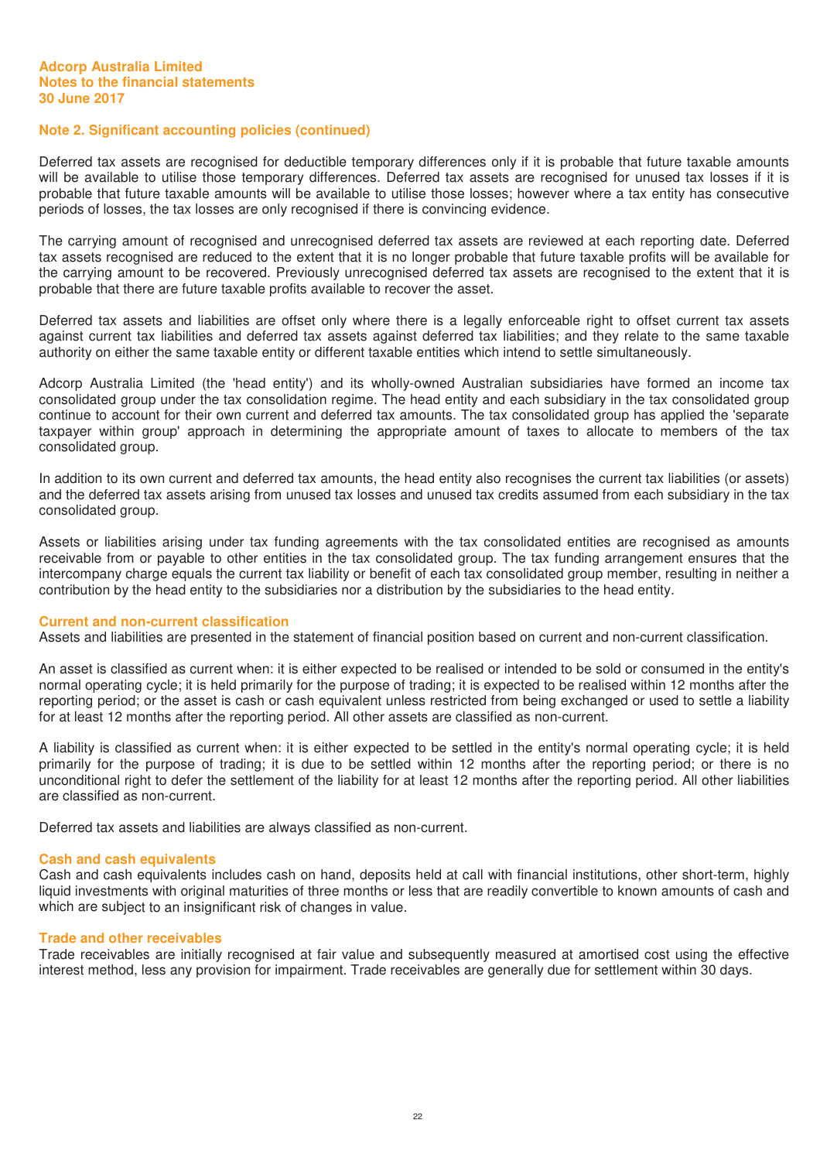Deferred tax assets are recognised for deductible temporary differences only if it is probable that future taxable amounts will be available to utilise those temporary differences. Deferred tax assets are recognised for unused tax losses if it is probable that future taxable amounts will be available to utilise those losses; however where a tax entity has consecutive periods of losses, the tax losses are only recognised if there is convincing evidence.

The carrying amount of recognised and unrecognised deferred tax assets are reviewed at each reporting date. Deferred tax assets recognised are reduced to the extent that it is no longer probable that future taxable profits will be available for the carrying amount to be recovered. Previously unrecognised deferred tax assets are recognised to the extent that it is probable that there are future taxable profits available to recover the asset.

Deferred tax assets and liabilities are offset only where there is a legally enforceable right to offset current tax assets against current tax liabilities and deferred tax assets against deferred tax liabilities; and they relate to the same taxable authority on either the same taxable entity or different taxable entities which intend to settle simultaneously.

Adcorp Australia Limited (the 'head entity') and its wholly-owned Australian subsidiaries have formed an income tax consolidated group under the tax consolidation regime. The head entity and each subsidiary in the tax consolidated group continue to account for their own current and deferred tax amounts. The tax consolidated group has applied the 'separate taxpayer within group' approach in determining the appropriate amount of taxes to allocate to members of the tax consolidated group.

In addition to its own current and deferred tax amounts, the head entity also recognises the current tax liabilities (or assets) and the deferred tax assets arising from unused tax losses and unused tax credits assumed from each subsidiary in the tax consolidated group.

Assets or liabilities arising under tax funding agreements with the tax consolidated entities are recognised as amounts receivable from or payable to other entities in the tax consolidated group. The tax funding arrangement ensures that the intercompany charge equals the current tax liability or benefit of each tax consolidated group member, resulting in neither a contribution by the head entity to the subsidiaries nor a distribution by the subsidiaries to the head entity.

#### **Current and non-current classification**

Assets and liabilities are presented in the statement of financial position based on current and non-current classification.

An asset is classified as current when: it is either expected to be realised or intended to be sold or consumed in the entity's normal operating cycle; it is held primarily for the purpose of trading; it is expected to be realised within 12 months after the reporting period; or the asset is cash or cash equivalent unless restricted from being exchanged or used to settle a liability for at least 12 months after the reporting period. All other assets are classified as non-current.

A liability is classified as current when: it is either expected to be settled in the entity's normal operating cycle; it is held primarily for the purpose of trading; it is due to be settled within 12 months after the reporting period; or there is no unconditional right to defer the settlement of the liability for at least 12 months after the reporting period. All other liabilities are classified as non-current.

Deferred tax assets and liabilities are always classified as non-current.

#### **Cash and cash equivalents**

Cash and cash equivalents includes cash on hand, deposits held at call with financial institutions, other short-term, highly liquid investments with original maturities of three months or less that are readily convertible to known amounts of cash and which are subject to an insignificant risk of changes in value.

#### **Trade and other receivables**

Trade receivables are initially recognised at fair value and subsequently measured at amortised cost using the effective interest method, less any provision for impairment. Trade receivables are generally due for settlement within 30 days.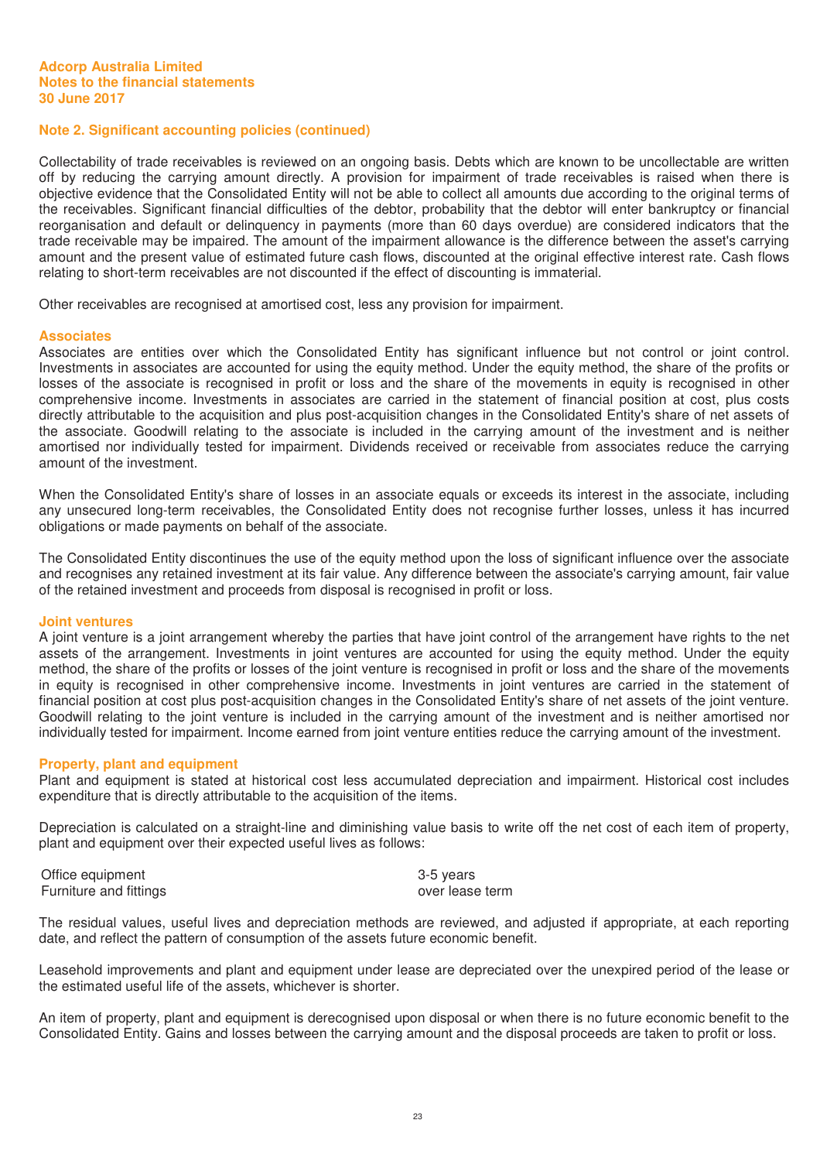# **Note 2. Significant accounting policies (continued)**

Collectability of trade receivables is reviewed on an ongoing basis. Debts which are known to be uncollectable are written off by reducing the carrying amount directly. A provision for impairment of trade receivables is raised when there is objective evidence that the Consolidated Entity will not be able to collect all amounts due according to the original terms of the receivables. Significant financial difficulties of the debtor, probability that the debtor will enter bankruptcy or financial reorganisation and default or delinquency in payments (more than 60 days overdue) are considered indicators that the trade receivable may be impaired. The amount of the impairment allowance is the difference between the asset's carrying amount and the present value of estimated future cash flows, discounted at the original effective interest rate. Cash flows relating to short-term receivables are not discounted if the effect of discounting is immaterial.

Other receivables are recognised at amortised cost, less any provision for impairment.

#### **Associates**

Associates are entities over which the Consolidated Entity has significant influence but not control or joint control. Investments in associates are accounted for using the equity method. Under the equity method, the share of the profits or losses of the associate is recognised in profit or loss and the share of the movements in equity is recognised in other comprehensive income. Investments in associates are carried in the statement of financial position at cost, plus costs directly attributable to the acquisition and plus post-acquisition changes in the Consolidated Entity's share of net assets of the associate. Goodwill relating to the associate is included in the carrying amount of the investment and is neither amortised nor individually tested for impairment. Dividends received or receivable from associates reduce the carrying amount of the investment.

When the Consolidated Entity's share of losses in an associate equals or exceeds its interest in the associate, including any unsecured long-term receivables, the Consolidated Entity does not recognise further losses, unless it has incurred obligations or made payments on behalf of the associate.

The Consolidated Entity discontinues the use of the equity method upon the loss of significant influence over the associate and recognises any retained investment at its fair value. Any difference between the associate's carrying amount, fair value of the retained investment and proceeds from disposal is recognised in profit or loss.

#### **Joint ventures**

A joint venture is a joint arrangement whereby the parties that have joint control of the arrangement have rights to the net assets of the arrangement. Investments in joint ventures are accounted for using the equity method. Under the equity method, the share of the profits or losses of the joint venture is recognised in profit or loss and the share of the movements in equity is recognised in other comprehensive income. Investments in joint ventures are carried in the statement of financial position at cost plus post-acquisition changes in the Consolidated Entity's share of net assets of the joint venture. Goodwill relating to the joint venture is included in the carrying amount of the investment and is neither amortised nor individually tested for impairment. Income earned from joint venture entities reduce the carrying amount of the investment.

#### **Property, plant and equipment**

Plant and equipment is stated at historical cost less accumulated depreciation and impairment. Historical cost includes expenditure that is directly attributable to the acquisition of the items.

Depreciation is calculated on a straight-line and diminishing value basis to write off the net cost of each item of property, plant and equipment over their expected useful lives as follows:

Office equipment 3-5 years Furniture and fittings and  $\overline{\phantom{a}}$  and  $\overline{\phantom{a}}$  and  $\overline{\phantom{a}}$  and  $\overline{\phantom{a}}$  and  $\overline{\phantom{a}}$  and  $\overline{\phantom{a}}$  and  $\overline{\phantom{a}}$  and  $\overline{\phantom{a}}$  and  $\overline{\phantom{a}}$  and  $\overline{\phantom{a}}$  and  $\overline{\phantom{a}}$  and  $\overline{\phantom{a}}$  and  $\over$ 

The residual values, useful lives and depreciation methods are reviewed, and adjusted if appropriate, at each reporting date, and reflect the pattern of consumption of the assets future economic benefit.

Leasehold improvements and plant and equipment under lease are depreciated over the unexpired period of the lease or the estimated useful life of the assets, whichever is shorter.

An item of property, plant and equipment is derecognised upon disposal or when there is no future economic benefit to the Consolidated Entity. Gains and losses between the carrying amount and the disposal proceeds are taken to profit or loss.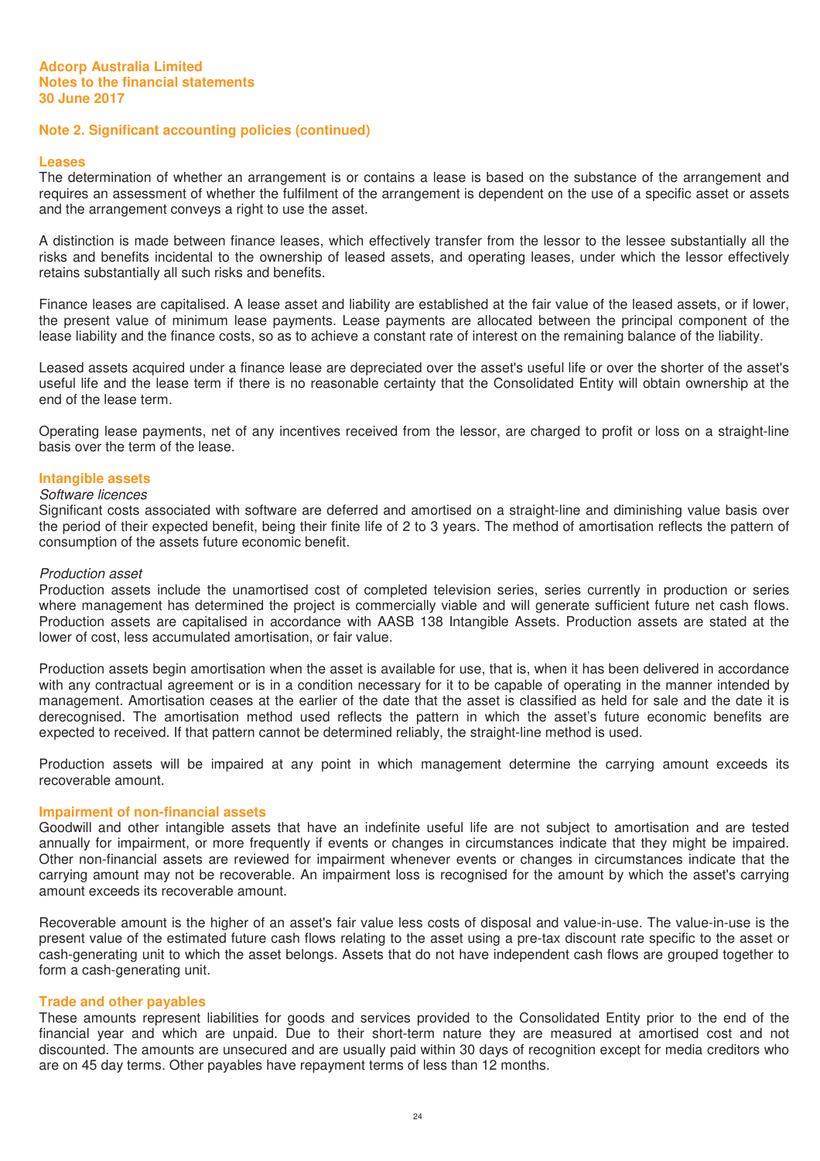#### **Leases**

The determination of whether an arrangement is or contains a lease is based on the substance of the arrangement and requires an assessment of whether the fulfilment of the arrangement is dependent on the use of a specific asset or assets and the arrangement conveys a right to use the asset.

A distinction is made between finance leases, which effectively transfer from the lessor to the lessee substantially all the risks and benefits incidental to the ownership of leased assets, and operating leases, under which the lessor effectively retains substantially all such risks and benefits.

Finance leases are capitalised. A lease asset and liability are established at the fair value of the leased assets, or if lower, the present value of minimum lease payments. Lease payments are allocated between the principal component of the lease liability and the finance costs, so as to achieve a constant rate of interest on the remaining balance of the liability.

Leased assets acquired under a finance lease are depreciated over the asset's useful life or over the shorter of the asset's useful life and the lease term if there is no reasonable certainty that the Consolidated Entity will obtain ownership at the end of the lease term.

Operating lease payments, net of any incentives received from the lessor, are charged to profit or loss on a straight-line basis over the term of the lease.

#### **Intangible assets**

#### Software licences

Significant costs associated with software are deferred and amortised on a straight-line and diminishing value basis over the period of their expected benefit, being their finite life of 2 to 3 years. The method of amortisation reflects the pattern of consumption of the assets future economic benefit.

#### Production asset

Production assets include the unamortised cost of completed television series, series currently in production or series where management has determined the project is commercially viable and will generate sufficient future net cash flows. Production assets are capitalised in accordance with AASB 138 Intangible Assets. Production assets are stated at the lower of cost, less accumulated amortisation, or fair value.

Production assets begin amortisation when the asset is available for use, that is, when it has been delivered in accordance with any contractual agreement or is in a condition necessary for it to be capable of operating in the manner intended by management. Amortisation ceases at the earlier of the date that the asset is classified as held for sale and the date it is derecognised. The amortisation method used reflects the pattern in which the asset's future economic benefits are expected to received. If that pattern cannot be determined reliably, the straight-line method is used.

Production assets will be impaired at any point in which management determine the carrying amount exceeds its recoverable amount.

#### **Impairment of non-financial assets**

Goodwill and other intangible assets that have an indefinite useful life are not subject to amortisation and are tested annually for impairment, or more frequently if events or changes in circumstances indicate that they might be impaired. Other non-financial assets are reviewed for impairment whenever events or changes in circumstances indicate that the carrying amount may not be recoverable. An impairment loss is recognised for the amount by which the asset's carrying amount exceeds its recoverable amount.

Recoverable amount is the higher of an asset's fair value less costs of disposal and value-in-use. The value-in-use is the present value of the estimated future cash flows relating to the asset using a pre-tax discount rate specific to the asset or cash-generating unit to which the asset belongs. Assets that do not have independent cash flows are grouped together to form a cash-generating unit.

#### **Trade and other payables**

These amounts represent liabilities for goods and services provided to the Consolidated Entity prior to the end of the financial year and which are unpaid. Due to their short-term nature they are measured at amortised cost and not discounted. The amounts are unsecured and are usually paid within 30 days of recognition except for media creditors who are on 45 day terms. Other payables have repayment terms of less than 12 months.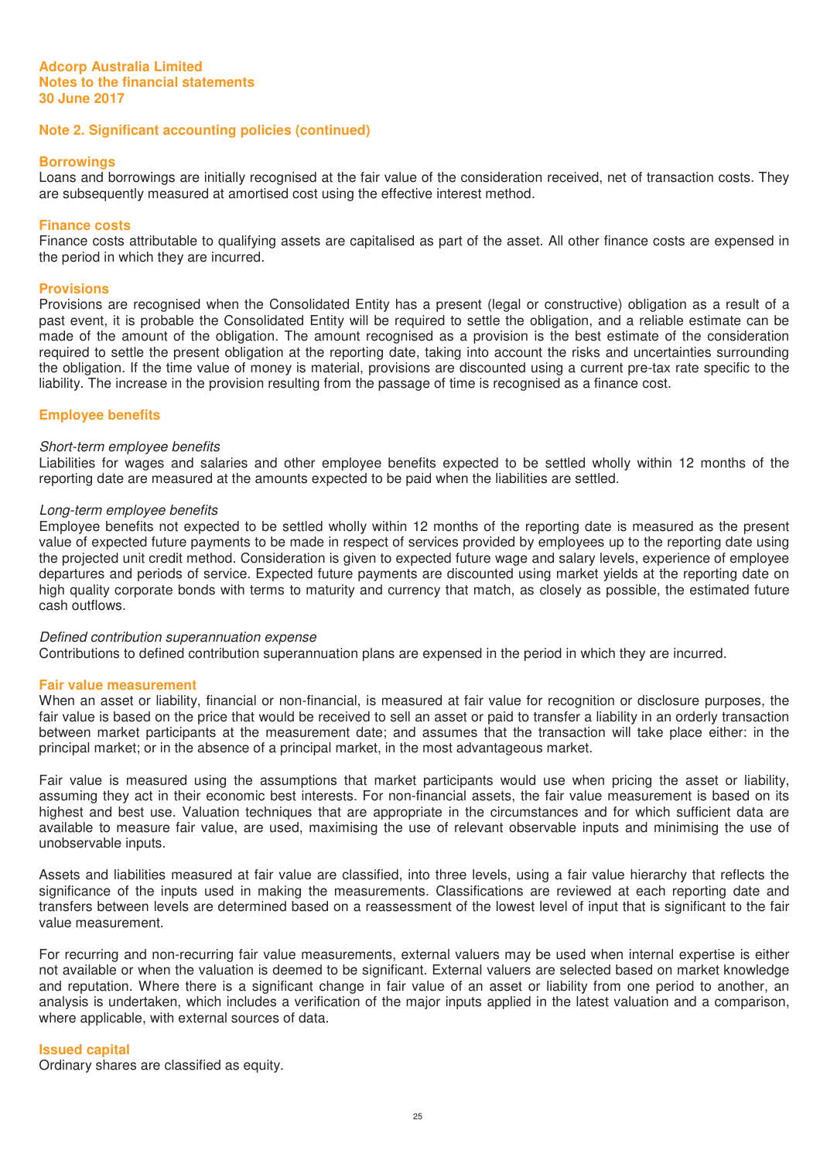#### **Borrowings**

Loans and borrowings are initially recognised at the fair value of the consideration received, net of transaction costs. They are subsequently measured at amortised cost using the effective interest method.

#### **Finance costs**

Finance costs attributable to qualifying assets are capitalised as part of the asset. All other finance costs are expensed in the period in which they are incurred.

#### **Provisions**

Provisions are recognised when the Consolidated Entity has a present (legal or constructive) obligation as a result of a past event, it is probable the Consolidated Entity will be required to settle the obligation, and a reliable estimate can be made of the amount of the obligation. The amount recognised as a provision is the best estimate of the consideration required to settle the present obligation at the reporting date, taking into account the risks and uncertainties surrounding the obligation. If the time value of money is material, provisions are discounted using a current pre-tax rate specific to the liability. The increase in the provision resulting from the passage of time is recognised as a finance cost.

# **Employee benefits**

#### Short-term employee benefits

Liabilities for wages and salaries and other employee benefits expected to be settled wholly within 12 months of the reporting date are measured at the amounts expected to be paid when the liabilities are settled.

#### Long-term employee benefits

Employee benefits not expected to be settled wholly within 12 months of the reporting date is measured as the present value of expected future payments to be made in respect of services provided by employees up to the reporting date using the projected unit credit method. Consideration is given to expected future wage and salary levels, experience of employee departures and periods of service. Expected future payments are discounted using market yields at the reporting date on high quality corporate bonds with terms to maturity and currency that match, as closely as possible, the estimated future cash outflows.

#### Defined contribution superannuation expense

Contributions to defined contribution superannuation plans are expensed in the period in which they are incurred.

#### **Fair value measurement**

When an asset or liability, financial or non-financial, is measured at fair value for recognition or disclosure purposes, the fair value is based on the price that would be received to sell an asset or paid to transfer a liability in an orderly transaction between market participants at the measurement date; and assumes that the transaction will take place either: in the principal market; or in the absence of a principal market, in the most advantageous market.

Fair value is measured using the assumptions that market participants would use when pricing the asset or liability, assuming they act in their economic best interests. For non-financial assets, the fair value measurement is based on its highest and best use. Valuation techniques that are appropriate in the circumstances and for which sufficient data are available to measure fair value, are used, maximising the use of relevant observable inputs and minimising the use of unobservable inputs.

Assets and liabilities measured at fair value are classified, into three levels, using a fair value hierarchy that reflects the significance of the inputs used in making the measurements. Classifications are reviewed at each reporting date and transfers between levels are determined based on a reassessment of the lowest level of input that is significant to the fair value measurement.

For recurring and non-recurring fair value measurements, external valuers may be used when internal expertise is either not available or when the valuation is deemed to be significant. External valuers are selected based on market knowledge and reputation. Where there is a significant change in fair value of an asset or liability from one period to another, an analysis is undertaken, which includes a verification of the major inputs applied in the latest valuation and a comparison, where applicable, with external sources of data.

#### **Issued capital**

Ordinary shares are classified as equity.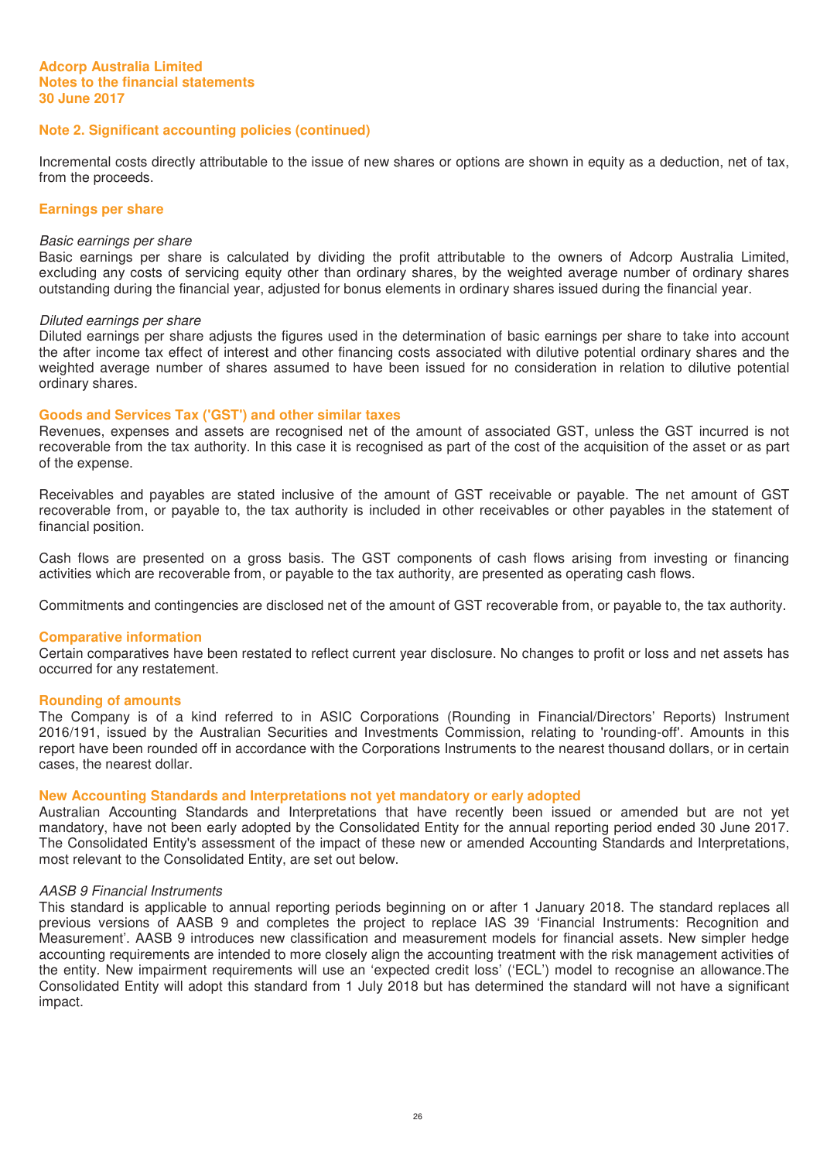Incremental costs directly attributable to the issue of new shares or options are shown in equity as a deduction, net of tax, from the proceeds.

#### **Earnings per share**

#### Basic earnings per share

Basic earnings per share is calculated by dividing the profit attributable to the owners of Adcorp Australia Limited, excluding any costs of servicing equity other than ordinary shares, by the weighted average number of ordinary shares outstanding during the financial year, adjusted for bonus elements in ordinary shares issued during the financial year.

#### Diluted earnings per share

Diluted earnings per share adjusts the figures used in the determination of basic earnings per share to take into account the after income tax effect of interest and other financing costs associated with dilutive potential ordinary shares and the weighted average number of shares assumed to have been issued for no consideration in relation to dilutive potential ordinary shares.

#### **Goods and Services Tax ('GST') and other similar taxes**

Revenues, expenses and assets are recognised net of the amount of associated GST, unless the GST incurred is not recoverable from the tax authority. In this case it is recognised as part of the cost of the acquisition of the asset or as part of the expense.

Receivables and payables are stated inclusive of the amount of GST receivable or payable. The net amount of GST recoverable from, or payable to, the tax authority is included in other receivables or other payables in the statement of financial position.

Cash flows are presented on a gross basis. The GST components of cash flows arising from investing or financing activities which are recoverable from, or payable to the tax authority, are presented as operating cash flows.

Commitments and contingencies are disclosed net of the amount of GST recoverable from, or payable to, the tax authority.

#### **Comparative information**

Certain comparatives have been restated to reflect current year disclosure. No changes to profit or loss and net assets has occurred for any restatement.

#### **Rounding of amounts**

The Company is of a kind referred to in ASIC Corporations (Rounding in Financial/Directors' Reports) Instrument 2016/191, issued by the Australian Securities and Investments Commission, relating to 'rounding-off'. Amounts in this report have been rounded off in accordance with the Corporations Instruments to the nearest thousand dollars, or in certain cases, the nearest dollar.

#### **New Accounting Standards and Interpretations not yet mandatory or early adopted**

Australian Accounting Standards and Interpretations that have recently been issued or amended but are not yet mandatory, have not been early adopted by the Consolidated Entity for the annual reporting period ended 30 June 2017. The Consolidated Entity's assessment of the impact of these new or amended Accounting Standards and Interpretations, most relevant to the Consolidated Entity, are set out below.

#### AASB 9 Financial Instruments

This standard is applicable to annual reporting periods beginning on or after 1 January 2018. The standard replaces all previous versions of AASB 9 and completes the project to replace IAS 39 'Financial Instruments: Recognition and Measurement'. AASB 9 introduces new classification and measurement models for financial assets. New simpler hedge accounting requirements are intended to more closely align the accounting treatment with the risk management activities of the entity. New impairment requirements will use an 'expected credit loss' ('ECL') model to recognise an allowance.The Consolidated Entity will adopt this standard from 1 July 2018 but has determined the standard will not have a significant impact.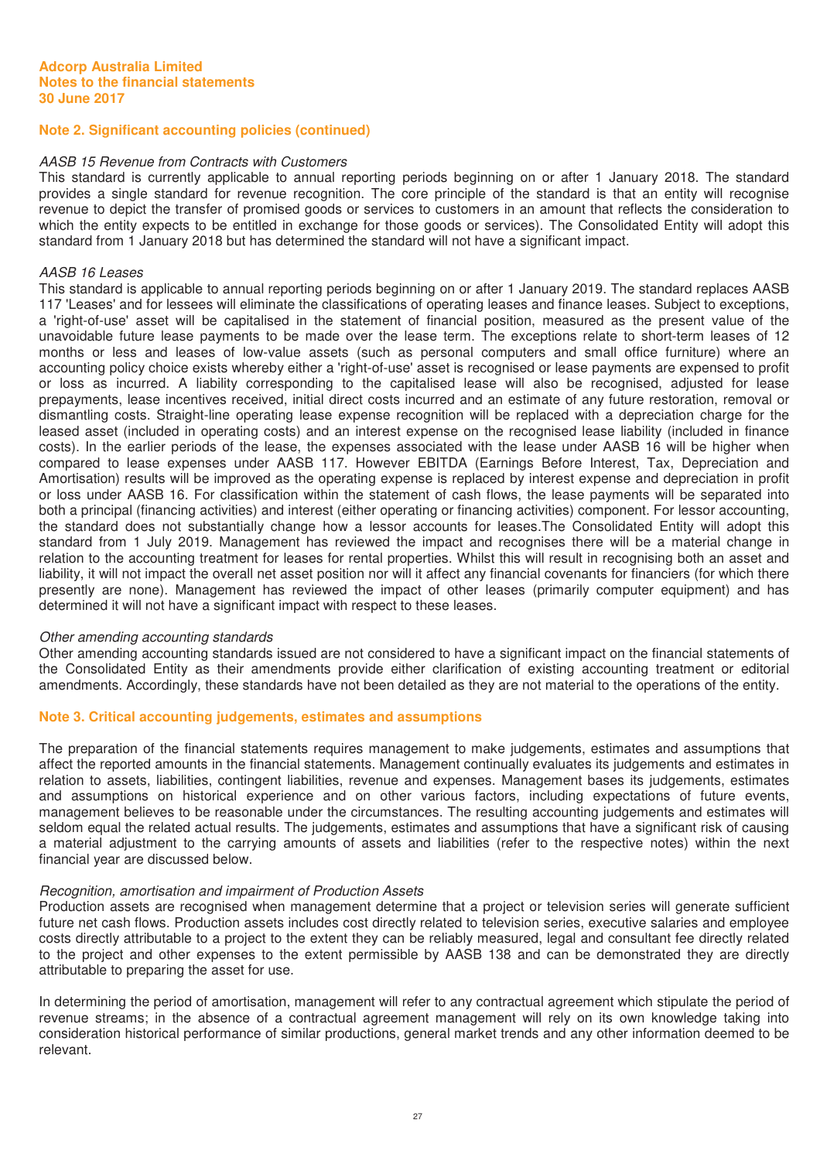#### AASB 15 Revenue from Contracts with Customers

This standard is currently applicable to annual reporting periods beginning on or after 1 January 2018. The standard provides a single standard for revenue recognition. The core principle of the standard is that an entity will recognise revenue to depict the transfer of promised goods or services to customers in an amount that reflects the consideration to which the entity expects to be entitled in exchange for those goods or services). The Consolidated Entity will adopt this standard from 1 January 2018 but has determined the standard will not have a significant impact.

#### AASB 16 Leases

This standard is applicable to annual reporting periods beginning on or after 1 January 2019. The standard replaces AASB 117 'Leases' and for lessees will eliminate the classifications of operating leases and finance leases. Subject to exceptions, a 'right-of-use' asset will be capitalised in the statement of financial position, measured as the present value of the unavoidable future lease payments to be made over the lease term. The exceptions relate to short-term leases of 12 months or less and leases of low-value assets (such as personal computers and small office furniture) where an accounting policy choice exists whereby either a 'right-of-use' asset is recognised or lease payments are expensed to profit or loss as incurred. A liability corresponding to the capitalised lease will also be recognised, adjusted for lease prepayments, lease incentives received, initial direct costs incurred and an estimate of any future restoration, removal or dismantling costs. Straight-line operating lease expense recognition will be replaced with a depreciation charge for the leased asset (included in operating costs) and an interest expense on the recognised lease liability (included in finance costs). In the earlier periods of the lease, the expenses associated with the lease under AASB 16 will be higher when compared to lease expenses under AASB 117. However EBITDA (Earnings Before Interest, Tax, Depreciation and Amortisation) results will be improved as the operating expense is replaced by interest expense and depreciation in profit or loss under AASB 16. For classification within the statement of cash flows, the lease payments will be separated into both a principal (financing activities) and interest (either operating or financing activities) component. For lessor accounting, the standard does not substantially change how a lessor accounts for leases.The Consolidated Entity will adopt this standard from 1 July 2019. Management has reviewed the impact and recognises there will be a material change in relation to the accounting treatment for leases for rental properties. Whilst this will result in recognising both an asset and liability, it will not impact the overall net asset position nor will it affect any financial covenants for financiers (for which there presently are none). Management has reviewed the impact of other leases (primarily computer equipment) and has determined it will not have a significant impact with respect to these leases.

#### Other amending accounting standards

Other amending accounting standards issued are not considered to have a significant impact on the financial statements of the Consolidated Entity as their amendments provide either clarification of existing accounting treatment or editorial amendments. Accordingly, these standards have not been detailed as they are not material to the operations of the entity.

# **Note 3. Critical accounting judgements, estimates and assumptions**

The preparation of the financial statements requires management to make judgements, estimates and assumptions that affect the reported amounts in the financial statements. Management continually evaluates its judgements and estimates in relation to assets, liabilities, contingent liabilities, revenue and expenses. Management bases its judgements, estimates and assumptions on historical experience and on other various factors, including expectations of future events, management believes to be reasonable under the circumstances. The resulting accounting judgements and estimates will seldom equal the related actual results. The judgements, estimates and assumptions that have a significant risk of causing a material adjustment to the carrying amounts of assets and liabilities (refer to the respective notes) within the next financial year are discussed below.

#### Recognition, amortisation and impairment of Production Assets

Production assets are recognised when management determine that a project or television series will generate sufficient future net cash flows. Production assets includes cost directly related to television series, executive salaries and employee costs directly attributable to a project to the extent they can be reliably measured, legal and consultant fee directly related to the project and other expenses to the extent permissible by AASB 138 and can be demonstrated they are directly attributable to preparing the asset for use.

In determining the period of amortisation, management will refer to any contractual agreement which stipulate the period of revenue streams; in the absence of a contractual agreement management will rely on its own knowledge taking into consideration historical performance of similar productions, general market trends and any other information deemed to be relevant.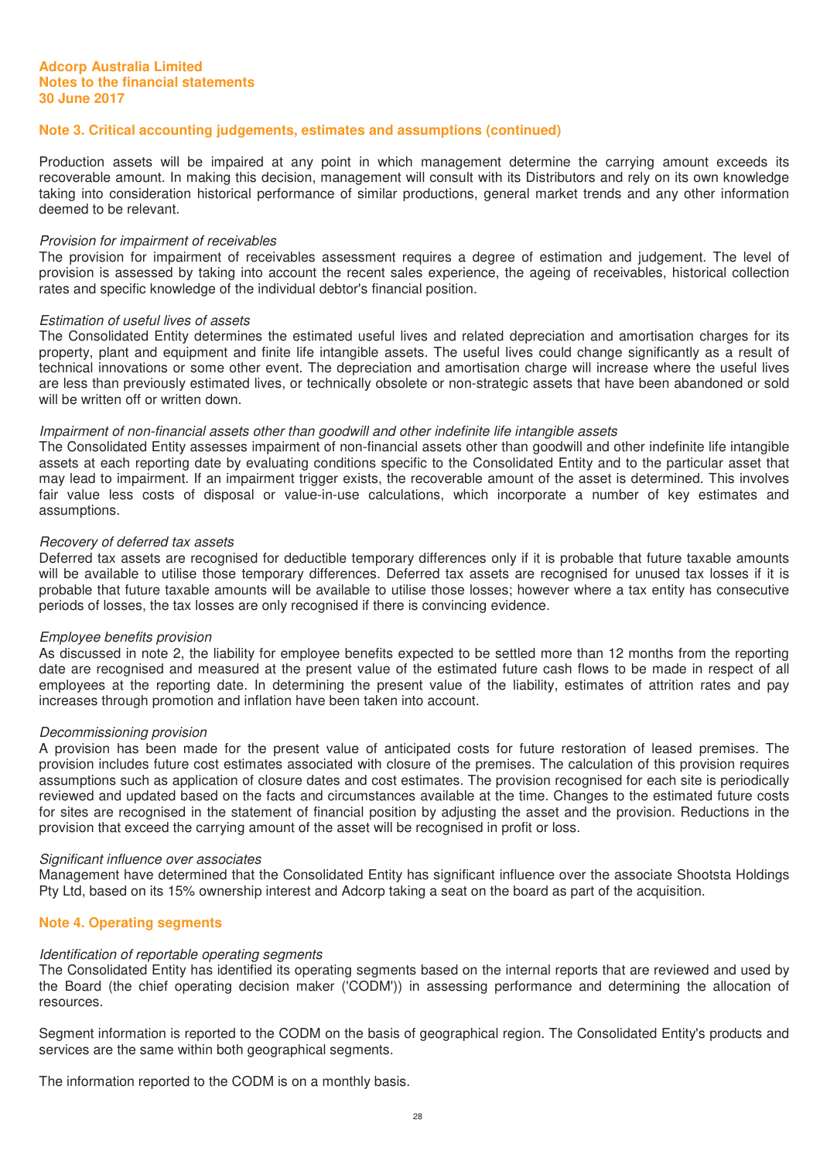# **Note 3. Critical accounting judgements, estimates and assumptions (continued)**

Production assets will be impaired at any point in which management determine the carrying amount exceeds its recoverable amount. In making this decision, management will consult with its Distributors and rely on its own knowledge taking into consideration historical performance of similar productions, general market trends and any other information deemed to be relevant.

#### Provision for impairment of receivables

The provision for impairment of receivables assessment requires a degree of estimation and judgement. The level of provision is assessed by taking into account the recent sales experience, the ageing of receivables, historical collection rates and specific knowledge of the individual debtor's financial position.

#### Estimation of useful lives of assets

The Consolidated Entity determines the estimated useful lives and related depreciation and amortisation charges for its property, plant and equipment and finite life intangible assets. The useful lives could change significantly as a result of technical innovations or some other event. The depreciation and amortisation charge will increase where the useful lives are less than previously estimated lives, or technically obsolete or non-strategic assets that have been abandoned or sold will be written off or written down.

#### Impairment of non-financial assets other than goodwill and other indefinite life intangible assets

The Consolidated Entity assesses impairment of non-financial assets other than goodwill and other indefinite life intangible assets at each reporting date by evaluating conditions specific to the Consolidated Entity and to the particular asset that may lead to impairment. If an impairment trigger exists, the recoverable amount of the asset is determined. This involves fair value less costs of disposal or value-in-use calculations, which incorporate a number of key estimates and assumptions.

#### Recovery of deferred tax assets

Deferred tax assets are recognised for deductible temporary differences only if it is probable that future taxable amounts will be available to utilise those temporary differences. Deferred tax assets are recognised for unused tax losses if it is probable that future taxable amounts will be available to utilise those losses; however where a tax entity has consecutive periods of losses, the tax losses are only recognised if there is convincing evidence.

#### Employee benefits provision

As discussed in note 2, the liability for employee benefits expected to be settled more than 12 months from the reporting date are recognised and measured at the present value of the estimated future cash flows to be made in respect of all employees at the reporting date. In determining the present value of the liability, estimates of attrition rates and pay increases through promotion and inflation have been taken into account.

#### Decommissioning provision

A provision has been made for the present value of anticipated costs for future restoration of leased premises. The provision includes future cost estimates associated with closure of the premises. The calculation of this provision requires assumptions such as application of closure dates and cost estimates. The provision recognised for each site is periodically reviewed and updated based on the facts and circumstances available at the time. Changes to the estimated future costs for sites are recognised in the statement of financial position by adjusting the asset and the provision. Reductions in the provision that exceed the carrying amount of the asset will be recognised in profit or loss.

#### Significant influence over associates

Management have determined that the Consolidated Entity has significant influence over the associate Shootsta Holdings Pty Ltd, based on its 15% ownership interest and Adcorp taking a seat on the board as part of the acquisition.

# **Note 4. Operating segments**

#### Identification of reportable operating segments

The Consolidated Entity has identified its operating segments based on the internal reports that are reviewed and used by the Board (the chief operating decision maker ('CODM')) in assessing performance and determining the allocation of resources.

Segment information is reported to the CODM on the basis of geographical region. The Consolidated Entity's products and services are the same within both geographical segments.

The information reported to the CODM is on a monthly basis.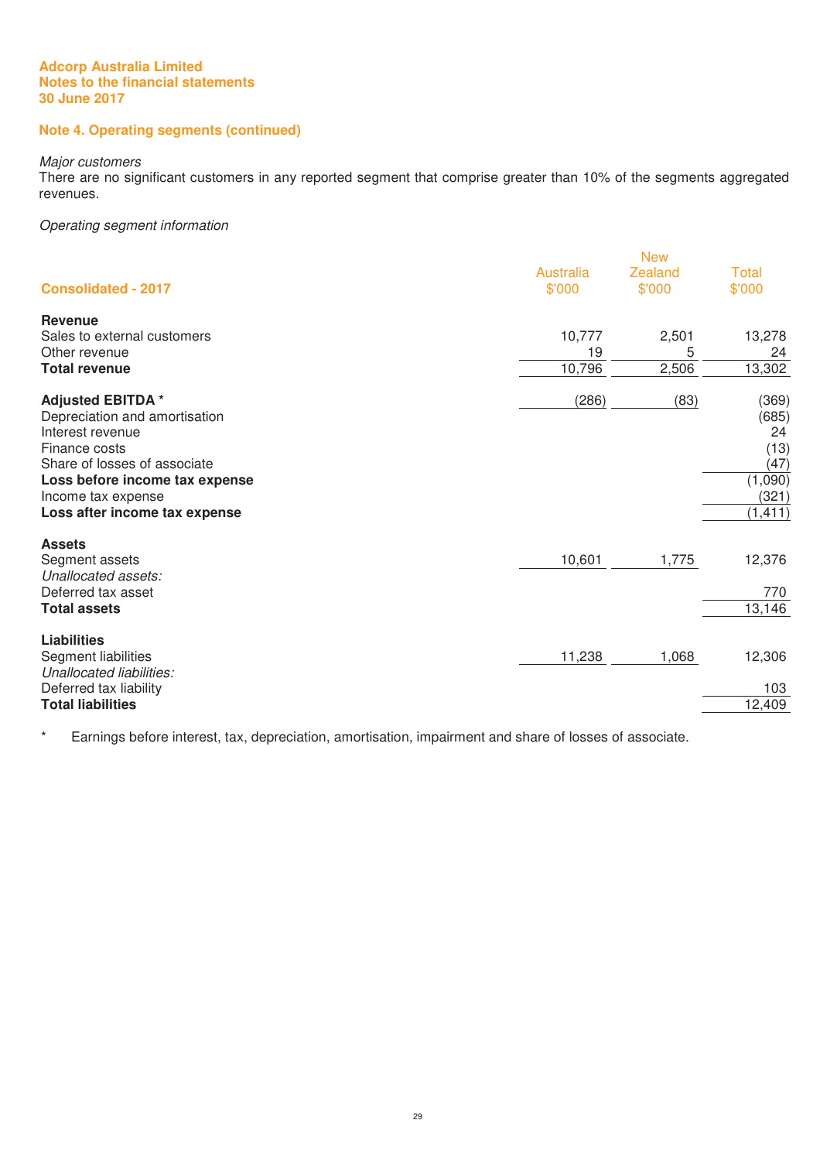# **Note 4. Operating segments (continued)**

#### Major customers

There are no significant customers in any reported segment that comprise greater than 10% of the segments aggregated revenues.

# Operating segment information

| <b>Consolidated - 2017</b>                                                                                                                                                                                             | Australia<br>\$'000 | <b>New</b><br><b>Zealand</b><br>\$'000 | <b>Total</b><br>\$'000                                               |
|------------------------------------------------------------------------------------------------------------------------------------------------------------------------------------------------------------------------|---------------------|----------------------------------------|----------------------------------------------------------------------|
| <b>Revenue</b><br>Sales to external customers                                                                                                                                                                          | 10,777              | 2,501                                  | 13,278                                                               |
| Other revenue<br><b>Total revenue</b>                                                                                                                                                                                  | 19<br>10,796        | 5<br>2,506                             | 24<br>13,302                                                         |
| <b>Adjusted EBITDA*</b><br>Depreciation and amortisation<br>Interest revenue<br>Finance costs<br>Share of losses of associate<br>Loss before income tax expense<br>Income tax expense<br>Loss after income tax expense | (286)               | (83)                                   | (369)<br>(685)<br>24<br>(13)<br>(47)<br>(1,090)<br>(321)<br>(1, 411) |
| <b>Assets</b><br>Segment assets<br>Unallocated assets:<br>Deferred tax asset<br><b>Total assets</b>                                                                                                                    | 10,601              | 1,775                                  | 12,376<br>770<br>13,146                                              |
| <b>Liabilities</b><br>Segment liabilities<br>Unallocated liabilities:<br>Deferred tax liability<br><b>Total liabilities</b>                                                                                            | 11,238              | 1,068                                  | 12,306<br>103<br>12,409                                              |

\* Earnings before interest, tax, depreciation, amortisation, impairment and share of losses of associate.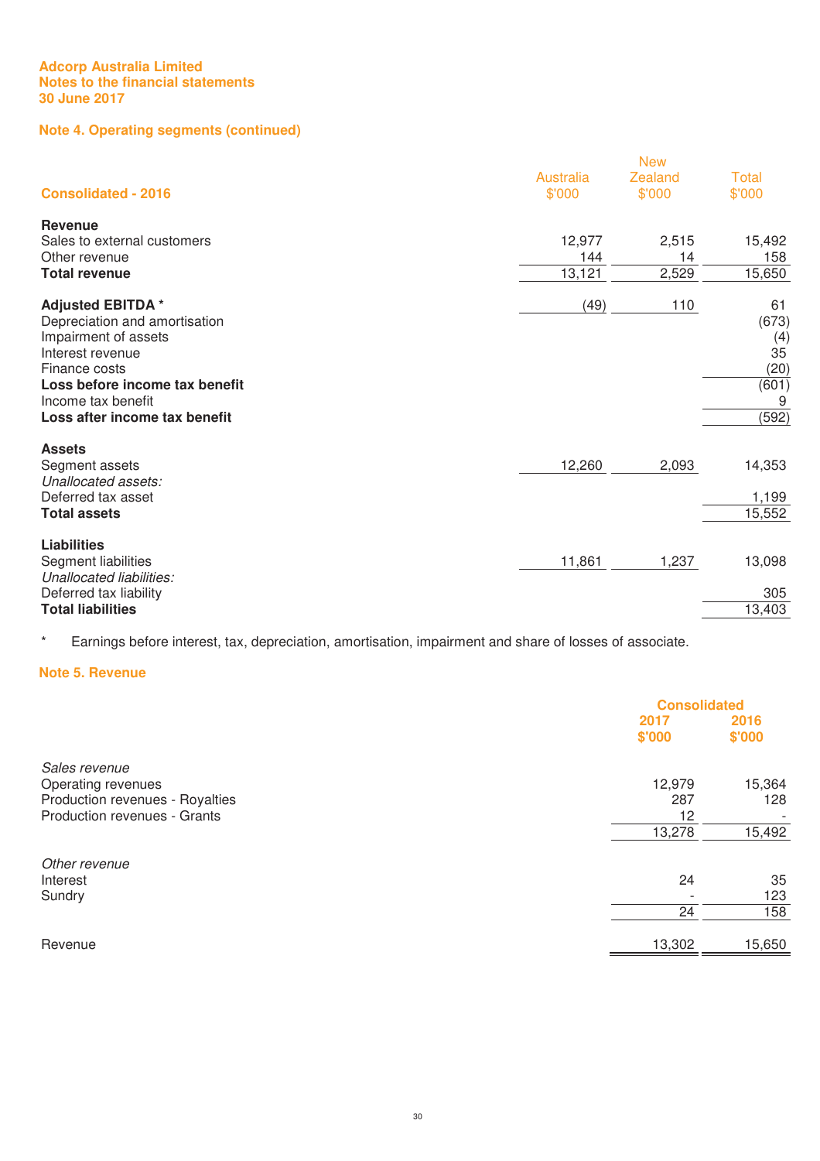# **Note 4. Operating segments (continued)**

|                                       | <b>New</b>                 |                   |                        |  |  |
|---------------------------------------|----------------------------|-------------------|------------------------|--|--|
| <b>Consolidated - 2016</b>            | <b>Australia</b><br>\$'000 | Zealand<br>\$'000 | <b>Total</b><br>\$'000 |  |  |
| <b>Revenue</b>                        |                            |                   |                        |  |  |
| Sales to external customers           | 12,977                     | 2,515             | 15,492                 |  |  |
| Other revenue                         | 144                        | 14                | 158                    |  |  |
| <b>Total revenue</b>                  | 13,121                     | 2,529             | 15,650                 |  |  |
| <b>Adjusted EBITDA *</b>              | (49)                       | 110               | 61                     |  |  |
| Depreciation and amortisation         |                            |                   | (673)                  |  |  |
| Impairment of assets                  |                            |                   | (4)                    |  |  |
| Interest revenue                      |                            |                   | 35                     |  |  |
| Finance costs                         |                            |                   | (20)                   |  |  |
| Loss before income tax benefit        |                            |                   | (601)                  |  |  |
| Income tax benefit                    |                            |                   | 9                      |  |  |
| Loss after income tax benefit         |                            |                   | (592)                  |  |  |
| <b>Assets</b>                         |                            |                   |                        |  |  |
| Segment assets<br>Unallocated assets: | 12,260                     | 2,093             | 14,353                 |  |  |
| Deferred tax asset                    |                            |                   | 1,199                  |  |  |
| <b>Total assets</b>                   |                            |                   | 15,552                 |  |  |
| <b>Liabilities</b>                    |                            |                   |                        |  |  |
| Segment liabilities                   | 11,861                     | 1,237             | 13,098                 |  |  |
| Unallocated liabilities:              |                            |                   |                        |  |  |
| Deferred tax liability                |                            |                   | 305                    |  |  |
| <b>Total liabilities</b>              |                            |                   | 13,403                 |  |  |

\* Earnings before interest, tax, depreciation, amortisation, impairment and share of losses of associate.

# **Note 5. Revenue**

|                                 | <b>Consolidated</b> |        |
|---------------------------------|---------------------|--------|
|                                 | 2017                | 2016   |
|                                 | \$'000              | \$'000 |
| Sales revenue                   |                     |        |
| Operating revenues              | 12,979              | 15,364 |
| Production revenues - Royalties | 287                 | 128    |
| Production revenues - Grants    | 12                  |        |
|                                 | 13,278              | 15,492 |
| Other revenue                   |                     |        |
| Interest                        | 24                  | 35     |
| Sundry                          |                     | 123    |
|                                 | 24                  | 158    |
| Revenue                         | 13,302              | 15,650 |
|                                 |                     |        |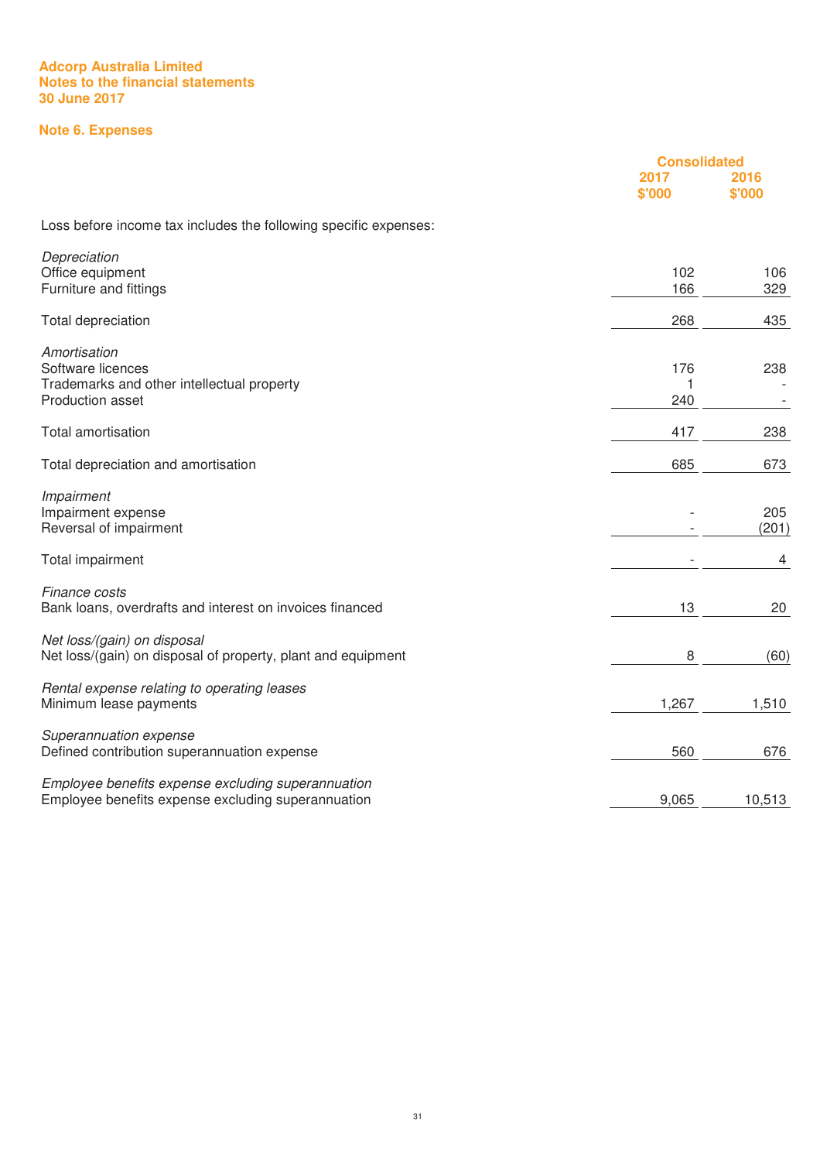# **Note 6. Expenses**

|                                                                  | <b>Consolidated</b> |                |
|------------------------------------------------------------------|---------------------|----------------|
|                                                                  | 2017<br>\$'000      | 2016<br>\$'000 |
| Loss before income tax includes the following specific expenses: |                     |                |
| Depreciation                                                     |                     |                |
| Office equipment<br>Furniture and fittings                       | 102<br>166          | 106<br>329     |
|                                                                  |                     |                |
| Total depreciation                                               | 268                 | 435            |
| Amortisation                                                     |                     |                |
| Software licences                                                | 176                 | 238            |
| Trademarks and other intellectual property                       | 1                   |                |
| Production asset                                                 | 240                 |                |
| Total amortisation                                               | 417                 | 238            |
| Total depreciation and amortisation                              | 685                 | 673            |
| Impairment                                                       |                     |                |
| Impairment expense                                               |                     | 205            |
| Reversal of impairment                                           |                     | (201)          |
| Total impairment                                                 |                     | 4              |
| Finance costs                                                    |                     |                |
| Bank loans, overdrafts and interest on invoices financed         | 13                  | 20             |
| Net loss/(gain) on disposal                                      |                     |                |
| Net loss/(gain) on disposal of property, plant and equipment     | 8                   | (60)           |
| Rental expense relating to operating leases                      |                     |                |
| Minimum lease payments                                           | 1,267               | 1,510          |
| Superannuation expense                                           |                     |                |
| Defined contribution superannuation expense                      | 560                 | 676            |
| Employee benefits expense excluding superannuation               |                     |                |
| Employee benefits expense excluding superannuation               | 9,065               | 10,513         |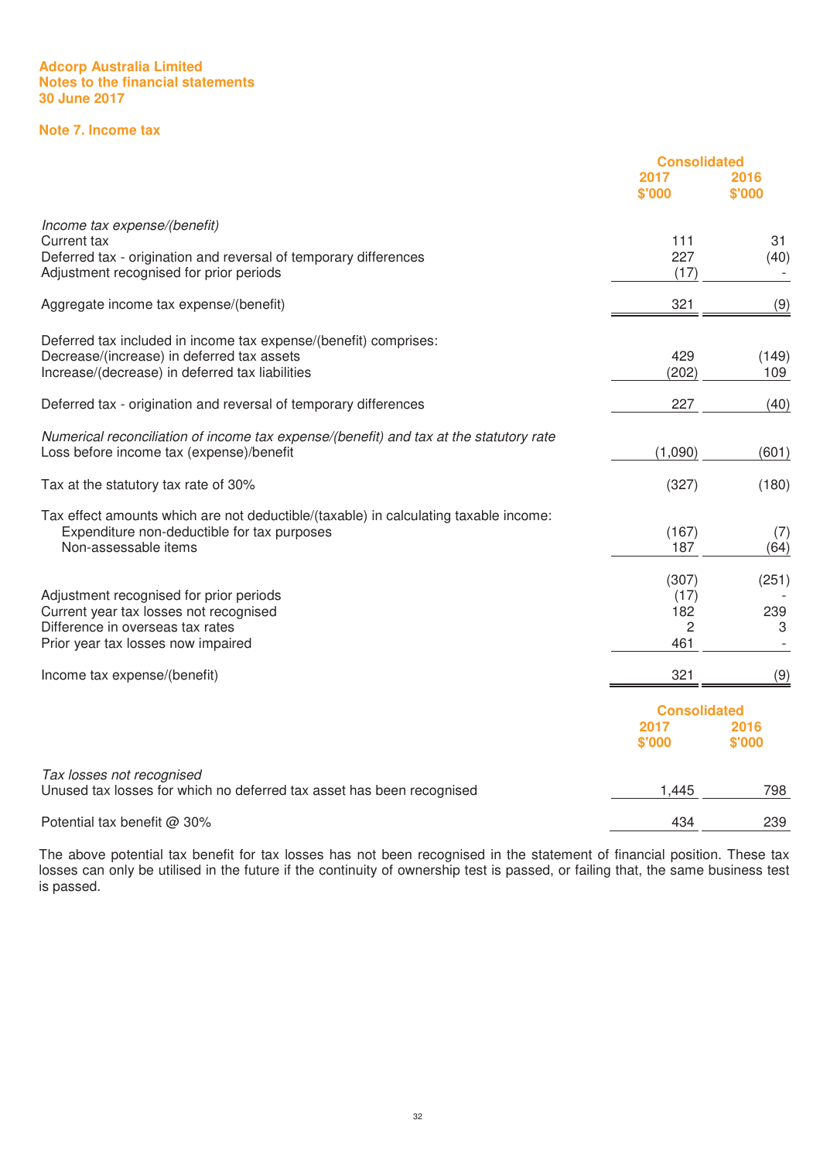# **Note 7. Income tax**

|                                                                                        | <b>Consolidated</b> |                |
|----------------------------------------------------------------------------------------|---------------------|----------------|
|                                                                                        | 2017<br>\$'000      | 2016<br>\$'000 |
| Income tax expense/(benefit)                                                           |                     |                |
| Current tax                                                                            | 111                 | 31             |
| Deferred tax - origination and reversal of temporary differences                       | 227                 | (40)           |
| Adjustment recognised for prior periods                                                | (17)                |                |
| Aggregate income tax expense/(benefit)                                                 | 321                 | (9)            |
| Deferred tax included in income tax expense/(benefit) comprises:                       |                     |                |
| Decrease/(increase) in deferred tax assets                                             | 429                 | (149)          |
| Increase/(decrease) in deferred tax liabilities                                        | (202)               | 109            |
| Deferred tax - origination and reversal of temporary differences                       | 227                 | (40)           |
| Numerical reconciliation of income tax expense/(benefit) and tax at the statutory rate |                     |                |
| Loss before income tax (expense)/benefit                                               | (1,090)             | (601)          |
| Tax at the statutory tax rate of 30%                                                   | (327)               | (180)          |
| Tax effect amounts which are not deductible/(taxable) in calculating taxable income:   |                     |                |
| Expenditure non-deductible for tax purposes                                            | (167)               | (7)            |
| Non-assessable items                                                                   | 187                 | (64)           |
|                                                                                        | (307)               | (251)          |
| Adjustment recognised for prior periods                                                | (17)                |                |
| Current year tax losses not recognised                                                 | 182                 | 239            |
| Difference in overseas tax rates                                                       | 2                   | 3              |
| Prior year tax losses now impaired                                                     | 461                 |                |
| Income tax expense/(benefit)                                                           | 321                 | (9)            |
|                                                                                        | <b>Consolidated</b> |                |
|                                                                                        | 2017                | 2016           |
|                                                                                        | \$'000              | \$'000         |
| Tax losses not recognised                                                              |                     |                |
| Unused tax losses for which no deferred tax asset has been recognised                  | 1,445               | 798            |
| Potential tax benefit @ 30%                                                            | 434                 | 239            |

The above potential tax benefit for tax losses has not been recognised in the statement of financial position. These tax losses can only be utilised in the future if the continuity of ownership test is passed, or failing that, the same business test is passed.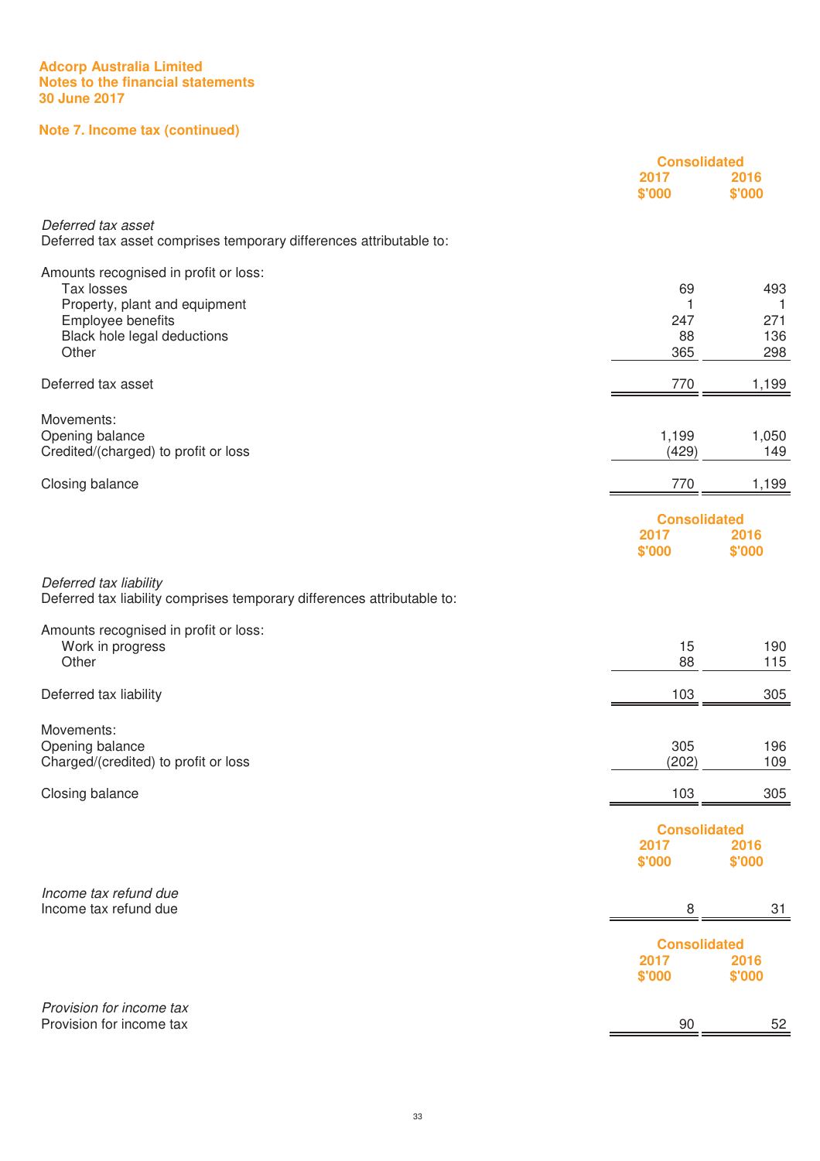# **Note 7. Income tax (continued)**

|                                                                                                                                                   | <b>Consolidated</b>                   |                               |
|---------------------------------------------------------------------------------------------------------------------------------------------------|---------------------------------------|-------------------------------|
|                                                                                                                                                   | 2017<br>\$'000                        | 2016<br>\$'000                |
| Deferred tax asset<br>Deferred tax asset comprises temporary differences attributable to:                                                         |                                       |                               |
| Amounts recognised in profit or loss:<br>Tax losses<br>Property, plant and equipment<br>Employee benefits<br>Black hole legal deductions<br>Other | 69<br>1<br>247<br>88<br>365           | 493<br>1<br>271<br>136<br>298 |
| Deferred tax asset                                                                                                                                | 770                                   | 1,199                         |
| Movements:<br>Opening balance<br>Credited/(charged) to profit or loss                                                                             | 1,199<br>(429)                        | 1,050<br>149                  |
| Closing balance                                                                                                                                   | 770                                   | 1,199                         |
|                                                                                                                                                   | <b>Consolidated</b><br>2017<br>\$'000 | 2016<br>\$'000                |
| Deferred tax liability<br>Deferred tax liability comprises temporary differences attributable to:                                                 |                                       |                               |
| Amounts recognised in profit or loss:<br>Work in progress<br>Other                                                                                | 15<br>88                              | 190<br>115                    |
| Deferred tax liability                                                                                                                            | 103                                   | 305                           |
| Movements:<br>Opening balance<br>Charged/(credited) to profit or loss                                                                             | 305<br>(202)                          | 196<br>109                    |
| Closing balance                                                                                                                                   | 103                                   | 305                           |
|                                                                                                                                                   | <b>Consolidated</b><br>2017<br>\$'000 | 2016<br>\$'000                |
| Income tax refund due<br>Income tax refund due                                                                                                    | 8                                     | 31                            |
|                                                                                                                                                   | <b>Consolidated</b><br>2017<br>\$'000 | 2016<br>\$'000                |
| Provision for income tax<br>Provision for income tax                                                                                              | 90                                    | 52                            |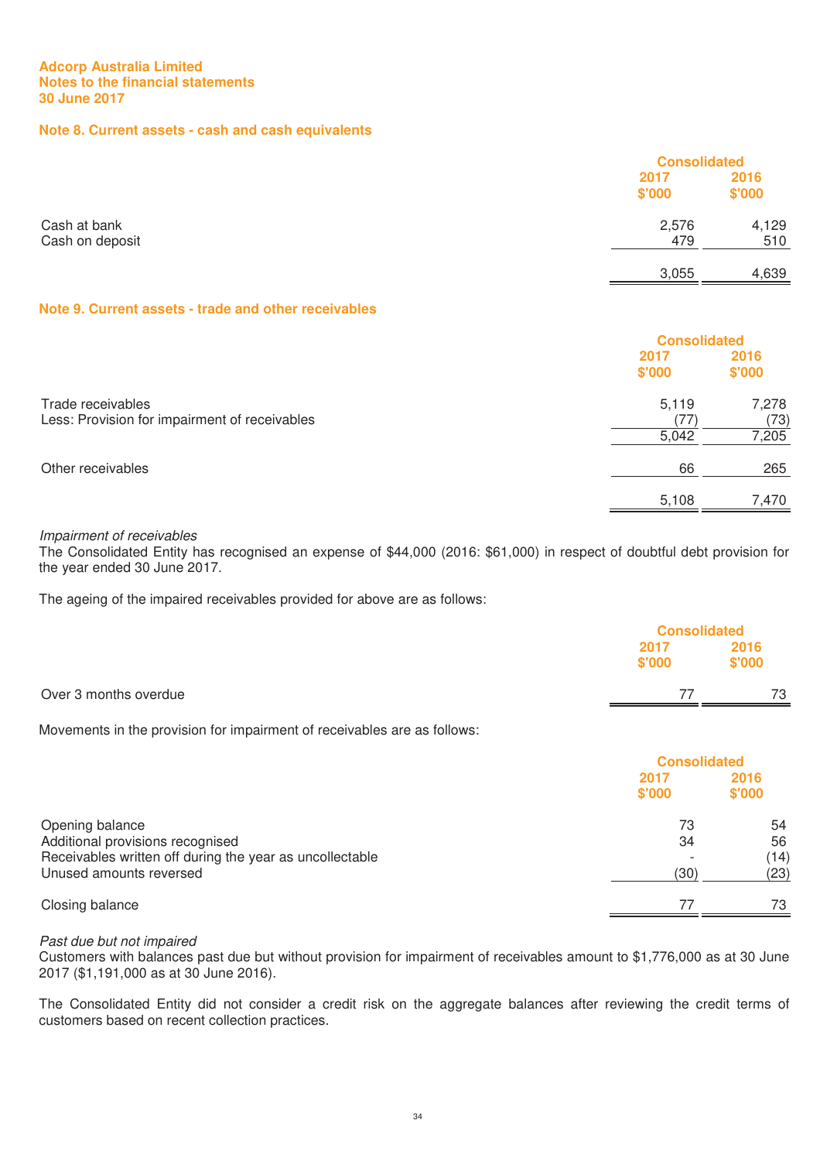# **Note 8. Current assets - cash and cash equivalents**

|                 |        | <b>Consolidated</b> |  |
|-----------------|--------|---------------------|--|
|                 | 2017   | 2016                |  |
|                 | \$'000 | \$'000              |  |
| Cash at bank    | 2,576  | 4,129               |  |
| Cash on deposit | 479    | 510                 |  |
|                 | 3,055  | 4,639               |  |

# **Note 9. Current assets - trade and other receivables**

|                                                                    |                | <b>Consolidated</b> |  |
|--------------------------------------------------------------------|----------------|---------------------|--|
|                                                                    | 2017<br>\$'000 | 2016<br>\$'000      |  |
| Trade receivables<br>Less: Provision for impairment of receivables | 5,119<br>77    | 7,278<br>(73)       |  |
|                                                                    | 5,042          | 7,205               |  |
| Other receivables                                                  | 66             | 265                 |  |
|                                                                    | 5,108          | 7.470               |  |

# Impairment of receivables

The Consolidated Entity has recognised an expense of \$44,000 (2016: \$61,000) in respect of doubtful debt provision for the year ended 30 June 2017.

The ageing of the impaired receivables provided for above are as follows:

|                       |        | <b>Consolidated</b> |  |
|-----------------------|--------|---------------------|--|
|                       | 2017   | 2016                |  |
|                       | \$'000 | \$'000              |  |
| Over 3 months overdue |        | 73                  |  |
|                       |        |                     |  |

Movements in the provision for impairment of receivables are as follows:

|                                                                                                                                            | <b>Consolidated</b> |                          |
|--------------------------------------------------------------------------------------------------------------------------------------------|---------------------|--------------------------|
|                                                                                                                                            | 2017<br>\$'000      | 2016<br>\$'000           |
| Opening balance<br>Additional provisions recognised<br>Receivables written off during the year as uncollectable<br>Unused amounts reversed | 73<br>34<br>(30)    | 54<br>56<br>(14)<br>(23) |
| Closing balance                                                                                                                            |                     | 73                       |

#### Past due but not impaired

Customers with balances past due but without provision for impairment of receivables amount to \$1,776,000 as at 30 June 2017 (\$1,191,000 as at 30 June 2016).

The Consolidated Entity did not consider a credit risk on the aggregate balances after reviewing the credit terms of customers based on recent collection practices.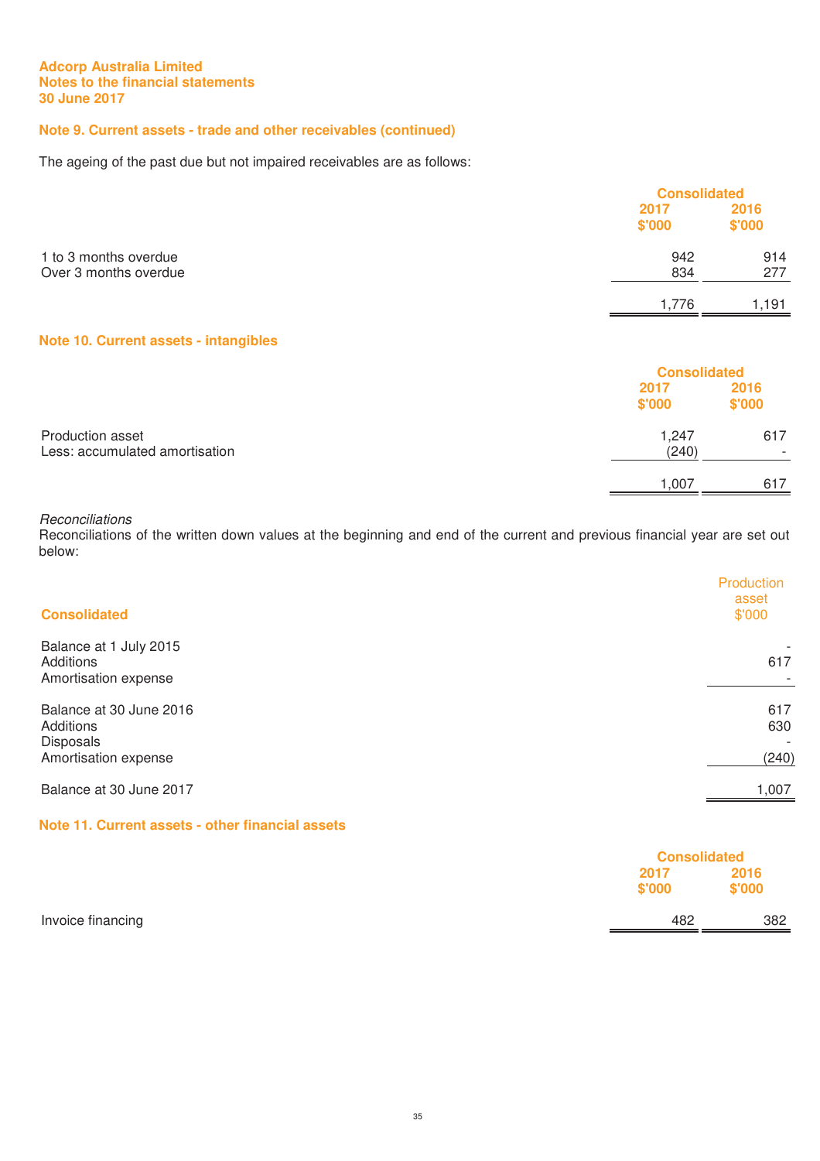# **Note 9. Current assets - trade and other receivables (continued)**

The ageing of the past due but not impaired receivables are as follows:

|                                                |                | <b>Consolidated</b> |  |
|------------------------------------------------|----------------|---------------------|--|
|                                                | 2017<br>\$'000 | 2016<br>\$'000      |  |
| 1 to 3 months overdue<br>Over 3 months overdue | 942<br>834     | 914<br>277          |  |
|                                                | 1.776          | 1.191               |  |

# **Note 10. Current assets - intangibles**

|                                                    |                | <b>Consolidated</b> |  |
|----------------------------------------------------|----------------|---------------------|--|
|                                                    | 2017<br>\$'000 | 2016<br>\$'000      |  |
| Production asset<br>Less: accumulated amortisation | 1,247<br>(240) | 617                 |  |
|                                                    | 1.007          | 617                 |  |

# **Reconciliations**

Reconciliations of the written down values at the beginning and end of the current and previous financial year are set out below:

| <b>Consolidated</b>                                                       | Production<br>asset<br>\$'000                   |
|---------------------------------------------------------------------------|-------------------------------------------------|
| Balance at 1 July 2015<br>Additions<br>Amortisation expense               | 617                                             |
| Balance at 30 June 2016<br>Additions<br>Disposals<br>Amortisation expense | 617<br>630<br>$\overline{\phantom{a}}$<br>(240) |
| Balance at 30 June 2017                                                   | 1,007                                           |

# **Note 11. Current assets - other financial assets**

|                   |                | <b>Consolidated</b> |  |
|-------------------|----------------|---------------------|--|
|                   | 2017<br>\$'000 | 2016<br>\$'000      |  |
| Invoice financing | 482            | 382                 |  |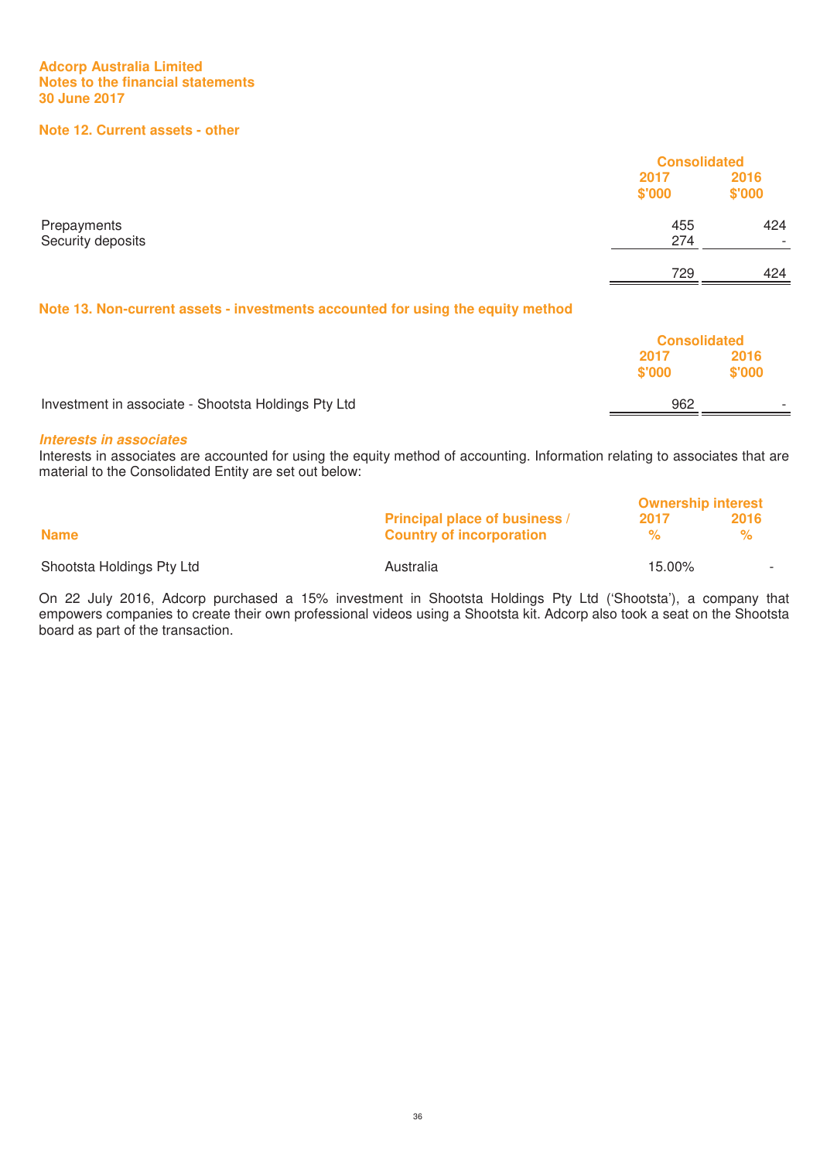# **Note 12. Current assets - other**

|                                                                                                    |                | <b>Consolidated</b> |  |
|----------------------------------------------------------------------------------------------------|----------------|---------------------|--|
|                                                                                                    | 2017<br>\$'000 | 2016<br>\$'000      |  |
| Prepayments<br>Security deposits                                                                   | 455<br>274     | 424<br>$\sim$       |  |
|                                                                                                    | 729            | 424                 |  |
| Mata 40. Main arranged against the restaurants against although the religionship and the model and |                |                     |  |

#### **Note 13. Non-current assets - investments accounted for using the equity method**

|                                                     |        | <b>Consolidated</b>      |  |
|-----------------------------------------------------|--------|--------------------------|--|
|                                                     | 2017   | 2016                     |  |
|                                                     | \$'000 | \$'000                   |  |
| Investment in associate - Shootsta Holdings Pty Ltd | 962    | $\overline{\phantom{a}}$ |  |

#### *Interests in associates*

Interests in associates are accounted for using the equity method of accounting. Information relating to associates that are material to the Consolidated Entity are set out below:

|                           |                                                                         | <b>Ownership interest</b> |           |
|---------------------------|-------------------------------------------------------------------------|---------------------------|-----------|
| <b>Name</b>               | <b>Principal place of business /</b><br><b>Country of incorporation</b> | 2017<br>$\%$              | 2016<br>℀ |
| Shootsta Holdings Pty Ltd | Australia                                                               | 15.00%                    |           |
|                           |                                                                         |                           |           |

On 22 July 2016, Adcorp purchased a 15% investment in Shootsta Holdings Pty Ltd ('Shootsta'), a company that empowers companies to create their own professional videos using a Shootsta kit. Adcorp also took a seat on the Shootsta board as part of the transaction.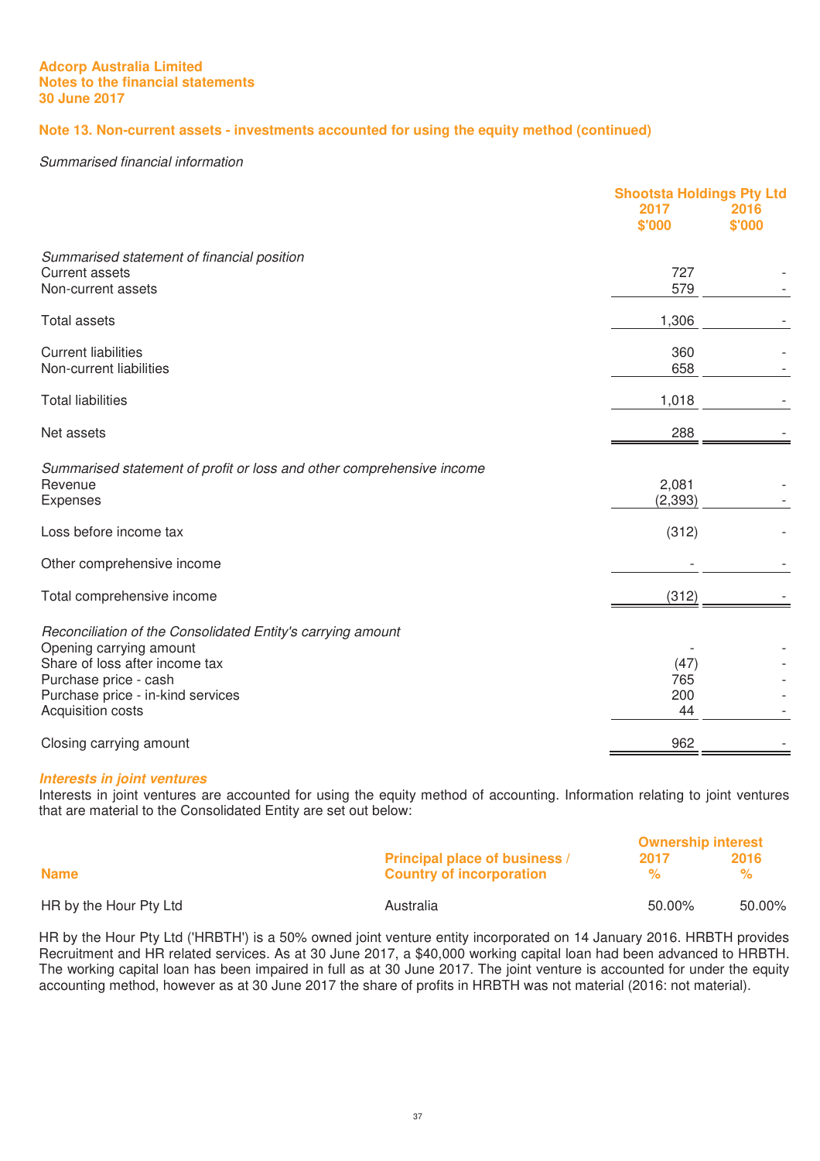# **Note 13. Non-current assets - investments accounted for using the equity method (continued)**

#### Summarised financial information

|                                                                       | <b>Shootsta Holdings Pty Ltd</b> |                |
|-----------------------------------------------------------------------|----------------------------------|----------------|
|                                                                       | 2017<br>\$'000                   | 2016<br>\$'000 |
| Summarised statement of financial position                            |                                  |                |
| <b>Current assets</b><br>Non-current assets                           | 727<br>579                       |                |
|                                                                       |                                  |                |
| <b>Total assets</b>                                                   | 1,306                            |                |
| <b>Current liabilities</b><br>Non-current liabilities                 | 360<br>658                       |                |
|                                                                       |                                  |                |
| <b>Total liabilities</b>                                              | 1,018                            |                |
| Net assets                                                            | 288                              |                |
| Summarised statement of profit or loss and other comprehensive income |                                  |                |
| Revenue                                                               | 2,081                            |                |
| Expenses                                                              | (2, 393)                         |                |
| Loss before income tax                                                | (312)                            |                |
| Other comprehensive income                                            |                                  |                |
| Total comprehensive income                                            | (312)                            |                |
| Reconciliation of the Consolidated Entity's carrying amount           |                                  |                |
| Opening carrying amount<br>Share of loss after income tax             | (47)                             |                |
| Purchase price - cash                                                 | 765                              |                |
| Purchase price - in-kind services                                     | 200                              |                |
| Acquisition costs                                                     | 44                               |                |
| Closing carrying amount                                               | 962                              |                |

#### *Interests in joint ventures*

Interests in joint ventures are accounted for using the equity method of accounting. Information relating to joint ventures that are material to the Consolidated Entity are set out below:

|                        |                                      | <b>Ownership interest</b> |        |
|------------------------|--------------------------------------|---------------------------|--------|
|                        | <b>Principal place of business /</b> | -2017                     | 2016   |
| <b>Name</b>            | <b>Country of incorporation</b>      | $\frac{1}{2}$             |        |
| HR by the Hour Pty Ltd | Australia                            | 50.00%                    | 50.00% |

HR by the Hour Pty Ltd ('HRBTH') is a 50% owned joint venture entity incorporated on 14 January 2016. HRBTH provides Recruitment and HR related services. As at 30 June 2017, a \$40,000 working capital loan had been advanced to HRBTH. The working capital loan has been impaired in full as at 30 June 2017. The joint venture is accounted for under the equity accounting method, however as at 30 June 2017 the share of profits in HRBTH was not material (2016: not material).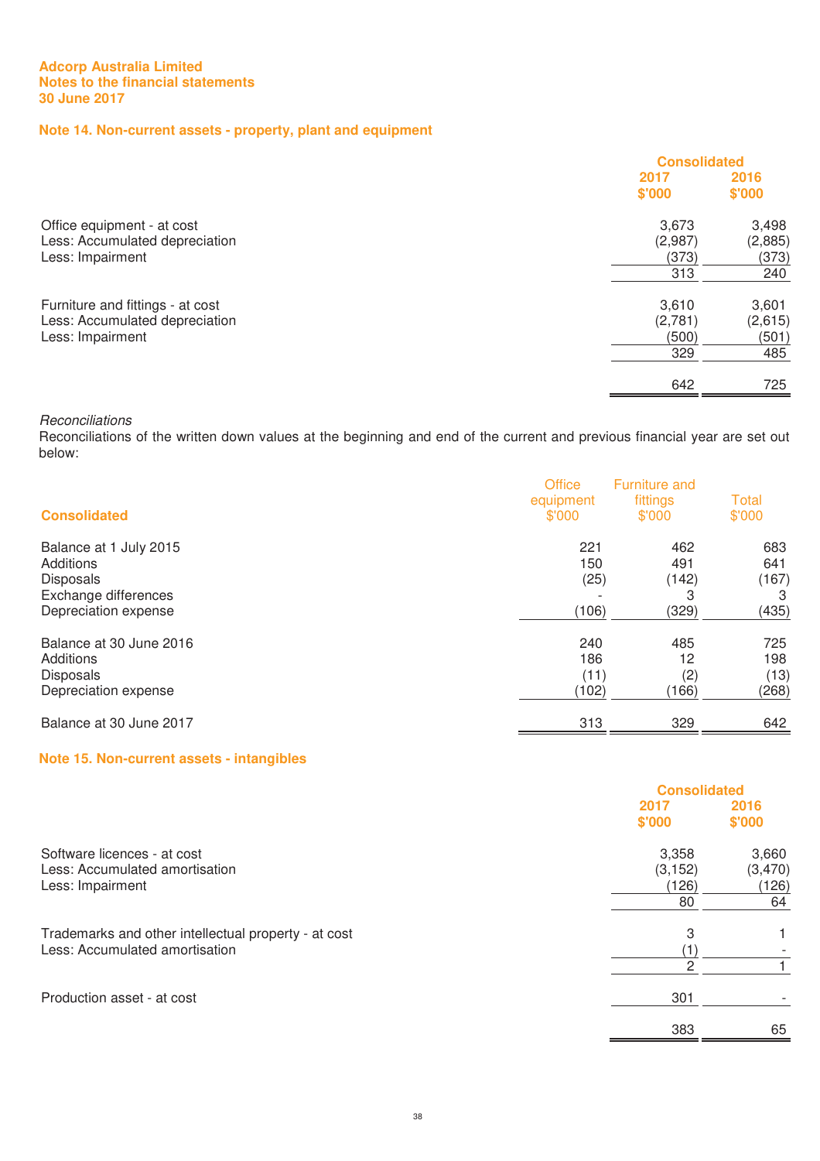# **Note 14. Non-current assets - property, plant and equipment**

|                                  | <b>Consolidated</b> |         |
|----------------------------------|---------------------|---------|
|                                  | 2017                | 2016    |
|                                  | \$'000              | \$'000  |
| Office equipment - at cost       | 3,673               | 3,498   |
| Less: Accumulated depreciation   | (2,987)             | (2,885) |
| Less: Impairment                 | (373)               | (373)   |
|                                  | 313                 | 240     |
| Furniture and fittings - at cost | 3,610               | 3,601   |
| Less: Accumulated depreciation   | (2,781)             | (2,615) |
| Less: Impairment                 | (500)               | (501)   |
|                                  | 329                 | 485     |
|                                  | 642                 | 725     |

#### **Reconciliations**

Reconciliations of the written down values at the beginning and end of the current and previous financial year are set out below:

| <b>Consolidated</b>     | <b>Office</b><br>equipment<br>\$'000 | <b>Furniture and</b><br>fittings<br>\$'000 | Total<br>\$'000 |
|-------------------------|--------------------------------------|--------------------------------------------|-----------------|
| Balance at 1 July 2015  | 221                                  | 462                                        | 683             |
| Additions               | 150                                  | 491                                        | 641             |
| <b>Disposals</b>        | (25)                                 | (142)                                      | (167)           |
| Exchange differences    | (106)                                | 3                                          | 3               |
| Depreciation expense    |                                      | (329)                                      | (435)           |
| Balance at 30 June 2016 | 240                                  | 485                                        | 725             |
| Additions               | 186                                  | 12                                         | 198             |
| <b>Disposals</b>        | (11)                                 | (2)                                        | (13)            |
| Depreciation expense    | (102)                                | (166)                                      | (268)           |
| Balance at 30 June 2017 | 313                                  | 329                                        | 642             |

# **Note 15. Non-current assets - intangibles**

|                                                                                        | <b>Consolidated</b>              |                                 |
|----------------------------------------------------------------------------------------|----------------------------------|---------------------------------|
|                                                                                        | 2017<br>\$'000                   | 2016<br>\$'000                  |
| Software licences - at cost<br>Less: Accumulated amortisation<br>Less: Impairment      | 3,358<br>(3, 152)<br>(126)<br>80 | 3,660<br>(3,470)<br>(126)<br>64 |
| Trademarks and other intellectual property - at cost<br>Less: Accumulated amortisation | 3<br>$\overline{2}$              |                                 |
| Production asset - at cost                                                             | 301                              |                                 |
|                                                                                        | 383                              | 65                              |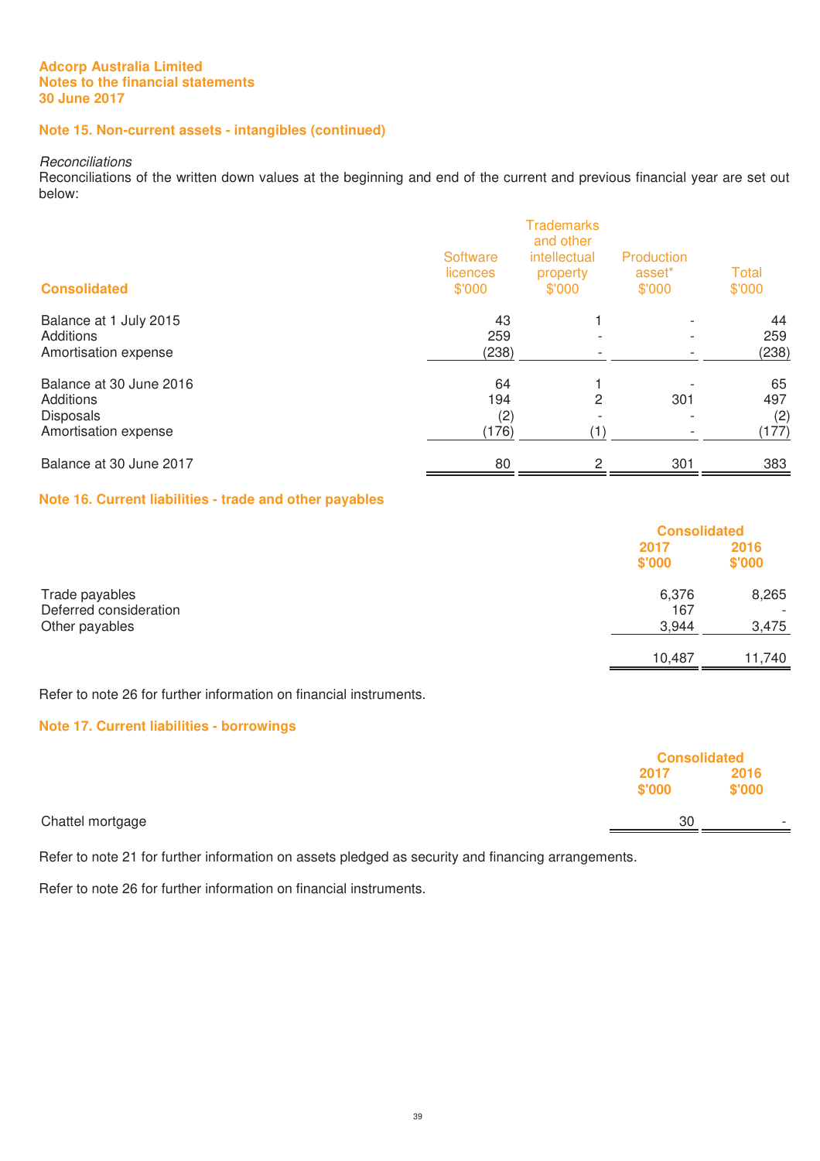# **Note 15. Non-current assets - intangibles (continued)**

#### **Reconciliations**

Reconciliations of the written down values at the beginning and end of the current and previous financial year are set out below:

| <b>Consolidated</b>     | Software<br>licences<br>\$'000 | <b>Trademarks</b><br>and other<br>intellectual<br>property<br>\$'000 | Production<br>asset <sup>*</sup><br>\$'000 | <b>Total</b><br>\$'000 |
|-------------------------|--------------------------------|----------------------------------------------------------------------|--------------------------------------------|------------------------|
| Balance at 1 July 2015  | 43                             |                                                                      |                                            | 44                     |
| Additions               | 259                            |                                                                      |                                            | 259                    |
| Amortisation expense    | (238)                          |                                                                      |                                            | (238)                  |
| Balance at 30 June 2016 | 64                             |                                                                      |                                            | 65                     |
| Additions               | 194                            | 2                                                                    | 301                                        | 497                    |
| <b>Disposals</b>        | (2)                            |                                                                      |                                            | (2)                    |
| Amortisation expense    | (176)                          |                                                                      |                                            | (177)                  |
| Balance at 30 June 2017 | 80                             | 2                                                                    | 301                                        | 383                    |

#### **Note 16. Current liabilities - trade and other payables**

|                                                            |                       | <b>Consolidated</b> |  |
|------------------------------------------------------------|-----------------------|---------------------|--|
|                                                            | 2017<br>\$'000        | 2016<br>\$'000      |  |
| Trade payables<br>Deferred consideration<br>Other payables | 6,376<br>167<br>3,944 | 8,265<br>3,475      |  |
|                                                            | 10,487                | 11,740              |  |

Refer to note 26 for further information on financial instruments.

# **Note 17. Current liabilities - borrowings**

|                  |                | <b>Consolidated</b>      |  |
|------------------|----------------|--------------------------|--|
|                  | 2017<br>\$'000 | 2016<br>\$'000           |  |
| Chattel mortgage | 30             | $\overline{\phantom{a}}$ |  |

Refer to note 21 for further information on assets pledged as security and financing arrangements.

Refer to note 26 for further information on financial instruments.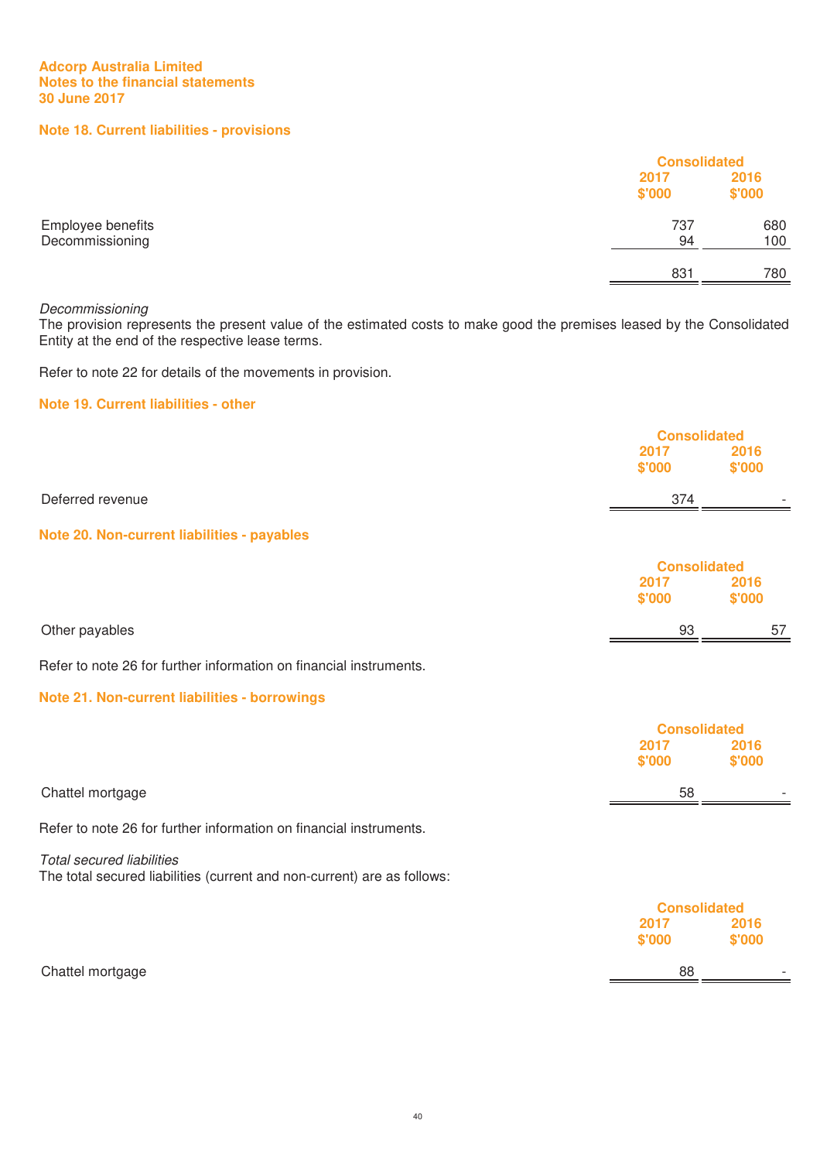# **Note 18. Current liabilities - provisions**

|                                      | <b>Consolidated</b> |                |
|--------------------------------------|---------------------|----------------|
|                                      | 2017<br>\$'000      | 2016<br>\$'000 |
|                                      |                     |                |
| Employee benefits<br>Decommissioning | 737<br>94           | 680<br>100     |
|                                      | 831                 | 780            |

#### Decommissioning

The provision represents the present value of the estimated costs to make good the premises leased by the Consolidated Entity at the end of the respective lease terms.

Refer to note 22 for details of the movements in provision.

# **Note 19. Current liabilities - other**

|                                                                                                             | <b>Consolidated</b>                   |                |
|-------------------------------------------------------------------------------------------------------------|---------------------------------------|----------------|
|                                                                                                             | 2017<br>\$'000                        | 2016<br>\$'000 |
| Deferred revenue                                                                                            | 374                                   |                |
| Note 20. Non-current liabilities - payables                                                                 |                                       |                |
|                                                                                                             | <b>Consolidated</b><br>2017<br>\$'000 | 2016<br>\$'000 |
| Other payables                                                                                              | 93                                    | 57             |
| Refer to note 26 for further information on financial instruments.                                          |                                       |                |
| Note 21. Non-current liabilities - borrowings                                                               |                                       |                |
|                                                                                                             | <b>Consolidated</b>                   |                |
|                                                                                                             | 2017<br>\$'000                        | 2016<br>\$'000 |
| Chattel mortgage                                                                                            | 58                                    |                |
| Refer to note 26 for further information on financial instruments.                                          |                                       |                |
| <b>Total secured liabilities</b><br>The total secured liabilities (current and non-current) are as follows: |                                       |                |
|                                                                                                             | <b>Consolidated</b>                   |                |
|                                                                                                             | 2017<br>\$'000                        | 2016<br>\$'000 |
| Chattel mortgage                                                                                            | 88                                    |                |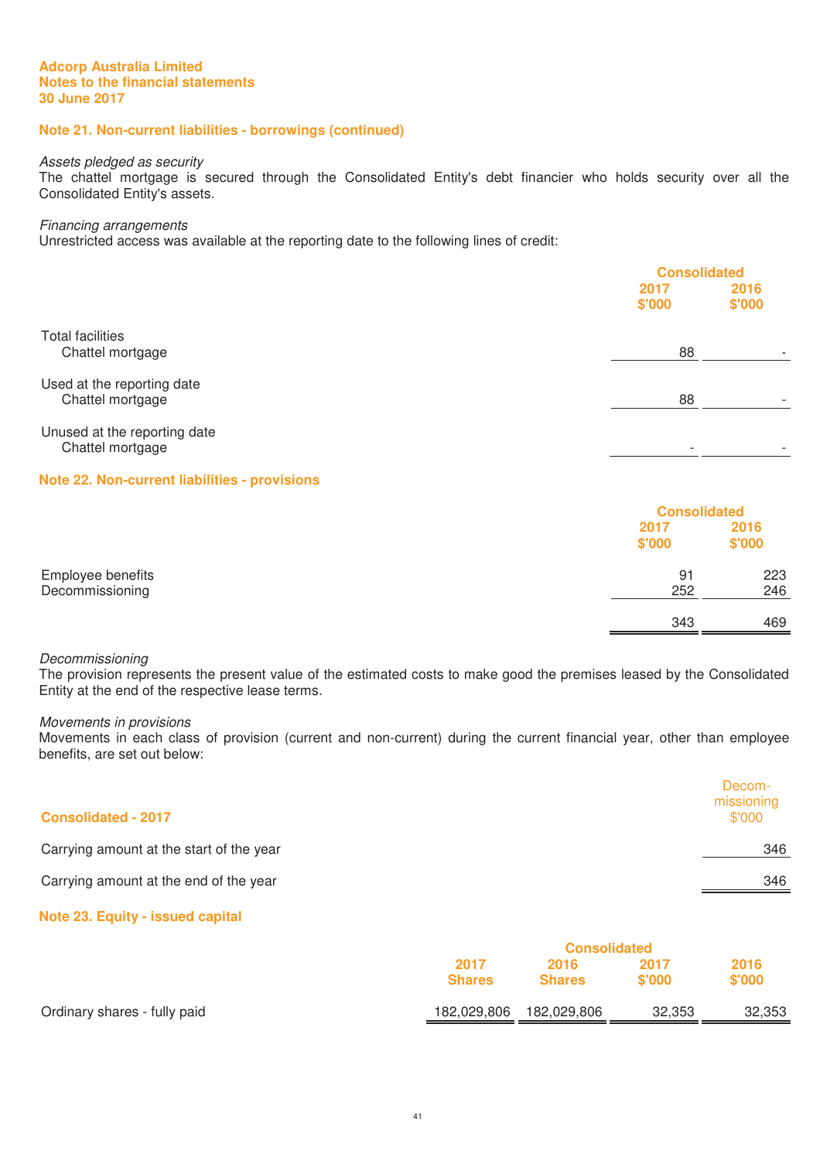# **Note 21. Non-current liabilities - borrowings (continued)**

#### Assets pledged as security

The chattel mortgage is secured through the Consolidated Entity's debt financier who holds security over all the Consolidated Entity's assets.

#### Financing arrangements

Unrestricted access was available at the reporting date to the following lines of credit:

|                                                  |                | <b>Consolidated</b> |  |
|--------------------------------------------------|----------------|---------------------|--|
|                                                  | 2017<br>\$'000 | 2016<br>\$'000      |  |
| <b>Total facilities</b><br>Chattel mortgage      | 88             |                     |  |
| Used at the reporting date<br>Chattel mortgage   | 88             |                     |  |
| Unused at the reporting date<br>Chattel mortgage |                | -                   |  |

# **Note 22. Non-current liabilities - provisions**

|                   |                | <b>Consolidated</b> |  |
|-------------------|----------------|---------------------|--|
|                   | 2017<br>\$'000 | 2016<br>\$'000      |  |
| Employee benefits | 91             | 223                 |  |
| Decommissioning   | 252            | 246                 |  |
|                   | 343            | 469                 |  |

# Decommissioning

The provision represents the present value of the estimated costs to make good the premises leased by the Consolidated Entity at the end of the respective lease terms.

#### Movements in provisions

Movements in each class of provision (current and non-current) during the current financial year, other than employee benefits, are set out below:

| <b>Consolidated - 2017</b>               | Decom-<br>missioning<br>\$'000 |
|------------------------------------------|--------------------------------|
| Carrying amount at the start of the year | 346                            |
| Carrying amount at the end of the year   | 346                            |

# **Note 23. Equity - issued capital**

|                              | <b>Consolidated</b> |               |        |        |
|------------------------------|---------------------|---------------|--------|--------|
|                              | 2017<br>2016        |               | 2017   | 2016   |
|                              | <b>Shares</b>       | <b>Shares</b> | \$'000 | \$'000 |
| Ordinary shares - fully paid | 182,029,806         | 182,029,806   | 32,353 | 32,353 |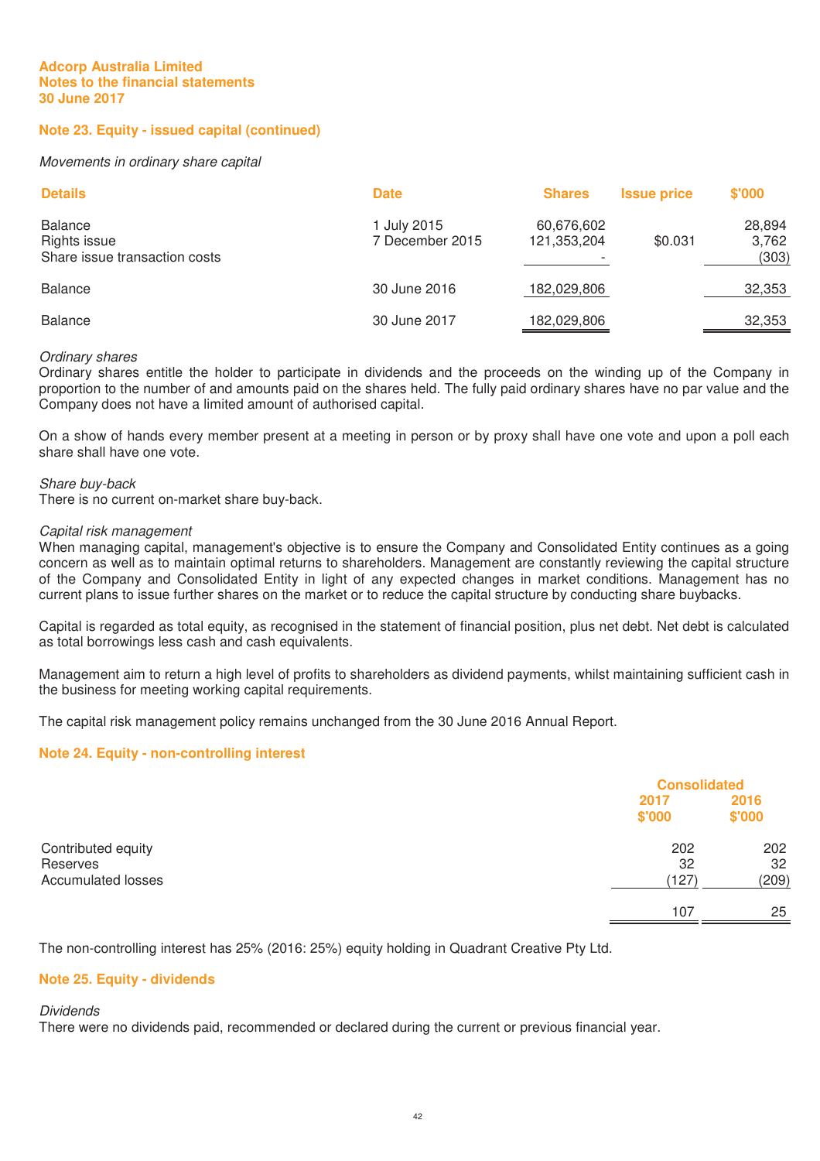# **Note 23. Equity - issued capital (continued)**

#### Movements in ordinary share capital

| <b>Details</b>                                                  | <b>Date</b>                    | <b>Shares</b>             | <b>Issue price</b> | \$'000                   |
|-----------------------------------------------------------------|--------------------------------|---------------------------|--------------------|--------------------------|
| <b>Balance</b><br>Rights issue<br>Share issue transaction costs | 1 July 2015<br>7 December 2015 | 60,676,602<br>121,353,204 | \$0.031            | 28,894<br>3,762<br>(303) |
| <b>Balance</b>                                                  | 30 June 2016                   | 182,029,806               |                    | 32,353                   |
| <b>Balance</b>                                                  | 30 June 2017                   | 182,029,806               |                    | 32,353                   |

#### Ordinary shares

Ordinary shares entitle the holder to participate in dividends and the proceeds on the winding up of the Company in proportion to the number of and amounts paid on the shares held. The fully paid ordinary shares have no par value and the Company does not have a limited amount of authorised capital.

On a show of hands every member present at a meeting in person or by proxy shall have one vote and upon a poll each share shall have one vote.

#### Share buy-back

There is no current on-market share buy-back.

#### Capital risk management

When managing capital, management's objective is to ensure the Company and Consolidated Entity continues as a going concern as well as to maintain optimal returns to shareholders. Management are constantly reviewing the capital structure of the Company and Consolidated Entity in light of any expected changes in market conditions. Management has no current plans to issue further shares on the market or to reduce the capital structure by conducting share buybacks.

Capital is regarded as total equity, as recognised in the statement of financial position, plus net debt. Net debt is calculated as total borrowings less cash and cash equivalents.

Management aim to return a high level of profits to shareholders as dividend payments, whilst maintaining sufficient cash in the business for meeting working capital requirements.

The capital risk management policy remains unchanged from the 30 June 2016 Annual Report.

#### **Note 24. Equity - non-controlling interest**

|                                                             | <b>Consolidated</b> |                    |
|-------------------------------------------------------------|---------------------|--------------------|
|                                                             | 2017<br>\$'000      | 2016<br>\$'000     |
| Contributed equity<br>Reserves<br><b>Accumulated losses</b> | 202<br>32<br>(127)  | 202<br>32<br>(209) |
|                                                             | 107                 | 25                 |

The non-controlling interest has 25% (2016: 25%) equity holding in Quadrant Creative Pty Ltd.

#### **Note 25. Equity - dividends**

Dividends

There were no dividends paid, recommended or declared during the current or previous financial year.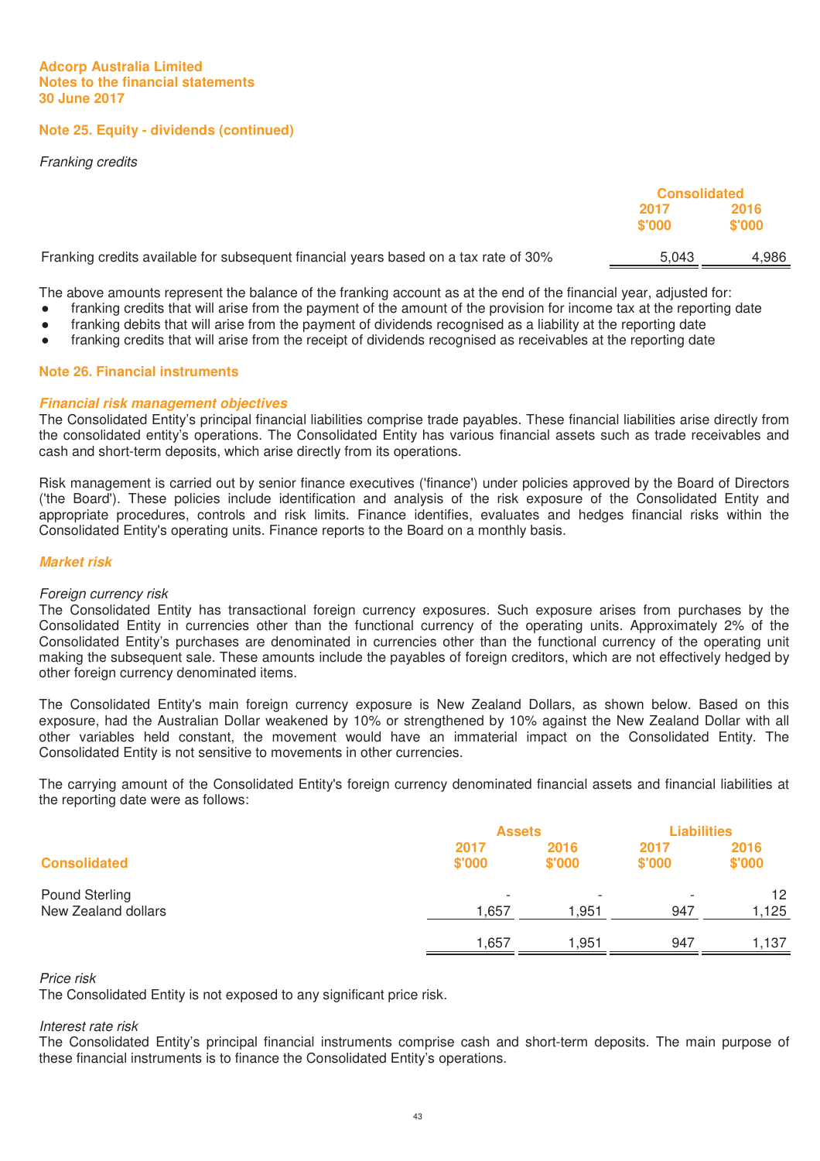**Note 25. Equity - dividends (continued)** 

Franking credits

|                                                                                      | <b>Consolidated</b> |                |
|--------------------------------------------------------------------------------------|---------------------|----------------|
|                                                                                      | 2017<br>\$'000      | 2016<br>\$'000 |
| Franking credits available for subsequent financial years based on a tax rate of 30% | 5.043               | 4,986          |
|                                                                                      |                     |                |

The above amounts represent the balance of the franking account as at the end of the financial year, adjusted for:

- franking credits that will arise from the payment of the amount of the provision for income tax at the reporting date
- franking debits that will arise from the payment of dividends recognised as a liability at the reporting date
- franking credits that will arise from the receipt of dividends recognised as receivables at the reporting date

# **Note 26. Financial instruments**

# *Financial risk management objectives*

The Consolidated Entity's principal financial liabilities comprise trade payables. These financial liabilities arise directly from the consolidated entity's operations. The Consolidated Entity has various financial assets such as trade receivables and cash and short-term deposits, which arise directly from its operations.

Risk management is carried out by senior finance executives ('finance') under policies approved by the Board of Directors ('the Board'). These policies include identification and analysis of the risk exposure of the Consolidated Entity and appropriate procedures, controls and risk limits. Finance identifies, evaluates and hedges financial risks within the Consolidated Entity's operating units. Finance reports to the Board on a monthly basis.

# *Market risk*

#### Foreign currency risk

The Consolidated Entity has transactional foreign currency exposures. Such exposure arises from purchases by the Consolidated Entity in currencies other than the functional currency of the operating units. Approximately 2% of the Consolidated Entity's purchases are denominated in currencies other than the functional currency of the operating unit making the subsequent sale. These amounts include the payables of foreign creditors, which are not effectively hedged by other foreign currency denominated items.

The Consolidated Entity's main foreign currency exposure is New Zealand Dollars, as shown below. Based on this exposure, had the Australian Dollar weakened by 10% or strengthened by 10% against the New Zealand Dollar with all other variables held constant, the movement would have an immaterial impact on the Consolidated Entity. The Consolidated Entity is not sensitive to movements in other currencies.

The carrying amount of the Consolidated Entity's foreign currency denominated financial assets and financial liabilities at the reporting date were as follows:

|                     |                          | <b>Assets</b>  |                | <b>Liabilities</b> |
|---------------------|--------------------------|----------------|----------------|--------------------|
| <b>Consolidated</b> | 2017<br>\$'000           | 2016<br>\$'000 | 2017<br>\$'000 | 2016<br>\$'000     |
| Pound Sterling      | $\overline{\phantom{a}}$ |                |                | 12                 |
| New Zealand dollars | 1,657                    | 1,951          | 947            | 1,125              |
|                     | 657, ا                   | 1,951          | 947            | 1,137              |

Price risk

The Consolidated Entity is not exposed to any significant price risk.

#### Interest rate risk

The Consolidated Entity's principal financial instruments comprise cash and short-term deposits. The main purpose of these financial instruments is to finance the Consolidated Entity's operations.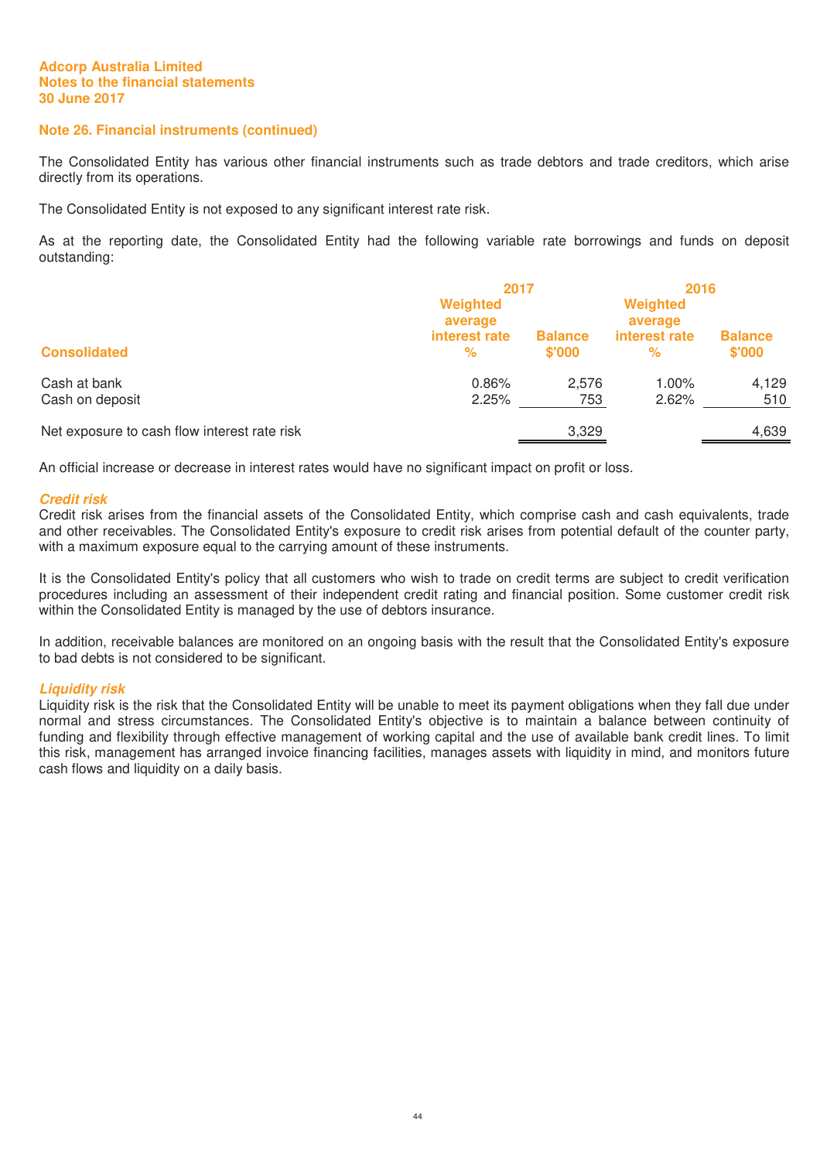# **Note 26. Financial instruments (continued)**

The Consolidated Entity has various other financial instruments such as trade debtors and trade creditors, which arise directly from its operations.

The Consolidated Entity is not exposed to any significant interest rate risk.

As at the reporting date, the Consolidated Entity had the following variable rate borrowings and funds on deposit outstanding:

|                                              | 2017                |                          | 2016                |                          |
|----------------------------------------------|---------------------|--------------------------|---------------------|--------------------------|
|                                              | Weighted<br>average |                          | Weighted<br>average |                          |
| <b>Consolidated</b>                          | interest rate<br>%  | <b>Balance</b><br>\$'000 | interest rate<br>℅  | <b>Balance</b><br>\$'000 |
| Cash at bank<br>Cash on deposit              | 0.86%<br>2.25%      | 2.576<br>753             | 1.00%<br>2.62%      | 4,129<br>510             |
| Net exposure to cash flow interest rate risk |                     | 3,329                    |                     | 4,639                    |

An official increase or decrease in interest rates would have no significant impact on profit or loss.

#### *Credit risk*

Credit risk arises from the financial assets of the Consolidated Entity, which comprise cash and cash equivalents, trade and other receivables. The Consolidated Entity's exposure to credit risk arises from potential default of the counter party, with a maximum exposure equal to the carrying amount of these instruments.

It is the Consolidated Entity's policy that all customers who wish to trade on credit terms are subject to credit verification procedures including an assessment of their independent credit rating and financial position. Some customer credit risk within the Consolidated Entity is managed by the use of debtors insurance.

In addition, receivable balances are monitored on an ongoing basis with the result that the Consolidated Entity's exposure to bad debts is not considered to be significant.

#### *Liquidity risk*

Liquidity risk is the risk that the Consolidated Entity will be unable to meet its payment obligations when they fall due under normal and stress circumstances. The Consolidated Entity's objective is to maintain a balance between continuity of funding and flexibility through effective management of working capital and the use of available bank credit lines. To limit this risk, management has arranged invoice financing facilities, manages assets with liquidity in mind, and monitors future cash flows and liquidity on a daily basis.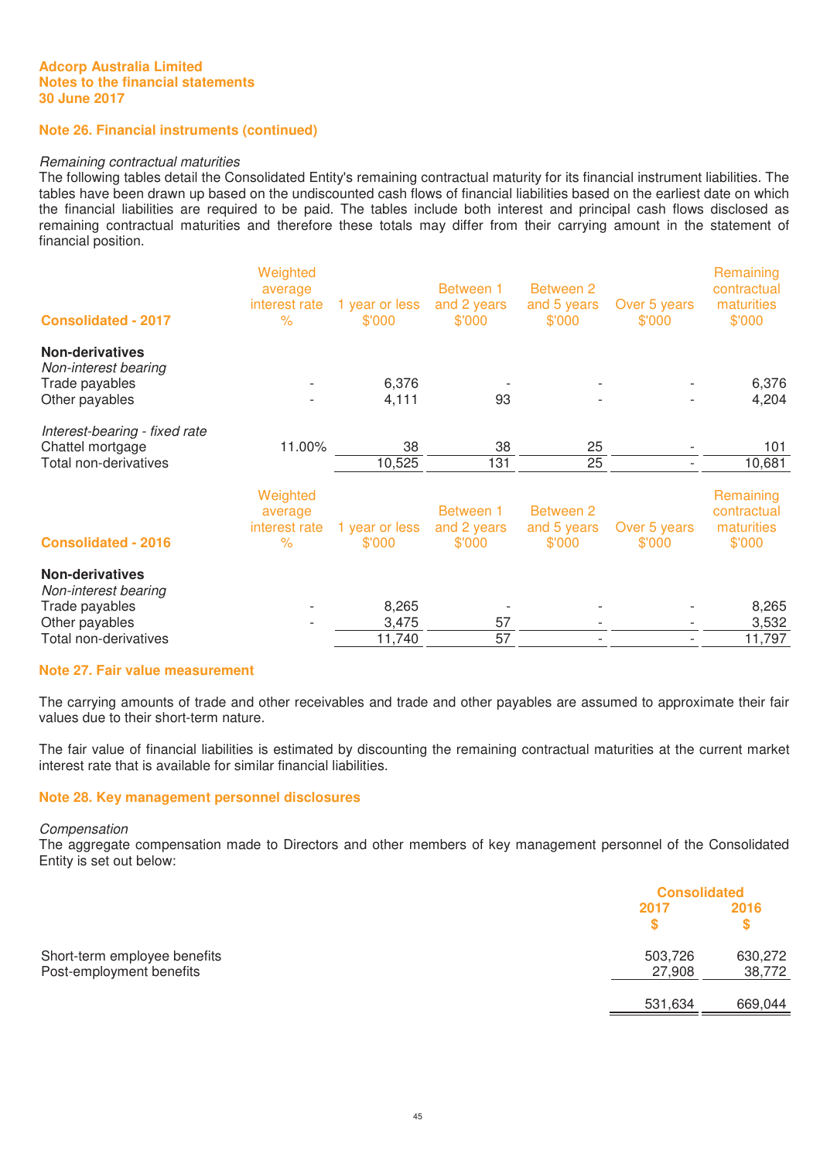# **Note 26. Financial instruments (continued)**

#### Remaining contractual maturities

The following tables detail the Consolidated Entity's remaining contractual maturity for its financial instrument liabilities. The tables have been drawn up based on the undiscounted cash flows of financial liabilities based on the earliest date on which the financial liabilities are required to be paid. The tables include both interest and principal cash flows disclosed as remaining contractual maturities and therefore these totals may differ from their carrying amount in the statement of financial position.

| <b>Consolidated - 2017</b>                                                                                  | Weighted<br>average<br>interest rate<br>$\%$ | 1 year or less<br>\$'000 | Between 1<br>and 2 years<br>\$'000 | Between 2<br>and 5 years<br>\$'000        | Over 5 years<br>\$'000 | Remaining<br>contractual<br>maturities<br>\$'000 |
|-------------------------------------------------------------------------------------------------------------|----------------------------------------------|--------------------------|------------------------------------|-------------------------------------------|------------------------|--------------------------------------------------|
| <b>Non-derivatives</b><br>Non-interest bearing<br>Trade payables<br>Other payables                          |                                              | 6,376<br>4,111           | 93                                 |                                           |                        | 6,376<br>4,204                                   |
| Interest-bearing - fixed rate<br>Chattel mortgage<br>Total non-derivatives                                  | 11.00%                                       | 38<br>10,525             | 38<br>131                          | 25<br>25                                  |                        | 101<br>10,681                                    |
| <b>Consolidated - 2016</b>                                                                                  | Weighted<br>average<br>interest rate<br>$\%$ | 1 year or less<br>\$'000 | Between 1<br>and 2 years<br>\$'000 | <b>Between 2</b><br>and 5 years<br>\$'000 | Over 5 years<br>\$'000 | Remaining<br>contractual<br>maturities<br>\$'000 |
| <b>Non-derivatives</b><br>Non-interest bearing<br>Trade payables<br>Other payables<br>Total non-derivatives |                                              | 8,265<br>3,475<br>11,740 | 57<br>57                           |                                           |                        | 8,265<br>3,532<br>11,797                         |

# **Note 27. Fair value measurement**

The carrying amounts of trade and other receivables and trade and other payables are assumed to approximate their fair values due to their short-term nature.

The fair value of financial liabilities is estimated by discounting the remaining contractual maturities at the current market interest rate that is available for similar financial liabilities.

#### **Note 28. Key management personnel disclosures**

#### Compensation

The aggregate compensation made to Directors and other members of key management personnel of the Consolidated Entity is set out below:

|                              |         | <b>Consolidated</b> |  |
|------------------------------|---------|---------------------|--|
|                              | 2017    | 2016                |  |
|                              |         |                     |  |
| Short-term employee benefits | 503,726 | 630,272             |  |
| Post-employment benefits     | 27,908  | 38,772              |  |
|                              | 531,634 | 669,044             |  |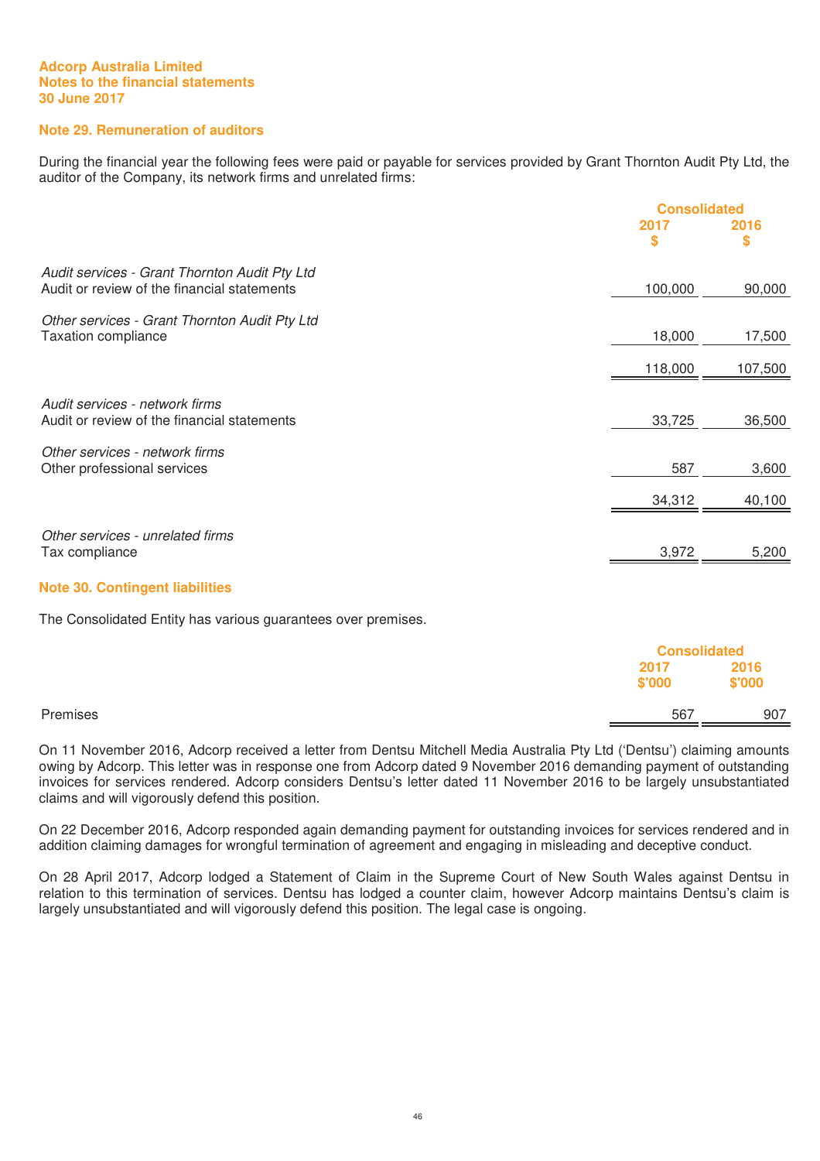# **Note 29. Remuneration of auditors**

During the financial year the following fees were paid or payable for services provided by Grant Thornton Audit Pty Ltd, the auditor of the Company, its network firms and unrelated firms:

|                                                                                              | <b>Consolidated</b> |         |
|----------------------------------------------------------------------------------------------|---------------------|---------|
|                                                                                              | 2017                | 2016    |
|                                                                                              | \$                  | \$      |
| Audit services - Grant Thornton Audit Pty Ltd<br>Audit or review of the financial statements | 100,000             | 90,000  |
|                                                                                              |                     |         |
| Other services - Grant Thornton Audit Pty Ltd<br><b>Taxation compliance</b>                  | 18,000              | 17,500  |
|                                                                                              | 118,000             | 107,500 |
|                                                                                              |                     |         |
| Audit services - network firms<br>Audit or review of the financial statements                | 33,725              | 36,500  |
| Other services - network firms                                                               |                     |         |
| Other professional services                                                                  | 587                 | 3,600   |
|                                                                                              | 34,312              | 40,100  |
|                                                                                              |                     |         |
| Other services - unrelated firms<br>Tax compliance                                           | 3,972               | 5,200   |
|                                                                                              |                     |         |

#### **Note 30. Contingent liabilities**

The Consolidated Entity has various guarantees over premises.

|          |                | <b>Consolidated</b> |
|----------|----------------|---------------------|
|          | 2017<br>\$'000 | 2016<br>\$'000      |
| Premises |                | 907<br>567          |

On 11 November 2016, Adcorp received a letter from Dentsu Mitchell Media Australia Pty Ltd ('Dentsu') claiming amounts owing by Adcorp. This letter was in response one from Adcorp dated 9 November 2016 demanding payment of outstanding invoices for services rendered. Adcorp considers Dentsu's letter dated 11 November 2016 to be largely unsubstantiated claims and will vigorously defend this position.

On 22 December 2016, Adcorp responded again demanding payment for outstanding invoices for services rendered and in addition claiming damages for wrongful termination of agreement and engaging in misleading and deceptive conduct.

On 28 April 2017, Adcorp lodged a Statement of Claim in the Supreme Court of New South Wales against Dentsu in relation to this termination of services. Dentsu has lodged a counter claim, however Adcorp maintains Dentsu's claim is largely unsubstantiated and will vigorously defend this position. The legal case is ongoing.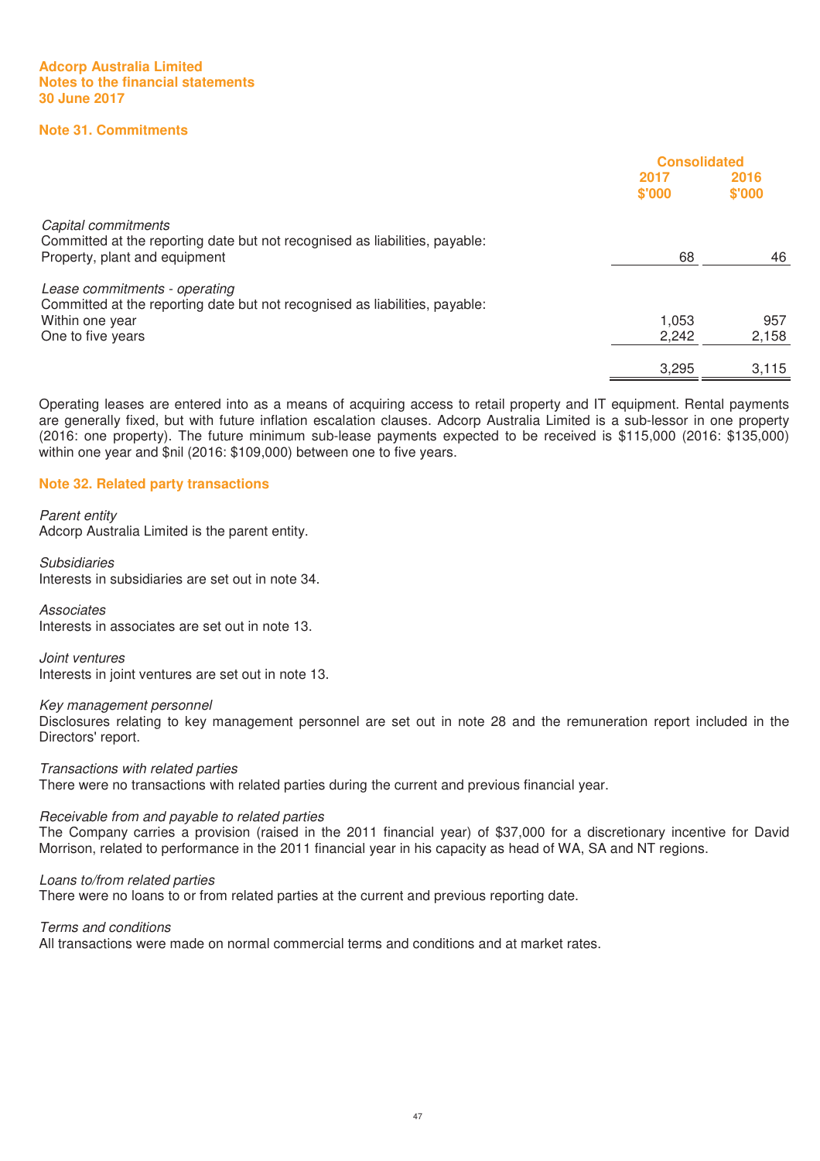# **Note 31. Commitments**

|                                                                                                                                     | <b>Consolidated</b> |                |
|-------------------------------------------------------------------------------------------------------------------------------------|---------------------|----------------|
|                                                                                                                                     | 2017<br>\$'000      | 2016<br>\$'000 |
| Capital commitments<br>Committed at the reporting date but not recognised as liabilities, payable:<br>Property, plant and equipment | 68                  | 46             |
| Lease commitments - operating<br>Committed at the reporting date but not recognised as liabilities, payable:                        |                     |                |
| Within one year                                                                                                                     | 1.053               | 957            |
| One to five years                                                                                                                   | 2,242               | 2,158          |
|                                                                                                                                     | 3,295               | 3,115          |

Operating leases are entered into as a means of acquiring access to retail property and IT equipment. Rental payments are generally fixed, but with future inflation escalation clauses. Adcorp Australia Limited is a sub-lessor in one property (2016: one property). The future minimum sub-lease payments expected to be received is \$115,000 (2016: \$135,000) within one year and \$nil (2016: \$109,000) between one to five years.

#### **Note 32. Related party transactions**

#### Parent entity

Adcorp Australia Limited is the parent entity.

Subsidiaries Interests in subsidiaries are set out in note 34.

#### **Associates**

Interests in associates are set out in note 13.

Joint ventures Interests in joint ventures are set out in note 13.

#### Key management personnel

Disclosures relating to key management personnel are set out in note 28 and the remuneration report included in the Directors' report.

Transactions with related parties

There were no transactions with related parties during the current and previous financial year.

#### Receivable from and payable to related parties

The Company carries a provision (raised in the 2011 financial year) of \$37,000 for a discretionary incentive for David Morrison, related to performance in the 2011 financial year in his capacity as head of WA, SA and NT regions.

#### Loans to/from related parties

There were no loans to or from related parties at the current and previous reporting date.

Terms and conditions

All transactions were made on normal commercial terms and conditions and at market rates.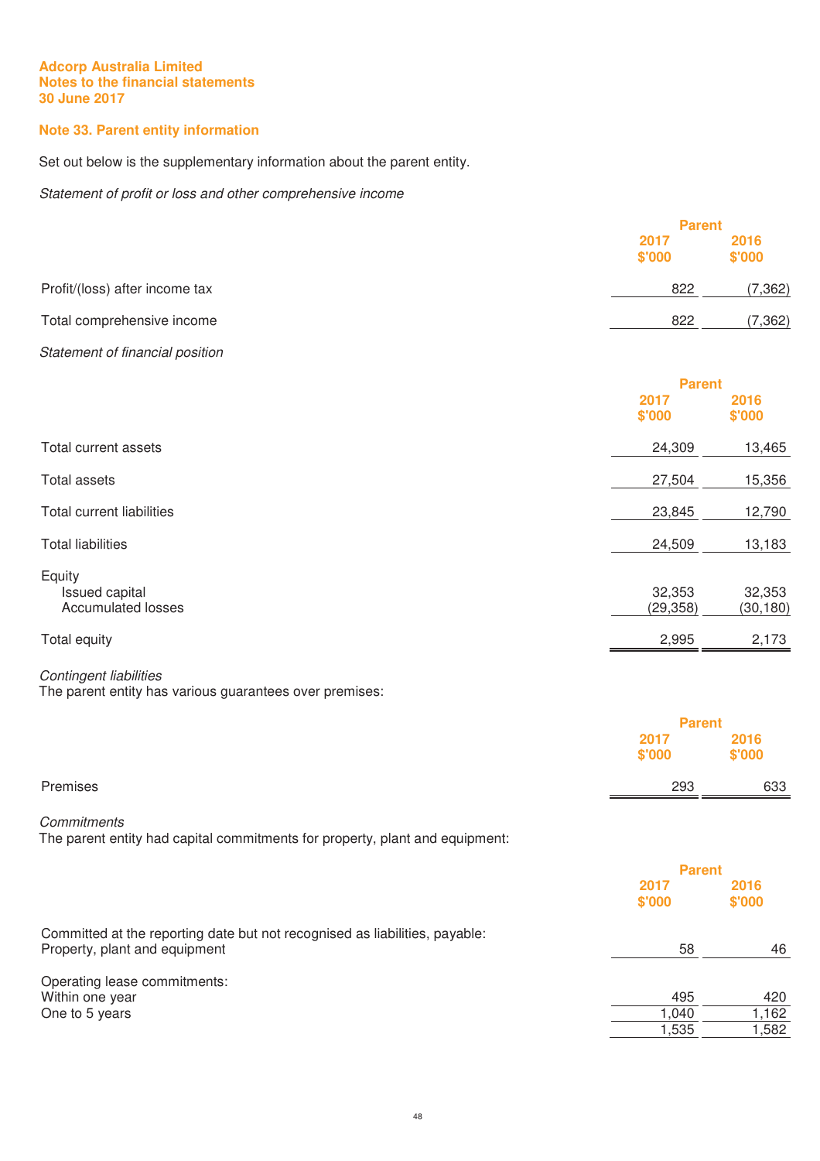# **Note 33. Parent entity information**

Set out below is the supplementary information about the parent entity.

Statement of profit or loss and other comprehensive income

|                                 |        | <b>Parent</b>  |  |
|---------------------------------|--------|----------------|--|
|                                 | 2017   | 2016<br>\$'000 |  |
|                                 | \$'000 |                |  |
| Profit/(loss) after income tax  | 822    | (7, 362)       |  |
| Total comprehensive income      | 822    | (7, 362)       |  |
| Statement of financial position |        |                |  |
|                                 |        | <b>Parent</b>  |  |
|                                 | 2017   | 2016           |  |
|                                 | \$'000 | \$'000         |  |

| Total current assets                                  | 24,309              | 13,465              |
|-------------------------------------------------------|---------------------|---------------------|
| Total assets                                          | 27,504              | 15,356              |
| Total current liabilities                             | 23,845              | 12,790              |
| <b>Total liabilities</b>                              | 24,509              | 13,183              |
| Equity<br>Issued capital<br><b>Accumulated losses</b> | 32,353<br>(29, 358) | 32,353<br>(30, 180) |
| Total equity                                          | 2,995               | 2,173               |

# Contingent liabilities

The parent entity has various guarantees over premises:

|          |                | <b>Parent</b>  |  |
|----------|----------------|----------------|--|
|          | 2017<br>\$'000 | 2016<br>\$'000 |  |
| Premises | 293            | 633            |  |
|          |                |                |  |

# **Commitments**

The parent entity had capital commitments for property, plant and equipment:

|                                                                                                              | <b>Parent</b>  |                |
|--------------------------------------------------------------------------------------------------------------|----------------|----------------|
|                                                                                                              | 2017<br>\$'000 | 2016<br>\$'000 |
| Committed at the reporting date but not recognised as liabilities, payable:<br>Property, plant and equipment | 58             | 46             |
| Operating lease commitments:                                                                                 | 495            | 420            |
| Within one year                                                                                              |                |                |
| One to 5 years                                                                                               | 1,040          | 1,162          |
|                                                                                                              | 1,535          | 1,582          |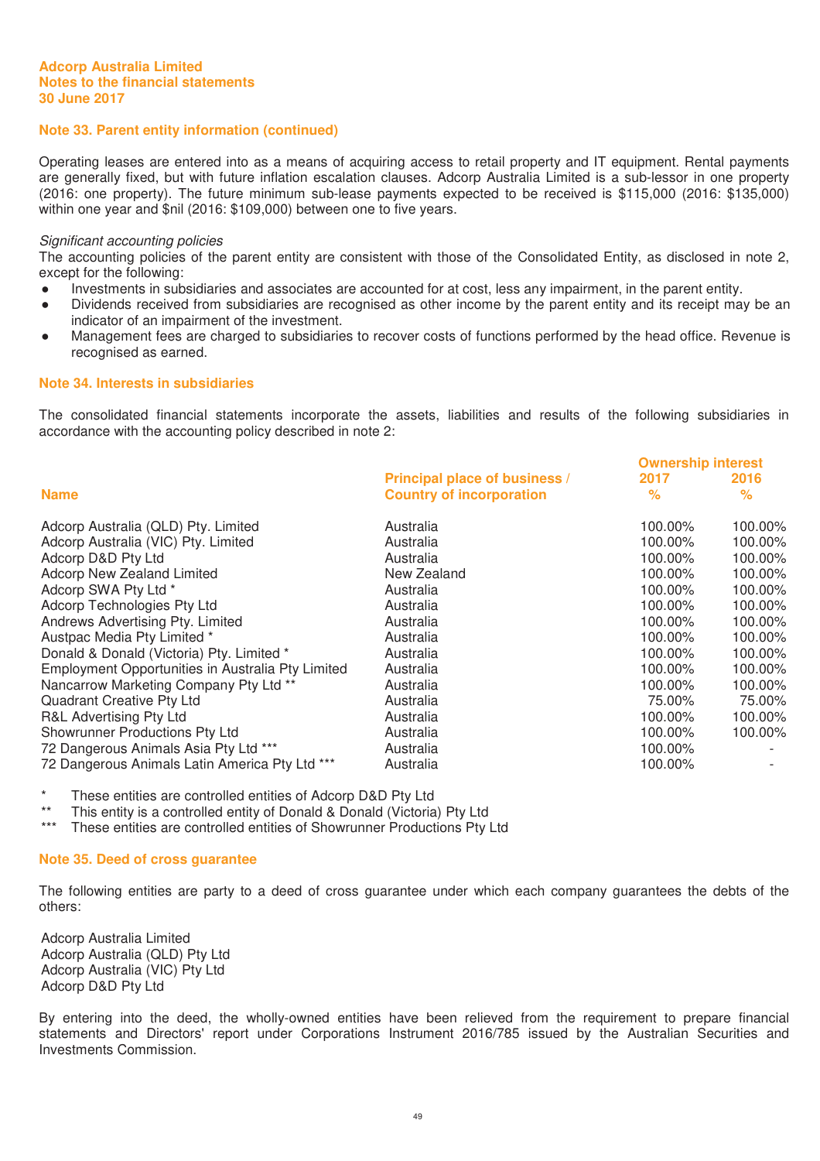# **Note 33. Parent entity information (continued)**

Operating leases are entered into as a means of acquiring access to retail property and IT equipment. Rental payments are generally fixed, but with future inflation escalation clauses. Adcorp Australia Limited is a sub-lessor in one property (2016: one property). The future minimum sub-lease payments expected to be received is \$115,000 (2016: \$135,000) within one year and \$nil (2016: \$109,000) between one to five years.

#### Significant accounting policies

The accounting policies of the parent entity are consistent with those of the Consolidated Entity, as disclosed in note 2, except for the following:

- Ɣ Investments in subsidiaries and associates are accounted for at cost, less any impairment, in the parent entity.
- Dividends received from subsidiaries are recognised as other income by the parent entity and its receipt may be an indicator of an impairment of the investment.
- Management fees are charged to subsidiaries to recover costs of functions performed by the head office. Revenue is recognised as earned.

## **Note 34. Interests in subsidiaries**

The consolidated financial statements incorporate the assets, liabilities and results of the following subsidiaries in accordance with the accounting policy described in note 2:

|                                                   |                                 | <b>Ownership interest</b> |         |
|---------------------------------------------------|---------------------------------|---------------------------|---------|
|                                                   | Principal place of business /   | 2017                      | 2016    |
| <b>Name</b>                                       | <b>Country of incorporation</b> | $\%$                      | ℅       |
| Adcorp Australia (QLD) Pty. Limited               | Australia                       | 100.00%                   | 100.00% |
| Adcorp Australia (VIC) Pty. Limited               | Australia                       | 100.00%                   | 100.00% |
| Adcorp D&D Pty Ltd                                | Australia                       | 100.00%                   | 100.00% |
| <b>Adcorp New Zealand Limited</b>                 | New Zealand                     | 100.00%                   | 100.00% |
| Adcorp SWA Pty Ltd *                              | Australia                       | 100.00%                   | 100.00% |
| Adcorp Technologies Pty Ltd                       | Australia                       | 100.00%                   | 100.00% |
| Andrews Advertising Pty. Limited                  | Australia                       | 100.00%                   | 100.00% |
| Austpac Media Pty Limited *                       | Australia                       | 100.00%                   | 100.00% |
| Donald & Donald (Victoria) Pty. Limited *         | Australia                       | 100.00%                   | 100.00% |
| Employment Opportunities in Australia Pty Limited | Australia                       | 100.00%                   | 100.00% |
| Nancarrow Marketing Company Pty Ltd **            | Australia                       | 100.00%                   | 100.00% |
| Quadrant Creative Pty Ltd                         | Australia                       | 75.00%                    | 75.00%  |
| R&L Advertising Pty Ltd                           | Australia                       | 100.00%                   | 100.00% |
| Showrunner Productions Pty Ltd                    | Australia                       | 100.00%                   | 100.00% |
| 72 Dangerous Animals Asia Pty Ltd ***             | Australia                       | 100.00%                   |         |
| 72 Dangerous Animals Latin America Pty Ltd ***    | Australia                       | 100.00%                   |         |

\* These entities are controlled entities of Adcorp D&D Pty Ltd

\*\* This entity is a controlled entity of Donald & Donald (Victoria) Pty Ltd<br>\*\*\* These entities are controlled entities of Showrupper Productions Pty

These entities are controlled entities of Showrunner Productions Pty Ltd

#### **Note 35. Deed of cross guarantee**

The following entities are party to a deed of cross guarantee under which each company guarantees the debts of the others:

Adcorp Australia Limited Adcorp Australia (QLD) Pty Ltd Adcorp Australia (VIC) Pty Ltd Adcorp D&D Pty Ltd

By entering into the deed, the wholly-owned entities have been relieved from the requirement to prepare financial statements and Directors' report under Corporations Instrument 2016/785 issued by the Australian Securities and Investments Commission.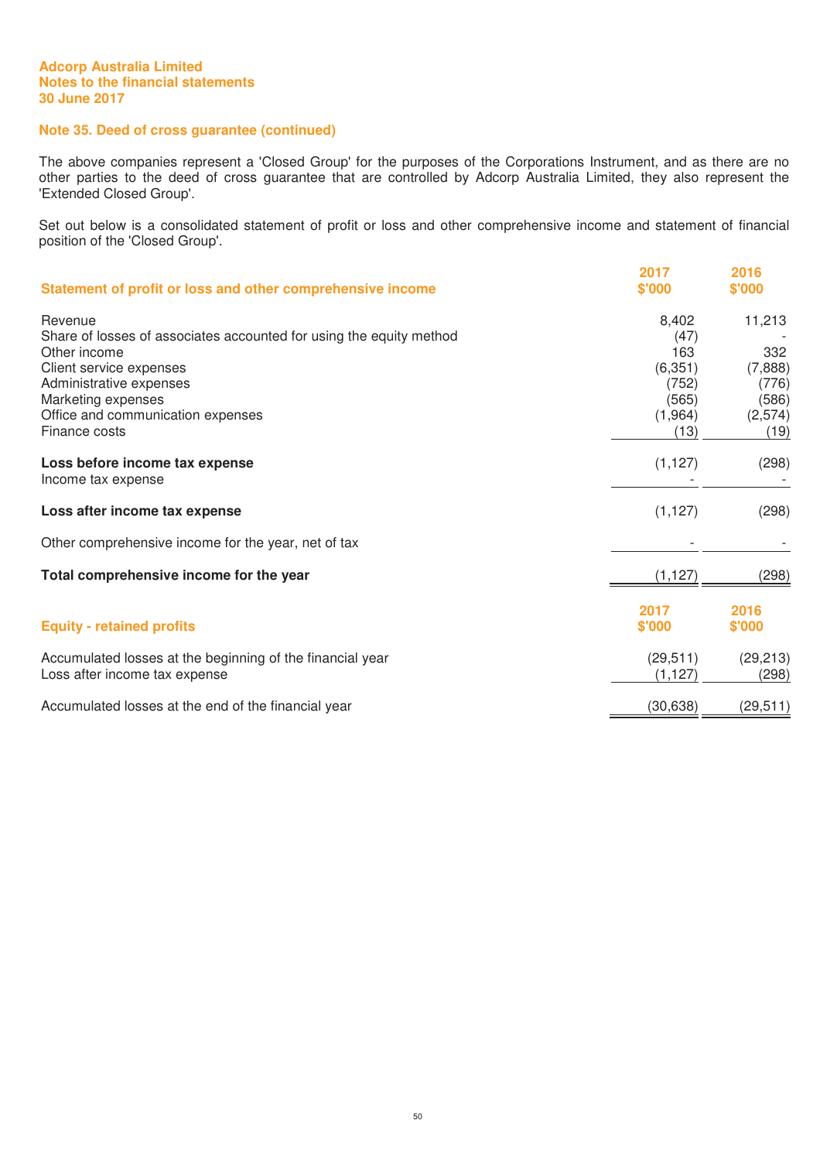# **Note 35. Deed of cross guarantee (continued)**

The above companies represent a 'Closed Group' for the purposes of the Corporations Instrument, and as there are no other parties to the deed of cross guarantee that are controlled by Adcorp Australia Limited, they also represent the 'Extended Closed Group'.

Set out below is a consolidated statement of profit or loss and other comprehensive income and statement of financial position of the 'Closed Group'.

| Statement of profit or loss and other comprehensive income                                                                                                                                                                       | 2017<br>\$'000                                                        | 2016<br>\$'000                                                |
|----------------------------------------------------------------------------------------------------------------------------------------------------------------------------------------------------------------------------------|-----------------------------------------------------------------------|---------------------------------------------------------------|
| Revenue<br>Share of losses of associates accounted for using the equity method<br>Other income<br>Client service expenses<br>Administrative expenses<br>Marketing expenses<br>Office and communication expenses<br>Finance costs | 8,402<br>(47)<br>163<br>(6, 351)<br>(752)<br>(565)<br>(1,964)<br>(13) | 11,213<br>332<br>(7,888)<br>(776)<br>(586)<br>(2,574)<br>(19) |
| Loss before income tax expense<br>Income tax expense                                                                                                                                                                             | (1, 127)                                                              | (298)                                                         |
| Loss after income tax expense                                                                                                                                                                                                    | (1, 127)                                                              | (298)                                                         |
| Other comprehensive income for the year, net of tax                                                                                                                                                                              |                                                                       |                                                               |
| Total comprehensive income for the year                                                                                                                                                                                          | (1, 127)                                                              | (298)                                                         |
| <b>Equity - retained profits</b>                                                                                                                                                                                                 | 2017<br>\$'000                                                        | 2016<br>\$'000                                                |
| Accumulated losses at the beginning of the financial year<br>Loss after income tax expense                                                                                                                                       | (29, 511)<br>(1, 127)                                                 | (29, 213)<br>(298)                                            |
| Accumulated losses at the end of the financial year                                                                                                                                                                              | (30, 638)                                                             | (29, 511)                                                     |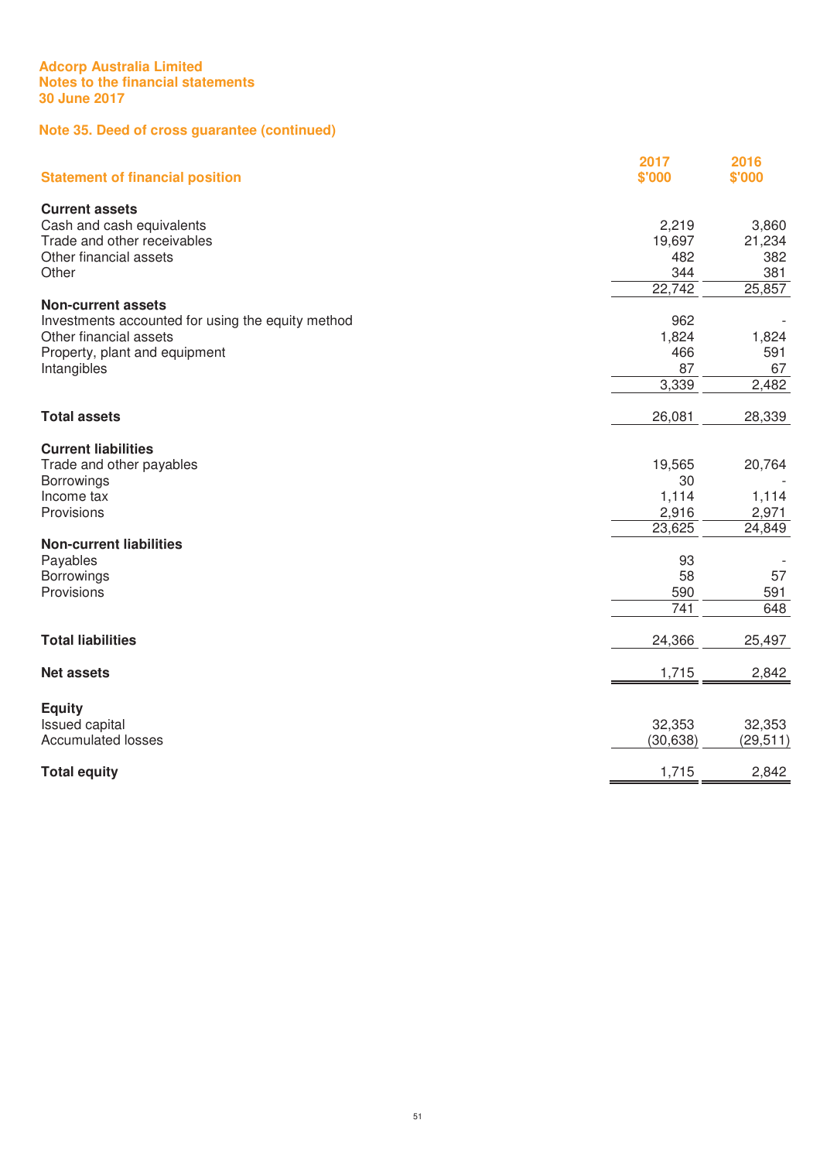# **Note 35. Deed of cross guarantee (continued)**

| <b>Statement of financial position</b>            | 2017<br>\$'000 | 2016<br>\$'000 |
|---------------------------------------------------|----------------|----------------|
| <b>Current assets</b>                             |                |                |
| Cash and cash equivalents                         | 2,219          | 3,860          |
| Trade and other receivables                       | 19,697         | 21,234         |
| Other financial assets                            | 482            | 382            |
| Other                                             | 344            | 381            |
|                                                   | 22,742         | 25,857         |
| <b>Non-current assets</b>                         |                |                |
| Investments accounted for using the equity method | 962            |                |
| Other financial assets                            | 1,824          | 1,824          |
| Property, plant and equipment                     | 466            | 591            |
| Intangibles                                       | 87             | 67             |
|                                                   | 3,339          | 2,482          |
|                                                   |                |                |
| <b>Total assets</b>                               | 26,081         | 28,339         |
| <b>Current liabilities</b>                        |                |                |
| Trade and other payables                          | 19,565         | 20,764         |
| Borrowings                                        | 30             |                |
| Income tax                                        | 1,114          | 1,114          |
| Provisions                                        | 2,916          | 2,971          |
|                                                   | 23,625         | 24,849         |
| <b>Non-current liabilities</b>                    |                |                |
| Payables                                          | 93             |                |
| Borrowings                                        | 58             | 57             |
| Provisions                                        | 590            | 591            |
|                                                   | 741            | 648            |
| <b>Total liabilities</b>                          | 24,366         | 25,497         |
| <b>Net assets</b>                                 | 1,715          |                |
|                                                   |                | 2,842          |
| <b>Equity</b>                                     |                |                |
| Issued capital                                    | 32,353         | 32,353         |
| <b>Accumulated losses</b>                         | (30, 638)      | (29, 511)      |
| <b>Total equity</b>                               | 1,715          | 2,842          |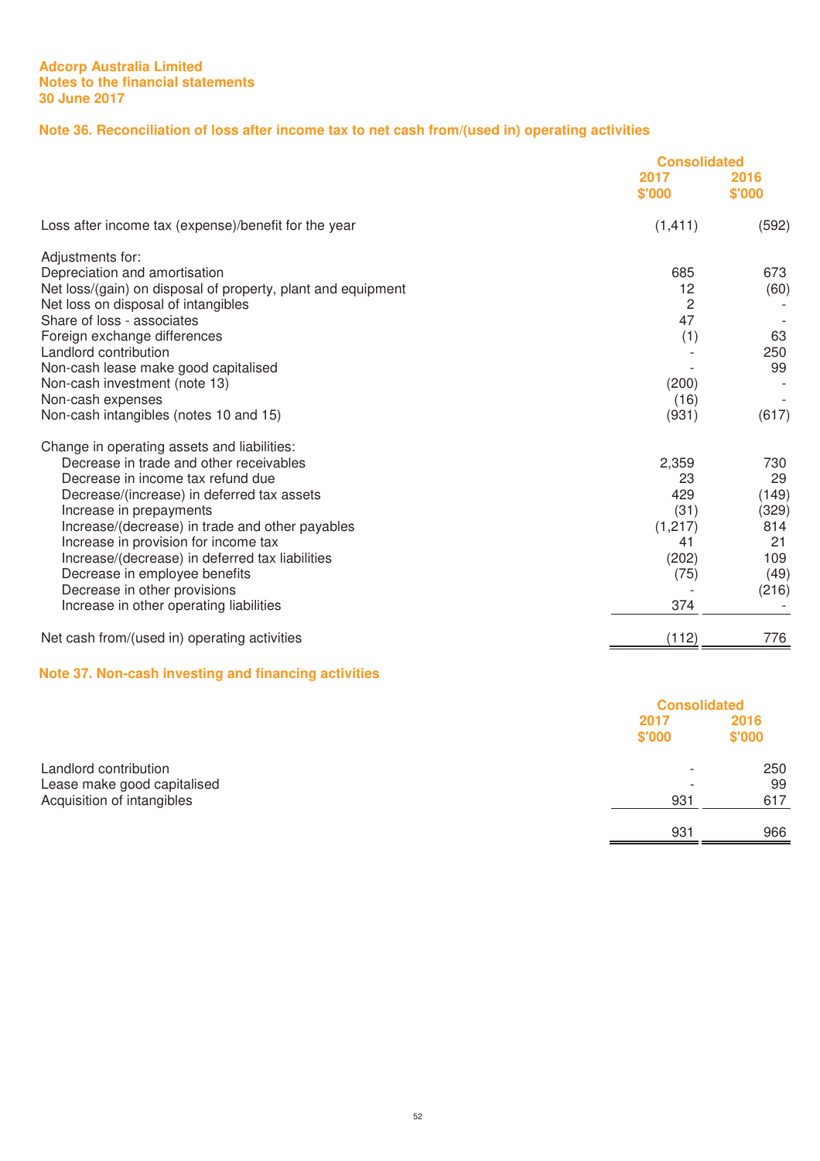# **Note 36. Reconciliation of loss after income tax to net cash from/(used in) operating activities**

|                                                              | <b>Consolidated</b> |                |
|--------------------------------------------------------------|---------------------|----------------|
|                                                              | 2017<br>\$'000      | 2016<br>\$'000 |
| Loss after income tax (expense)/benefit for the year         | (1, 411)            | (592)          |
| Adjustments for:                                             |                     |                |
| Depreciation and amortisation                                | 685                 | 673            |
| Net loss/(gain) on disposal of property, plant and equipment | 12                  | (60)           |
| Net loss on disposal of intangibles                          | $\overline{c}$      |                |
| Share of loss - associates                                   | 47                  |                |
| Foreign exchange differences                                 | (1)                 | 63             |
| Landlord contribution                                        |                     | 250            |
| Non-cash lease make good capitalised                         |                     | 99             |
| Non-cash investment (note 13)                                | (200)               |                |
| Non-cash expenses                                            | (16)                |                |
| Non-cash intangibles (notes 10 and 15)                       | (931)               | (617)          |
| Change in operating assets and liabilities:                  |                     |                |
| Decrease in trade and other receivables                      | 2,359               | 730            |
| Decrease in income tax refund due                            | 23                  | 29             |
| Decrease/(increase) in deferred tax assets                   | 429                 | (149)          |
| Increase in prepayments                                      | (31)                | (329)          |
| Increase/(decrease) in trade and other payables              | (1, 217)            | 814            |
| Increase in provision for income tax                         | 41                  | 21             |
| Increase/(decrease) in deferred tax liabilities              | (202)               | 109            |
| Decrease in employee benefits                                | (75)                | (49)           |
| Decrease in other provisions                                 |                     | (216)          |
| Increase in other operating liabilities                      | 374                 |                |
| Net cash from/(used in) operating activities                 | (112)               | 776            |

# **Note 37. Non-cash investing and financing activities**

|                             |                          | <b>Consolidated</b> |  |
|-----------------------------|--------------------------|---------------------|--|
|                             | 2017<br>\$'000           | 2016<br>\$'000      |  |
| Landlord contribution       | $\overline{\phantom{0}}$ | 250                 |  |
| Lease make good capitalised | $\overline{\phantom{a}}$ | 99                  |  |
| Acquisition of intangibles  | 931                      | 617                 |  |
|                             | 931                      | 966                 |  |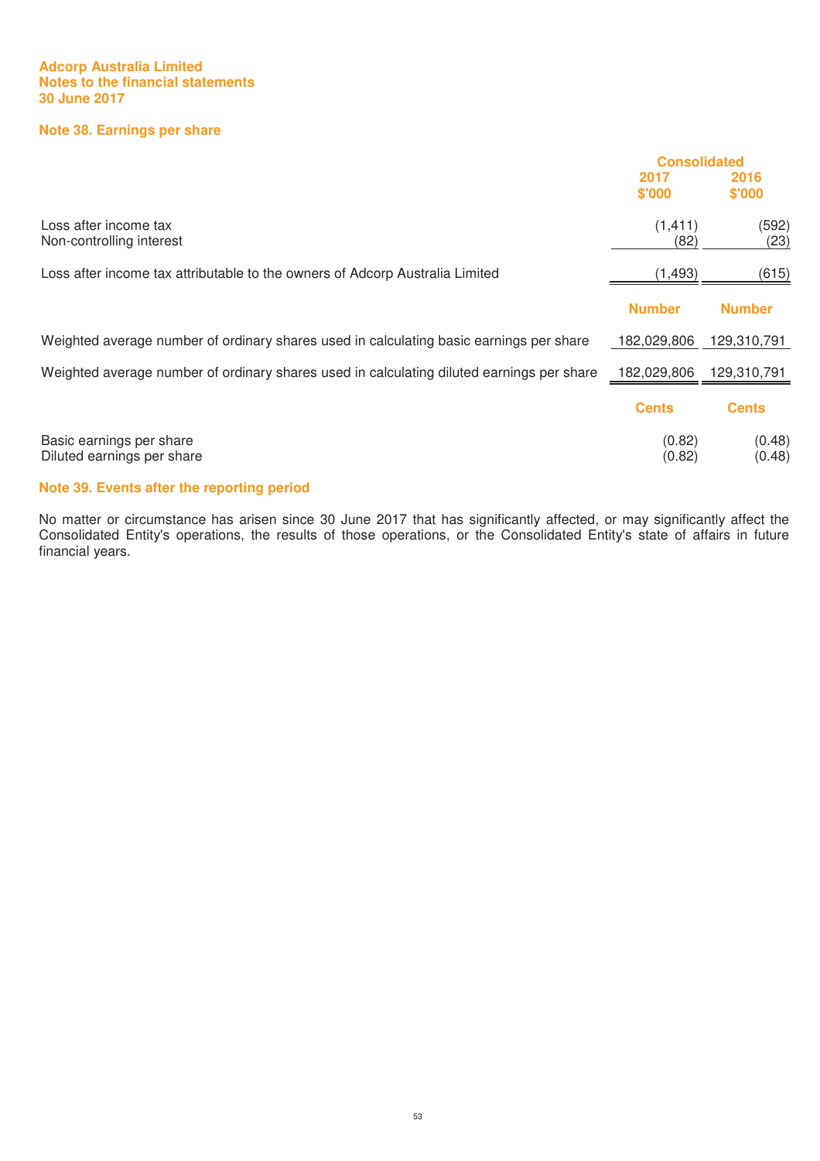# **Note 38. Earnings per share**

|                                                                                           | <b>Consolidated</b> |                  |
|-------------------------------------------------------------------------------------------|---------------------|------------------|
|                                                                                           | 2017<br>\$'000      | 2016<br>\$'000   |
| Loss after income tax<br>Non-controlling interest                                         | (1, 411)<br>(82)    | (592)<br>(23)    |
| Loss after income tax attributable to the owners of Adcorp Australia Limited              | (1, 493)            | (615)            |
|                                                                                           | <b>Number</b>       | <b>Number</b>    |
| Weighted average number of ordinary shares used in calculating basic earnings per share   | 182,029,806         | 129,310,791      |
| Weighted average number of ordinary shares used in calculating diluted earnings per share | 182,029,806         | 129,310,791      |
|                                                                                           | <b>Cents</b>        | <b>Cents</b>     |
| Basic earnings per share<br>Diluted earnings per share                                    | (0.82)<br>(0.82)    | (0.48)<br>(0.48) |

# **Note 39. Events after the reporting period**

No matter or circumstance has arisen since 30 June 2017 that has significantly affected, or may significantly affect the Consolidated Entity's operations, the results of those operations, or the Consolidated Entity's state of affairs in future financial years.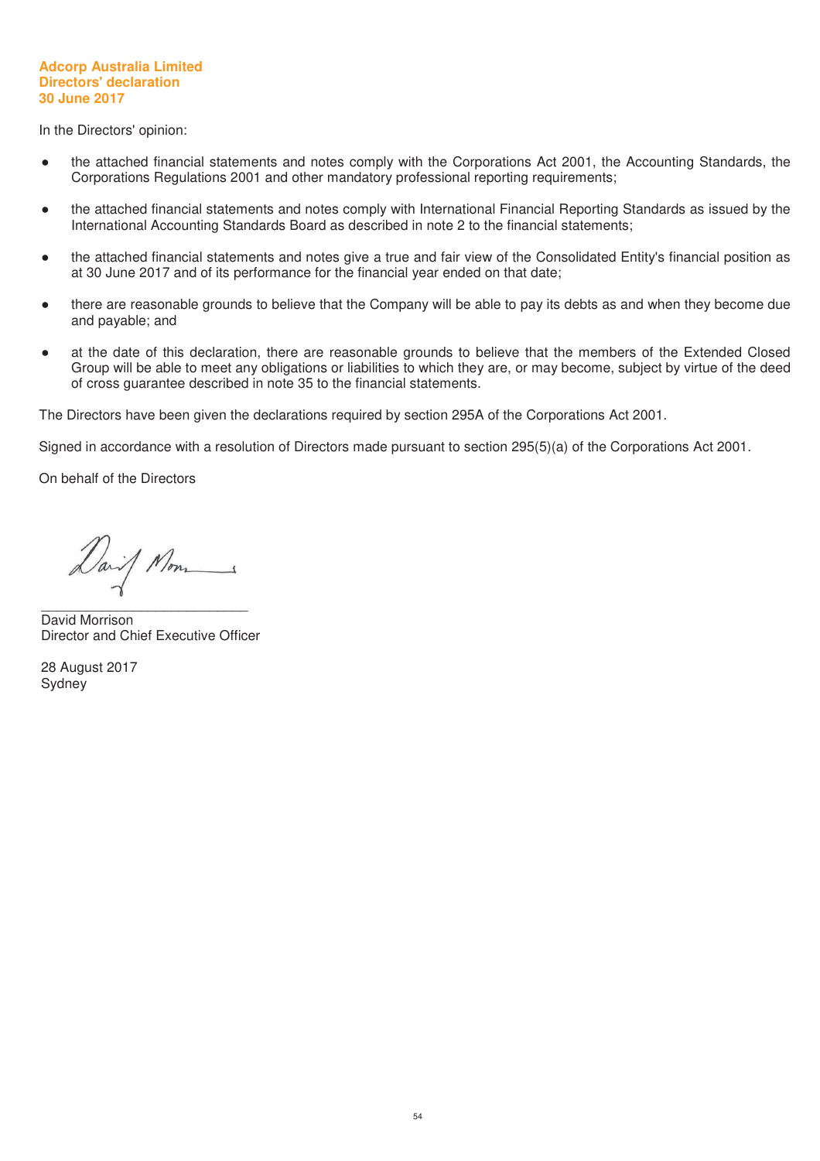#### **Adcorp Australia Limited Directors' declaration 30 June 2017**

In the Directors' opinion:

- the attached financial statements and notes comply with the Corporations Act 2001, the Accounting Standards, the Corporations Regulations 2001 and other mandatory professional reporting requirements;
- the attached financial statements and notes comply with International Financial Reporting Standards as issued by the International Accounting Standards Board as described in note 2 to the financial statements;
- the attached financial statements and notes give a true and fair view of the Consolidated Entity's financial position as at 30 June 2017 and of its performance for the financial year ended on that date;
- there are reasonable grounds to believe that the Company will be able to pay its debts as and when they become due and payable; and
- at the date of this declaration, there are reasonable grounds to believe that the members of the Extended Closed Group will be able to meet any obligations or liabilities to which they are, or may become, subject by virtue of the deed of cross guarantee described in note 35 to the financial statements.

The Directors have been given the declarations required by section 295A of the Corporations Act 2001.

Signed in accordance with a resolution of Directors made pursuant to section 295(5)(a) of the Corporations Act 2001.

On behalf of the Directors

Dail Mon

\_\_\_\_\_\_\_\_\_\_\_\_\_\_\_\_\_\_\_\_\_\_\_\_\_\_\_ David Morrison Director and Chief Executive Officer

28 August 2017 Sydney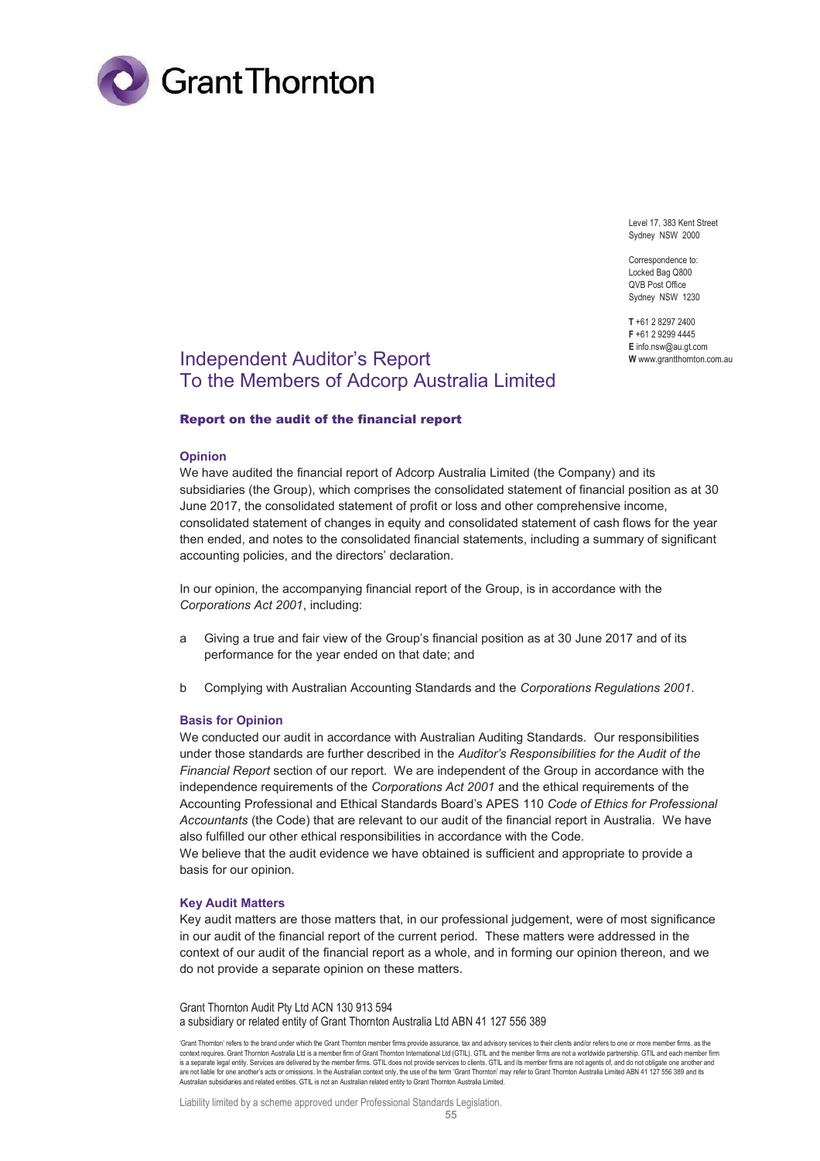

Level 17, 383 Kent Street Sydney NSW 2000

Correspondence to: Locked Bag Q800 QVB Post Office Sydney NSW 1230

**T** +61 2 8297 2400 **F** +61 2 9299 4445 **E** info.nsw@au.gt.com **W** www.grantthornton.com.au

# Independent Auditor's Report To the Members of Adcorp Australia Limited

#### Report on the audit of the financial report

#### **Opinion**

We have audited the financial report of Adcorp Australia Limited (the Company) and its subsidiaries (the Group), which comprises the consolidated statement of financial position as at 30 June 2017, the consolidated statement of profit or loss and other comprehensive income, consolidated statement of changes in equity and consolidated statement of cash flows for the year then ended, and notes to the consolidated financial statements, including a summary of significant accounting policies, and the directors' declaration.

In our opinion, the accompanying financial report of the Group, is in accordance with the *Corporations Act 2001*, including:

- a Giving a true and fair view of the Group's financial position as at 30 June 2017 and of its performance for the year ended on that date; and
- b Complying with Australian Accounting Standards and the *Corporations Regulations 2001*.

#### **Basis for Opinion**

We conducted our audit in accordance with Australian Auditing Standards. Our responsibilities under those standards are further described in the *Auditor's Responsibilities for the Audit of the Financial Report* section of our report. We are independent of the Group in accordance with the independence requirements of the *Corporations Act 2001* and the ethical requirements of the Accounting Professional and Ethical Standards Board's APES 110 *Code of Ethics for Professional Accountants* (the Code) that are relevant to our audit of the financial report in Australia. We have also fulfilled our other ethical responsibilities in accordance with the Code.

We believe that the audit evidence we have obtained is sufficient and appropriate to provide a basis for our opinion.

#### **Key Audit Matters**

Key audit matters are those matters that, in our professional judgement, were of most significance in our audit of the financial report of the current period. These matters were addressed in the context of our audit of the financial report as a whole, and in forming our opinion thereon, and we do not provide a separate opinion on these matters.

Grant Thornton Audit Pty Ltd ACN 130 913 594 a subsidiary or related entity of Grant Thornton Australia Ltd ABN 41 127 556 389

Liability limited by a scheme approved under Professional Standards Legislation.

<sup>&#</sup>x27;Grant Thornton' refers to the brand under which the Grant Thornton member firms provide assurance, tax and advisory services to their clients and/or refers to one or more member firms, as the<br>context requires. Grant Thorn is a separate legal entity. Services are delivered by the member firms. GTIL does not provide services to clients. GTIL and its member firms are not agents of, and do not obligate one another and<br>are not liable for one ano Australian subsidiaries and related entities. GTIL is not an Australian related entity to Grant Thornton Australia Limited.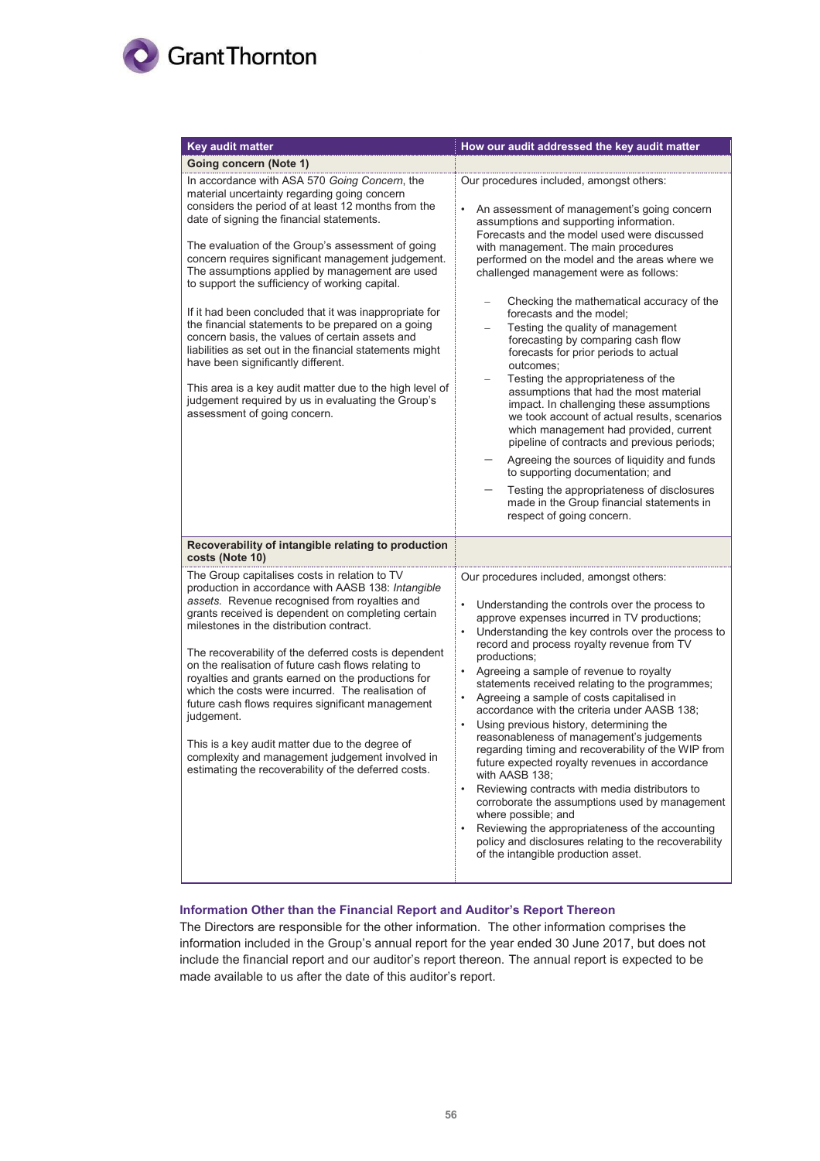

| <b>Key audit matter</b>                                                                                                                                                                                                                                                                                                                                                                                                                                                                                                                                                                                                                                                                                            | How our audit addressed the key audit matter                                                                                                                                                                                                                                                                                                                                                                                                                                                                                                                                                                                                                                                                                                                                                                                                                                                                                                                                                      |
|--------------------------------------------------------------------------------------------------------------------------------------------------------------------------------------------------------------------------------------------------------------------------------------------------------------------------------------------------------------------------------------------------------------------------------------------------------------------------------------------------------------------------------------------------------------------------------------------------------------------------------------------------------------------------------------------------------------------|---------------------------------------------------------------------------------------------------------------------------------------------------------------------------------------------------------------------------------------------------------------------------------------------------------------------------------------------------------------------------------------------------------------------------------------------------------------------------------------------------------------------------------------------------------------------------------------------------------------------------------------------------------------------------------------------------------------------------------------------------------------------------------------------------------------------------------------------------------------------------------------------------------------------------------------------------------------------------------------------------|
| <b>Going concern (Note 1)</b>                                                                                                                                                                                                                                                                                                                                                                                                                                                                                                                                                                                                                                                                                      |                                                                                                                                                                                                                                                                                                                                                                                                                                                                                                                                                                                                                                                                                                                                                                                                                                                                                                                                                                                                   |
| In accordance with ASA 570 Going Concern, the<br>material uncertainty regarding going concern<br>considers the period of at least 12 months from the<br>date of signing the financial statements.                                                                                                                                                                                                                                                                                                                                                                                                                                                                                                                  | Our procedures included, amongst others:<br>$\bullet$<br>An assessment of management's going concern<br>assumptions and supporting information.                                                                                                                                                                                                                                                                                                                                                                                                                                                                                                                                                                                                                                                                                                                                                                                                                                                   |
| The evaluation of the Group's assessment of going<br>concern requires significant management judgement.<br>The assumptions applied by management are used<br>to support the sufficiency of working capital.<br>If it had been concluded that it was inappropriate for<br>the financial statements to be prepared on a going<br>concern basis, the values of certain assets and<br>liabilities as set out in the financial statements might<br>have been significantly different.<br>This area is a key audit matter due to the high level of<br>judgement required by us in evaluating the Group's<br>assessment of going concern.                                                                                 | Forecasts and the model used were discussed<br>with management. The main procedures<br>performed on the model and the areas where we<br>challenged management were as follows:<br>Checking the mathematical accuracy of the<br>forecasts and the model;<br>Testing the quality of management<br>forecasting by comparing cash flow<br>forecasts for prior periods to actual<br>outcomes;<br>Testing the appropriateness of the<br>assumptions that had the most material<br>impact. In challenging these assumptions<br>we took account of actual results, scenarios<br>which management had provided, current<br>pipeline of contracts and previous periods;<br>Agreeing the sources of liquidity and funds<br>to supporting documentation; and<br>Testing the appropriateness of disclosures<br>made in the Group financial statements in<br>respect of going concern.                                                                                                                          |
| Recoverability of intangible relating to production<br>costs (Note 10)                                                                                                                                                                                                                                                                                                                                                                                                                                                                                                                                                                                                                                             |                                                                                                                                                                                                                                                                                                                                                                                                                                                                                                                                                                                                                                                                                                                                                                                                                                                                                                                                                                                                   |
| The Group capitalises costs in relation to TV<br>production in accordance with AASB 138: Intangible<br>assets. Revenue recognised from royalties and<br>grants received is dependent on completing certain<br>milestones in the distribution contract.<br>The recoverability of the deferred costs is dependent<br>on the realisation of future cash flows relating to<br>royalties and grants earned on the productions for<br>which the costs were incurred. The realisation of<br>future cash flows requires significant management<br>judgement.<br>This is a key audit matter due to the degree of<br>complexity and management judgement involved in<br>estimating the recoverability of the deferred costs. | Our procedures included, amongst others:<br>Understanding the controls over the process to<br>approve expenses incurred in TV productions;<br>Understanding the key controls over the process to<br>$\bullet$<br>record and process royalty revenue from TV<br>productions;<br>Agreeing a sample of revenue to royalty<br>$\bullet$<br>statements received relating to the programmes;<br>Agreeing a sample of costs capitalised in<br>accordance with the criteria under AASB 138:<br>Using previous history, determining the<br>$\bullet$<br>reasonableness of management's judgements<br>regarding timing and recoverability of the WIP from<br>future expected royalty revenues in accordance<br>with AASB 138;<br>Reviewing contracts with media distributors to<br>corroborate the assumptions used by management<br>where possible; and<br>Reviewing the appropriateness of the accounting<br>policy and disclosures relating to the recoverability<br>of the intangible production asset. |

# **Information Other than the Financial Report and Auditor's Report Thereon**

The Directors are responsible for the other information. The other information comprises the information included in the Group's annual report for the year ended 30 June 2017, but does not include the financial report and our auditor's report thereon. The annual report is expected to be made available to us after the date of this auditor's report.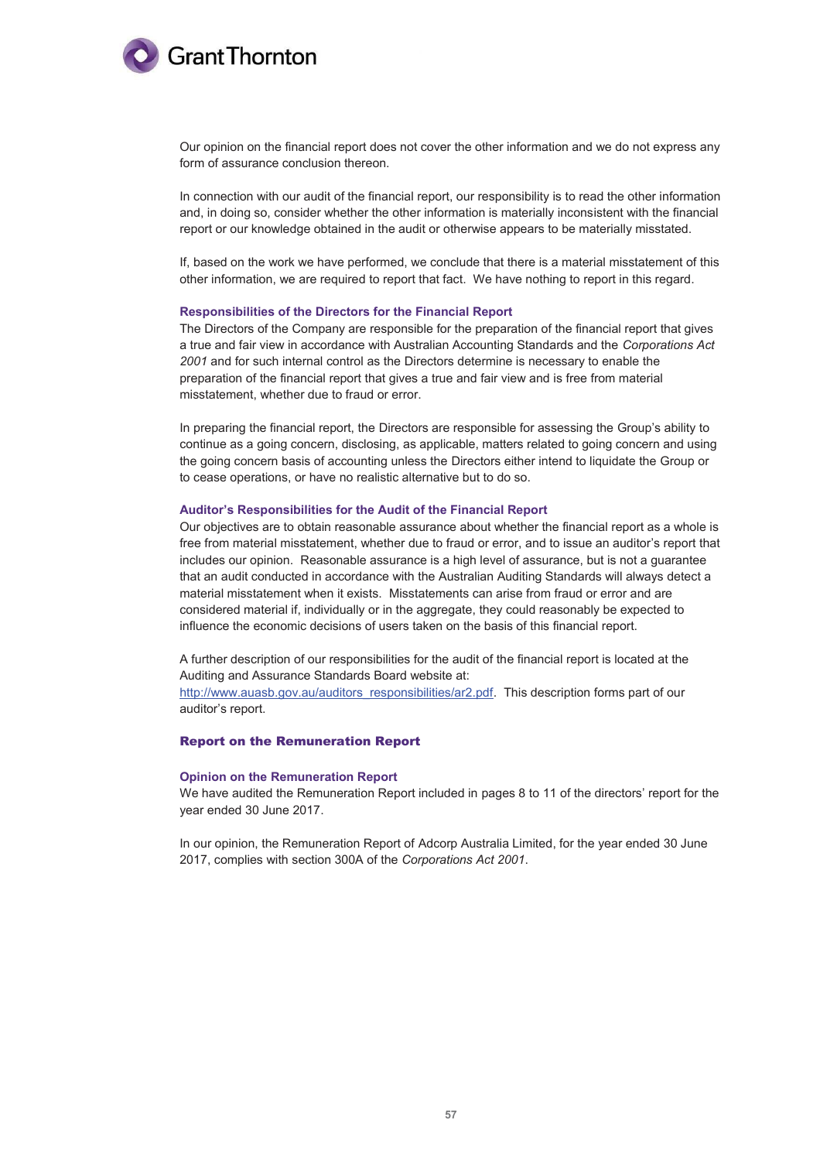

Our opinion on the financial report does not cover the other information and we do not express any form of assurance conclusion thereon.

In connection with our audit of the financial report, our responsibility is to read the other information and, in doing so, consider whether the other information is materially inconsistent with the financial report or our knowledge obtained in the audit or otherwise appears to be materially misstated.

If, based on the work we have performed, we conclude that there is a material misstatement of this other information, we are required to report that fact. We have nothing to report in this regard.

#### **Responsibilities of the Directors for the Financial Report**

The Directors of the Company are responsible for the preparation of the financial report that gives a true and fair view in accordance with Australian Accounting Standards and the *Corporations Act 2001* and for such internal control as the Directors determine is necessary to enable the preparation of the financial report that gives a true and fair view and is free from material misstatement, whether due to fraud or error.

In preparing the financial report, the Directors are responsible for assessing the Group's ability to continue as a going concern, disclosing, as applicable, matters related to going concern and using the going concern basis of accounting unless the Directors either intend to liquidate the Group or to cease operations, or have no realistic alternative but to do so.

#### **Auditor's Responsibilities for the Audit of the Financial Report**

Our objectives are to obtain reasonable assurance about whether the financial report as a whole is free from material misstatement, whether due to fraud or error, and to issue an auditor's report that includes our opinion. Reasonable assurance is a high level of assurance, but is not a guarantee that an audit conducted in accordance with the Australian Auditing Standards will always detect a material misstatement when it exists. Misstatements can arise from fraud or error and are considered material if, individually or in the aggregate, they could reasonably be expected to influence the economic decisions of users taken on the basis of this financial report.

A further description of our responsibilities for the audit of the financial report is located at the Auditing and Assurance Standards Board website at:

http://www.auasb.gov.au/auditors\_responsibilities/ar2.pdf. This description forms part of our auditor's report.

#### Report on the Remuneration Report

#### **Opinion on the Remuneration Report**

We have audited the Remuneration Report included in pages 8 to 11 of the directors' report for the year ended 30 June 2017.

In our opinion, the Remuneration Report of Adcorp Australia Limited, for the year ended 30 June 2017, complies with section 300A of the *Corporations Act 2001*.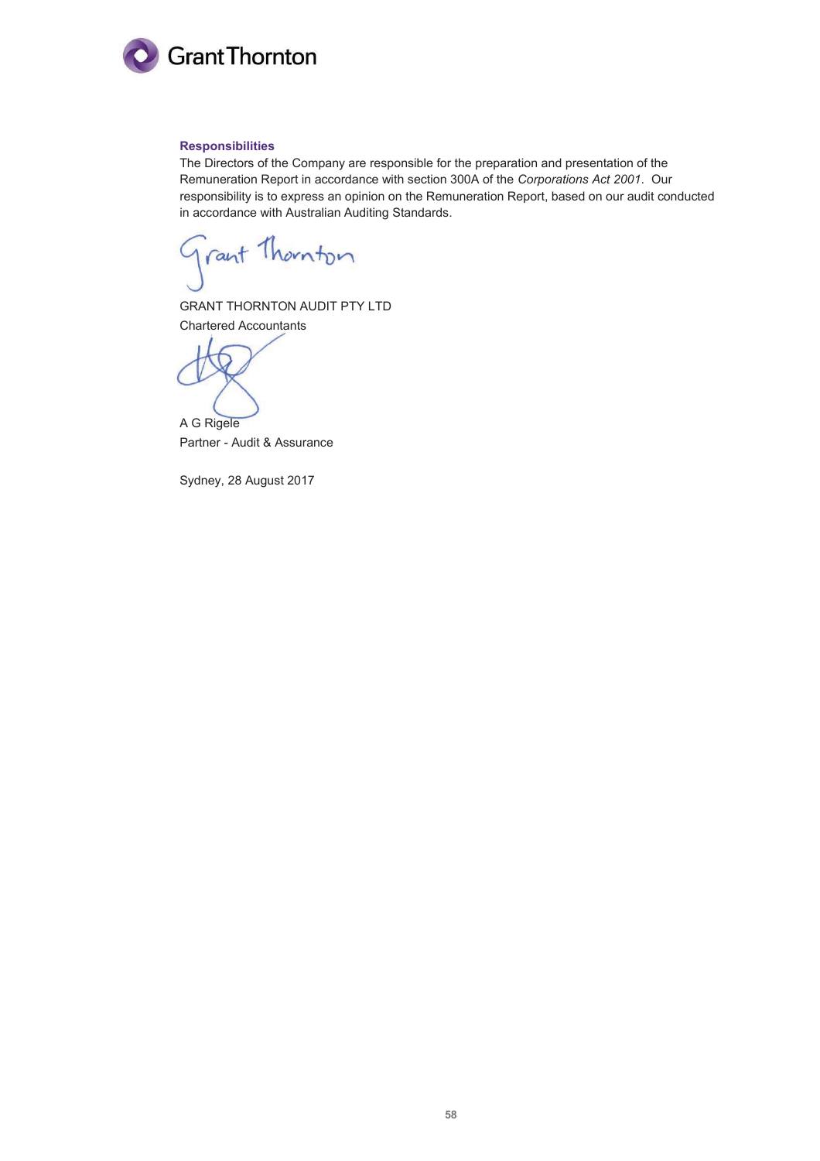

#### **Responsibilities**

The Directors of the Company are responsible for the preparation and presentation of the Remuneration Report in accordance with section 300A of the *Corporations Act 2001*. Our responsibility is to express an opinion on the Remuneration Report, based on our audit conducted in accordance with Australian Auditing Standards.

rant Thornton

GRANT THORNTON AUDIT PTY LTD Chartered Accountants

A G Rigele Partner - Audit & Assurance

Sydney, 28 August 2017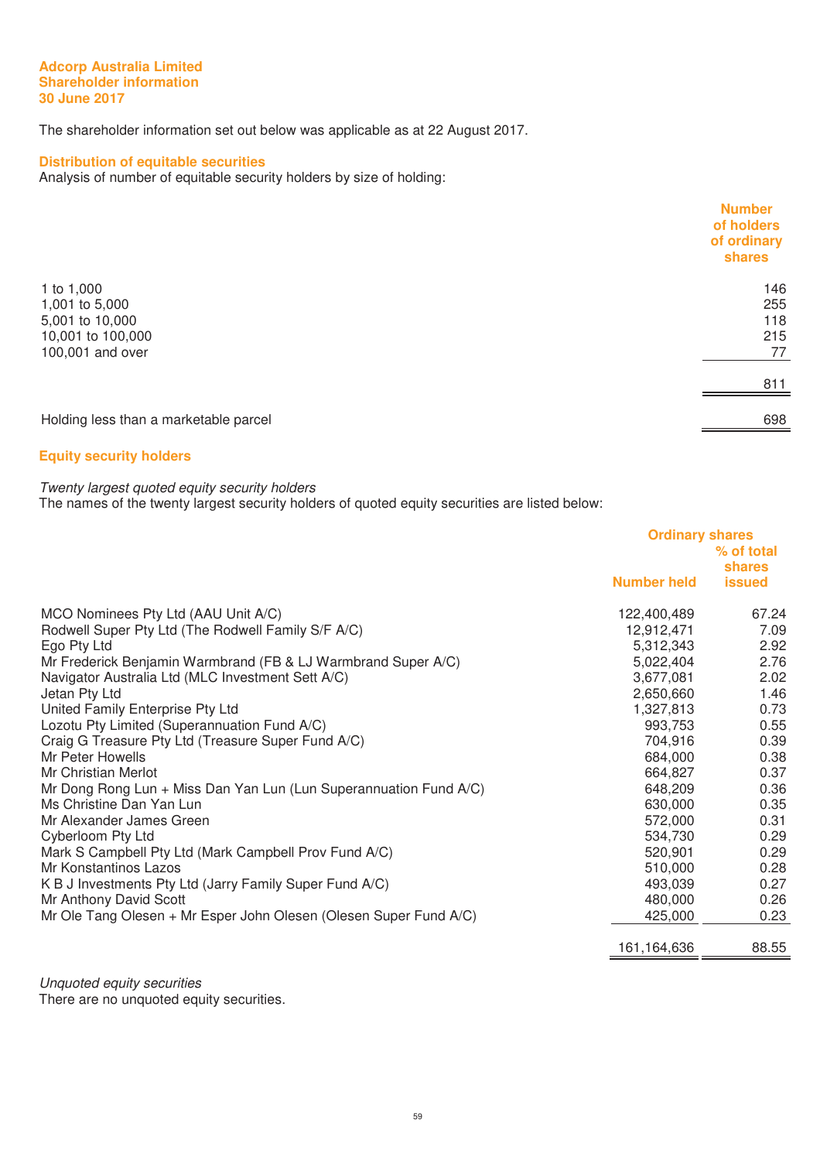#### **Adcorp Australia Limited Shareholder information 30 June 2017**

The shareholder information set out below was applicable as at 22 August 2017.

# **Distribution of equitable securities**

Analysis of number of equitable security holders by size of holding:

|                                       | <b>Number</b><br>of holders<br>of ordinary<br>shares |
|---------------------------------------|------------------------------------------------------|
| 1 to 1,000                            | 146                                                  |
| 1,001 to 5,000                        | 255                                                  |
| 5,001 to 10,000                       | 118                                                  |
| 10,001 to 100,000                     | 215                                                  |
| 100,001 and over                      | 77                                                   |
|                                       | 811                                                  |
| Holding less than a marketable parcel | 698                                                  |
|                                       |                                                      |

# **Equity security holders**

#### Twenty largest quoted equity security holders

The names of the twenty largest security holders of quoted equity securities are listed below:

|                                                                   | <b>Ordinary shares</b><br>% of total |                         |
|-------------------------------------------------------------------|--------------------------------------|-------------------------|
|                                                                   | <b>Number held</b>                   | shares<br><b>issued</b> |
| MCO Nominees Pty Ltd (AAU Unit A/C)                               | 122,400,489                          | 67.24                   |
| Rodwell Super Pty Ltd (The Rodwell Family S/F A/C)                | 12,912,471                           | 7.09                    |
| Ego Pty Ltd                                                       | 5,312,343                            | 2.92                    |
| Mr Frederick Benjamin Warmbrand (FB & LJ Warmbrand Super A/C)     | 5,022,404                            | 2.76                    |
| Navigator Australia Ltd (MLC Investment Sett A/C)                 | 3,677,081                            | 2.02                    |
| Jetan Pty Ltd                                                     | 2,650,660                            | 1.46                    |
| United Family Enterprise Pty Ltd                                  | 1,327,813                            | 0.73                    |
| Lozotu Pty Limited (Superannuation Fund A/C)                      | 993,753                              | 0.55                    |
| Craig G Treasure Pty Ltd (Treasure Super Fund A/C)                | 704,916                              | 0.39                    |
| Mr Peter Howells                                                  | 684,000                              | 0.38                    |
| Mr Christian Merlot                                               | 664,827                              | 0.37                    |
| Mr Dong Rong Lun + Miss Dan Yan Lun (Lun Superannuation Fund A/C) | 648,209                              | 0.36                    |
| Ms Christine Dan Yan Lun                                          | 630,000                              | 0.35                    |
| Mr Alexander James Green                                          | 572,000                              | 0.31                    |
| Cyberloom Pty Ltd                                                 | 534,730                              | 0.29                    |
| Mark S Campbell Pty Ltd (Mark Campbell Prov Fund A/C)             | 520,901                              | 0.29                    |
| Mr Konstantinos Lazos                                             | 510,000                              | 0.28                    |
| K B J Investments Pty Ltd (Jarry Family Super Fund A/C)           | 493,039                              | 0.27                    |
| Mr Anthony David Scott                                            | 480,000                              | 0.26                    |
| Mr Ole Tang Olesen + Mr Esper John Olesen (Olesen Super Fund A/C) | 425,000                              | 0.23                    |
|                                                                   | 161,164,636                          | 88.55                   |

Unquoted equity securities

There are no unquoted equity securities.